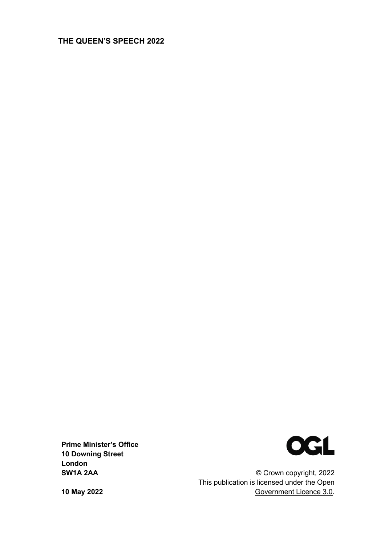### **THE QUEEN'S SPEECH 2022**



**Prime Minister's Office 10 Downing Street London SW1A 2AA**

© Crown copyright, 2022 This publication is licensed under the Open Government Licence 3.0.

**10 May 2022**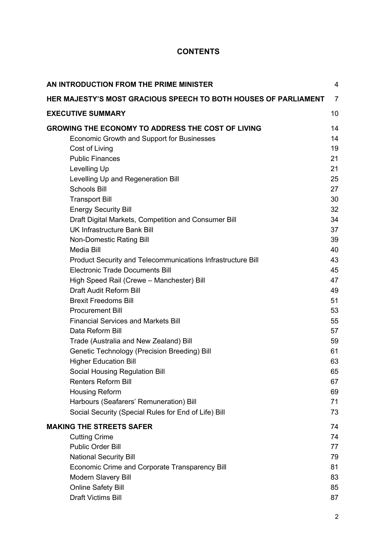## **CONTENTS**

| AN INTRODUCTION FROM THE PRIME MINISTER                                | 4              |
|------------------------------------------------------------------------|----------------|
| <b>HER MAJESTY'S MOST GRACIOUS SPEECH TO BOTH HOUSES OF PARLIAMENT</b> | $\overline{7}$ |
| <b>EXECUTIVE SUMMARY</b>                                               | 10             |
| <b>GROWING THE ECONOMY TO ADDRESS THE COST OF LIVING</b>               | 14             |
| Economic Growth and Support for Businesses                             | 14             |
| Cost of Living                                                         | 19             |
| <b>Public Finances</b>                                                 | 21             |
| Levelling Up                                                           | 21             |
| Levelling Up and Regeneration Bill                                     | 25             |
| <b>Schools Bill</b>                                                    | 27             |
| <b>Transport Bill</b>                                                  | 30             |
| <b>Energy Security Bill</b>                                            | 32             |
| Draft Digital Markets, Competition and Consumer Bill                   | 34             |
| <b>UK Infrastructure Bank Bill</b>                                     | 37             |
| Non-Domestic Rating Bill                                               | 39             |
| <b>Media Bill</b>                                                      | 40             |
| Product Security and Telecommunications Infrastructure Bill            | 43             |
| <b>Electronic Trade Documents Bill</b>                                 | 45             |
| High Speed Rail (Crewe - Manchester) Bill                              | 47             |
| <b>Draft Audit Reform Bill</b>                                         | 49             |
| <b>Brexit Freedoms Bill</b>                                            | 51             |
| <b>Procurement Bill</b>                                                | 53             |
| <b>Financial Services and Markets Bill</b>                             | 55             |
| Data Reform Bill                                                       | 57             |
| Trade (Australia and New Zealand) Bill                                 | 59             |
| Genetic Technology (Precision Breeding) Bill                           | 61             |
| <b>Higher Education Bill</b>                                           | 63             |
| Social Housing Regulation Bill<br><b>Renters Reform Bill</b>           | 65<br>67       |
| <b>Housing Reform</b>                                                  | 69             |
| Harbours (Seafarers' Remuneration) Bill                                | 71             |
| Social Security (Special Rules for End of Life) Bill                   | 73             |
| <b>MAKING THE STREETS SAFER</b>                                        | 74             |
| <b>Cutting Crime</b>                                                   | 74             |
| <b>Public Order Bill</b>                                               | 77             |
| <b>National Security Bill</b>                                          | 79             |
| Economic Crime and Corporate Transparency Bill                         | 81             |
| <b>Modern Slavery Bill</b>                                             | 83             |
| <b>Online Safety Bill</b>                                              | 85             |
| <b>Draft Victims Bill</b>                                              | 87             |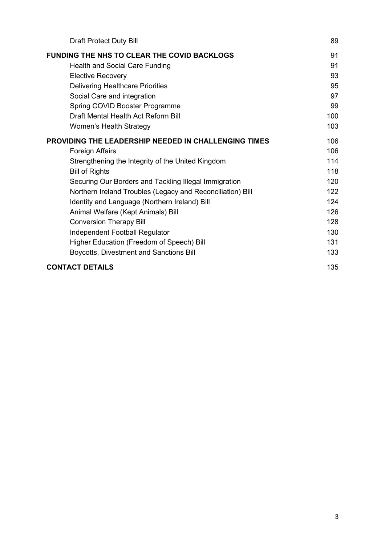| <b>Draft Protect Duty Bill</b>                              | 89  |
|-------------------------------------------------------------|-----|
| <b>FUNDING THE NHS TO CLEAR THE COVID BACKLOGS</b>          | 91  |
| <b>Health and Social Care Funding</b>                       | 91  |
| <b>Elective Recovery</b>                                    | 93  |
| <b>Delivering Healthcare Priorities</b>                     | 95  |
| Social Care and integration                                 | 97  |
| Spring COVID Booster Programme                              | 99  |
| Draft Mental Health Act Reform Bill                         | 100 |
| Women's Health Strategy                                     | 103 |
| <b>PROVIDING THE LEADERSHIP NEEDED IN CHALLENGING TIMES</b> | 106 |
| Foreign Affairs                                             | 106 |
| Strengthening the Integrity of the United Kingdom           | 114 |
| <b>Bill of Rights</b>                                       | 118 |
| Securing Our Borders and Tackling Illegal Immigration       | 120 |
| Northern Ireland Troubles (Legacy and Reconciliation) Bill  | 122 |
| Identity and Language (Northern Ireland) Bill               | 124 |
| Animal Welfare (Kept Animals) Bill                          | 126 |
| <b>Conversion Therapy Bill</b>                              | 128 |
| Independent Football Regulator                              | 130 |
| Higher Education (Freedom of Speech) Bill                   | 131 |
| Boycotts, Divestment and Sanctions Bill                     | 133 |
| <b>CONTACT DETAILS</b>                                      | 135 |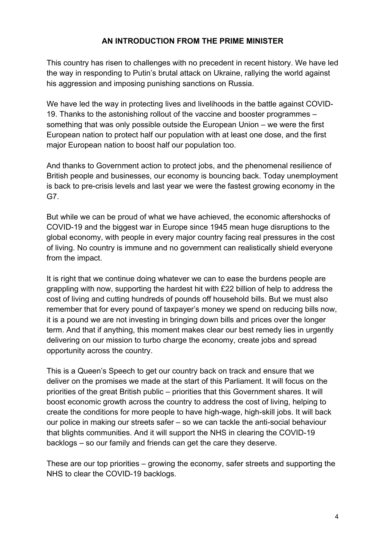### **AN INTRODUCTION FROM THE PRIME MINISTER**

This country has risen to challenges with no precedent in recent history. We have led the way in responding to Putin's brutal attack on Ukraine, rallying the world against his aggression and imposing punishing sanctions on Russia.

We have led the way in protecting lives and livelihoods in the battle against COVID-19. Thanks to the astonishing rollout of the vaccine and booster programmes – something that was only possible outside the European Union – we were the first European nation to protect half our population with at least one dose, and the first major European nation to boost half our population too.

And thanks to Government action to protect jobs, and the phenomenal resilience of British people and businesses, our economy is bouncing back. Today unemployment is back to pre-crisis levels and last year we were the fastest growing economy in the G7.

But while we can be proud of what we have achieved, the economic aftershocks of COVID-19 and the biggest war in Europe since 1945 mean huge disruptions to the global economy, with people in every major country facing real pressures in the cost of living. No country is immune and no government can realistically shield everyone from the impact.

It is right that we continue doing whatever we can to ease the burdens people are grappling with now, supporting the hardest hit with £22 billion of help to address the cost of living and cutting hundreds of pounds off household bills. But we must also remember that for every pound of taxpayer's money we spend on reducing bills now, it is a pound we are not investing in bringing down bills and prices over the longer term. And that if anything, this moment makes clear our best remedy lies in urgently delivering on our mission to turbo charge the economy, create jobs and spread opportunity across the country.

This is a Queen's Speech to get our country back on track and ensure that we deliver on the promises we made at the start of this Parliament. It will focus on the priorities of the great British public – priorities that this Government shares. It will boost economic growth across the country to address the cost of living, helping to create the conditions for more people to have high-wage, high-skill jobs. It will back our police in making our streets safer – so we can tackle the anti-social behaviour that blights communities. And it will support the NHS in clearing the COVID-19 backlogs – so our family and friends can get the care they deserve.

These are our top priorities – growing the economy, safer streets and supporting the NHS to clear the COVID-19 backlogs.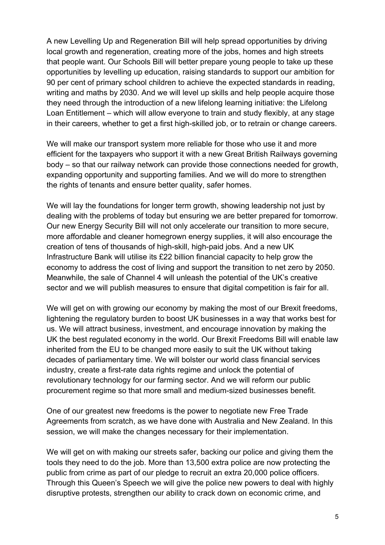A new Levelling Up and Regeneration Bill will help spread opportunities by driving local growth and regeneration, creating more of the jobs, homes and high streets that people want. Our Schools Bill will better prepare young people to take up these opportunities by levelling up education, raising standards to support our ambition for 90 per cent of primary school children to achieve the expected standards in reading, writing and maths by 2030. And we will level up skills and help people acquire those they need through the introduction of a new lifelong learning initiative: the Lifelong Loan Entitlement – which will allow everyone to train and study flexibly, at any stage in their careers, whether to get a first high-skilled job, or to retrain or change careers.

We will make our transport system more reliable for those who use it and more efficient for the taxpayers who support it with a new Great British Railways governing body – so that our railway network can provide those connections needed for growth, expanding opportunity and supporting families. And we will do more to strengthen the rights of tenants and ensure better quality, safer homes.

We will lay the foundations for longer term growth, showing leadership not just by dealing with the problems of today but ensuring we are better prepared for tomorrow. Our new Energy Security Bill will not only accelerate our transition to more secure, more affordable and cleaner homegrown energy supplies, it will also encourage the creation of tens of thousands of high-skill, high-paid jobs. And a new UK Infrastructure Bank will utilise its £22 billion financial capacity to help grow the economy to address the cost of living and support the transition to net zero by 2050. Meanwhile, the sale of Channel 4 will unleash the potential of the UK's creative sector and we will publish measures to ensure that digital competition is fair for all.

We will get on with growing our economy by making the most of our Brexit freedoms, lightening the regulatory burden to boost UK businesses in a way that works best for us. We will attract business, investment, and encourage innovation by making the UK the best regulated economy in the world. Our Brexit Freedoms Bill will enable law inherited from the EU to be changed more easily to suit the UK without taking decades of parliamentary time. We will bolster our world class financial services industry, create a first-rate data rights regime and unlock the potential of revolutionary technology for our farming sector. And we will reform our public procurement regime so that more small and medium-sized businesses benefit.

One of our greatest new freedoms is the power to negotiate new Free Trade Agreements from scratch, as we have done with Australia and New Zealand. In this session, we will make the changes necessary for their implementation.

We will get on with making our streets safer, backing our police and giving them the tools they need to do the job. More than 13,500 extra police are now protecting the public from crime as part of our pledge to recruit an extra 20,000 police officers. Through this Queen's Speech we will give the police new powers to deal with highly disruptive protests, strengthen our ability to crack down on economic crime, and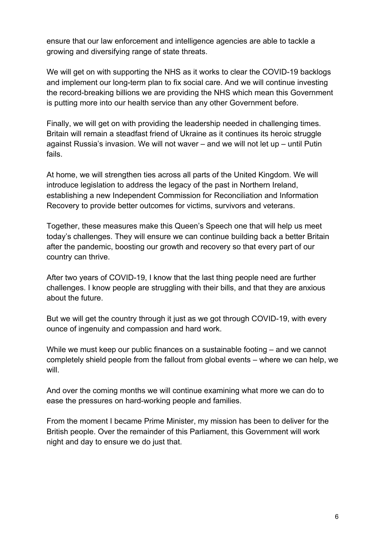ensure that our law enforcement and intelligence agencies are able to tackle a growing and diversifying range of state threats.

We will get on with supporting the NHS as it works to clear the COVID-19 backlogs and implement our long-term plan to fix social care. And we will continue investing the record-breaking billions we are providing the NHS which mean this Government is putting more into our health service than any other Government before.

Finally, we will get on with providing the leadership needed in challenging times. Britain will remain a steadfast friend of Ukraine as it continues its heroic struggle against Russia's invasion. We will not waver – and we will not let up – until Putin fails.

At home, we will strengthen ties across all parts of the United Kingdom. We will introduce legislation to address the legacy of the past in Northern Ireland, establishing a new Independent Commission for Reconciliation and Information Recovery to provide better outcomes for victims, survivors and veterans.

Together, these measures make this Queen's Speech one that will help us meet today's challenges. They will ensure we can continue building back a better Britain after the pandemic, boosting our growth and recovery so that every part of our country can thrive.

After two years of COVID-19, I know that the last thing people need are further challenges. I know people are struggling with their bills, and that they are anxious about the future.

But we will get the country through it just as we got through COVID-19, with every ounce of ingenuity and compassion and hard work.

While we must keep our public finances on a sustainable footing – and we cannot completely shield people from the fallout from global events – where we can help, we will.

And over the coming months we will continue examining what more we can do to ease the pressures on hard-working people and families.

From the moment I became Prime Minister, my mission has been to deliver for the British people. Over the remainder of this Parliament, this Government will work night and day to ensure we do just that.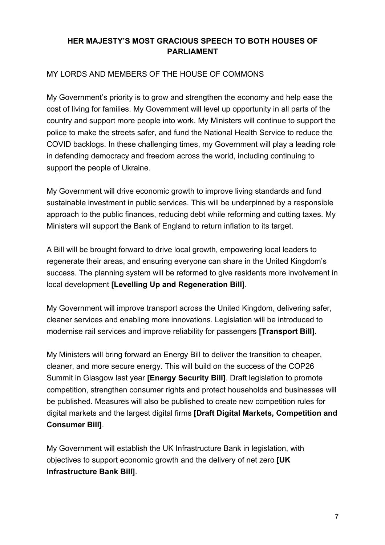# **HER MAJESTY'S MOST GRACIOUS SPEECH TO BOTH HOUSES OF PARLIAMENT**

### MY LORDS AND MEMBERS OF THE HOUSE OF COMMONS

My Government's priority is to grow and strengthen the economy and help ease the cost of living for families. My Government will level up opportunity in all parts of the country and support more people into work. My Ministers will continue to support the police to make the streets safer, and fund the National Health Service to reduce the COVID backlogs. In these challenging times, my Government will play a leading role in defending democracy and freedom across the world, including continuing to support the people of Ukraine.

My Government will drive economic growth to improve living standards and fund sustainable investment in public services. This will be underpinned by a responsible approach to the public finances, reducing debt while reforming and cutting taxes. My Ministers will support the Bank of England to return inflation to its target.

A Bill will be brought forward to drive local growth, empowering local leaders to regenerate their areas, and ensuring everyone can share in the United Kingdom's success. The planning system will be reformed to give residents more involvement in local development **[Levelling Up and Regeneration Bill]**.

My Government will improve transport across the United Kingdom, delivering safer, cleaner services and enabling more innovations. Legislation will be introduced to modernise rail services and improve reliability for passengers **[Transport Bill]**.

My Ministers will bring forward an Energy Bill to deliver the transition to cheaper, cleaner, and more secure energy. This will build on the success of the COP26 Summit in Glasgow last year **[Energy Security Bill]**. Draft legislation to promote competition, strengthen consumer rights and protect households and businesses will be published. Measures will also be published to create new competition rules for digital markets and the largest digital firms **[Draft Digital Markets, Competition and Consumer Bill]**.

My Government will establish the UK Infrastructure Bank in legislation, with objectives to support economic growth and the delivery of net zero **[UK Infrastructure Bank Bill]**.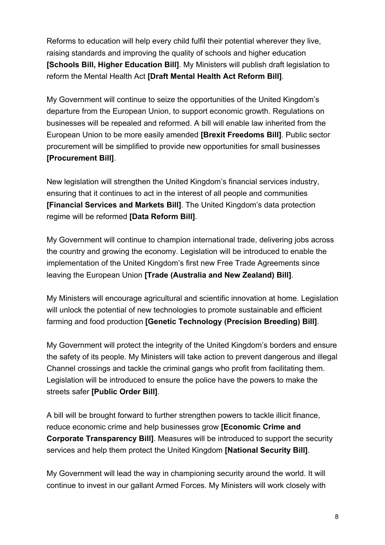Reforms to education will help every child fulfil their potential wherever they live, raising standards and improving the quality of schools and higher education **[Schools Bill, Higher Education Bill]**. My Ministers will publish draft legislation to reform the Mental Health Act **[Draft Mental Health Act Reform Bill]**.

My Government will continue to seize the opportunities of the United Kingdom's departure from the European Union, to support economic growth. Regulations on businesses will be repealed and reformed. A bill will enable law inherited from the European Union to be more easily amended **[Brexit Freedoms Bill]**. Public sector procurement will be simplified to provide new opportunities for small businesses **[Procurement Bill]**.

New legislation will strengthen the United Kingdom's financial services industry, ensuring that it continues to act in the interest of all people and communities **[Financial Services and Markets Bill]**. The United Kingdom's data protection regime will be reformed **[Data Reform Bill]**.

My Government will continue to champion international trade, delivering jobs across the country and growing the economy. Legislation will be introduced to enable the implementation of the United Kingdom's first new Free Trade Agreements since leaving the European Union **[Trade (Australia and New Zealand) Bill]**.

My Ministers will encourage agricultural and scientific innovation at home. Legislation will unlock the potential of new technologies to promote sustainable and efficient farming and food production **[Genetic Technology (Precision Breeding) Bill]**.

My Government will protect the integrity of the United Kingdom's borders and ensure the safety of its people. My Ministers will take action to prevent dangerous and illegal Channel crossings and tackle the criminal gangs who profit from facilitating them. Legislation will be introduced to ensure the police have the powers to make the streets safer **[Public Order Bill]**.

A bill will be brought forward to further strengthen powers to tackle illicit finance, reduce economic crime and help businesses grow **[Economic Crime and Corporate Transparency Bill]**. Measures will be introduced to support the security services and help them protect the United Kingdom **[National Security Bill]**.

My Government will lead the way in championing security around the world. It will continue to invest in our gallant Armed Forces. My Ministers will work closely with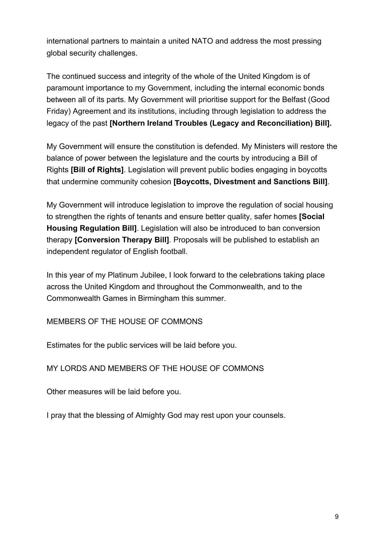international partners to maintain a united NATO and address the most pressing global security challenges.

The continued success and integrity of the whole of the United Kingdom is of paramount importance to my Government, including the internal economic bonds between all of its parts. My Government will prioritise support for the Belfast (Good Friday) Agreement and its institutions, including through legislation to address the legacy of the past **[Northern Ireland Troubles (Legacy and Reconciliation) Bill].** 

My Government will ensure the constitution is defended. My Ministers will restore the balance of power between the legislature and the courts by introducing a Bill of Rights **[Bill of Rights]**. Legislation will prevent public bodies engaging in boycotts that undermine community cohesion **[Boycotts, Divestment and Sanctions Bill]**.

My Government will introduce legislation to improve the regulation of social housing to strengthen the rights of tenants and ensure better quality, safer homes **[Social Housing Regulation Bill]**. Legislation will also be introduced to ban conversion therapy **[Conversion Therapy Bill]**. Proposals will be published to establish an independent regulator of English football.

In this year of my Platinum Jubilee, I look forward to the celebrations taking place across the United Kingdom and throughout the Commonwealth, and to the Commonwealth Games in Birmingham this summer.

# MEMBERS OF THE HOUSE OF COMMONS

Estimates for the public services will be laid before you.

### MY LORDS AND MEMBERS OF THE HOUSE OF COMMONS

Other measures will be laid before you.

I pray that the blessing of Almighty God may rest upon your counsels.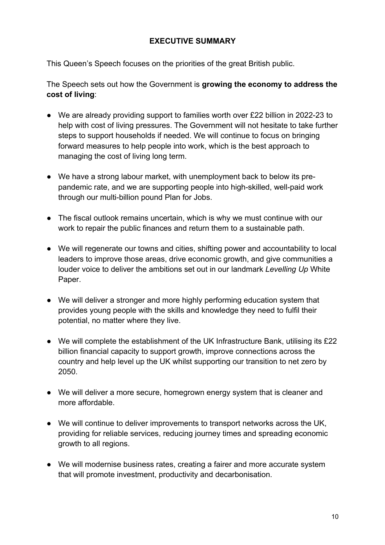### **EXECUTIVE SUMMARY**

This Queen's Speech focuses on the priorities of the great British public.

The Speech sets out how the Government is **growing the economy to address the cost of living**:

- We are already providing support to families worth over £22 billion in 2022-23 to help with cost of living pressures. The Government will not hesitate to take further steps to support households if needed. We will continue to focus on bringing forward measures to help people into work, which is the best approach to managing the cost of living long term.
- We have a strong labour market, with unemployment back to below its prepandemic rate, and we are supporting people into high-skilled, well-paid work through our multi-billion pound Plan for Jobs.
- The fiscal outlook remains uncertain, which is why we must continue with our work to repair the public finances and return them to a sustainable path.
- We will regenerate our towns and cities, shifting power and accountability to local leaders to improve those areas, drive economic growth, and give communities a louder voice to deliver the ambitions set out in our landmark *Levelling Up* White Paper.
- We will deliver a stronger and more highly performing education system that provides young people with the skills and knowledge they need to fulfil their potential, no matter where they live.
- We will complete the establishment of the UK Infrastructure Bank, utilising its £22 billion financial capacity to support growth, improve connections across the country and help level up the UK whilst supporting our transition to net zero by 2050.
- We will deliver a more secure, homegrown energy system that is cleaner and more affordable.
- We will continue to deliver improvements to transport networks across the UK, providing for reliable services, reducing journey times and spreading economic growth to all regions.
- We will modernise business rates, creating a fairer and more accurate system that will promote investment, productivity and decarbonisation.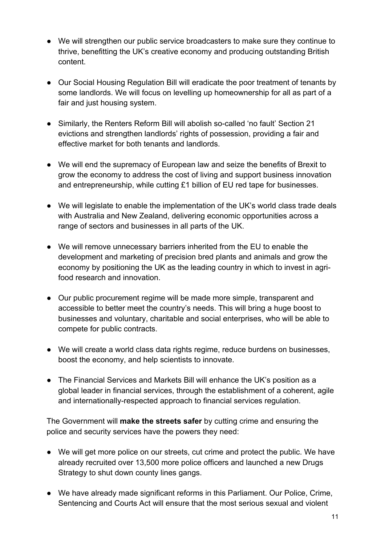- We will strengthen our public service broadcasters to make sure they continue to thrive, benefitting the UK's creative economy and producing outstanding British content.
- Our Social Housing Regulation Bill will eradicate the poor treatment of tenants by some landlords. We will focus on levelling up homeownership for all as part of a fair and just housing system.
- Similarly, the Renters Reform Bill will abolish so-called 'no fault' Section 21 evictions and strengthen landlords' rights of possession, providing a fair and effective market for both tenants and landlords.
- We will end the supremacy of European law and seize the benefits of Brexit to grow the economy to address the cost of living and support business innovation and entrepreneurship, while cutting £1 billion of EU red tape for businesses.
- We will legislate to enable the implementation of the UK's world class trade deals with Australia and New Zealand, delivering economic opportunities across a range of sectors and businesses in all parts of the UK.
- We will remove unnecessary barriers inherited from the EU to enable the development and marketing of precision bred plants and animals and grow the economy by positioning the UK as the leading country in which to invest in agrifood research and innovation.
- Our public procurement regime will be made more simple, transparent and accessible to better meet the country's needs. This will bring a huge boost to businesses and voluntary, charitable and social enterprises, who will be able to compete for public contracts.
- We will create a world class data rights regime, reduce burdens on businesses, boost the economy, and help scientists to innovate.
- The Financial Services and Markets Bill will enhance the UK's position as a global leader in financial services, through the establishment of a coherent, agile and internationally-respected approach to financial services regulation.

The Government will **make the streets safer** by cutting crime and ensuring the police and security services have the powers they need:

- We will get more police on our streets, cut crime and protect the public. We have already recruited over 13,500 more police officers and launched a new Drugs Strategy to shut down county lines gangs.
- We have already made significant reforms in this Parliament. Our Police, Crime, Sentencing and Courts Act will ensure that the most serious sexual and violent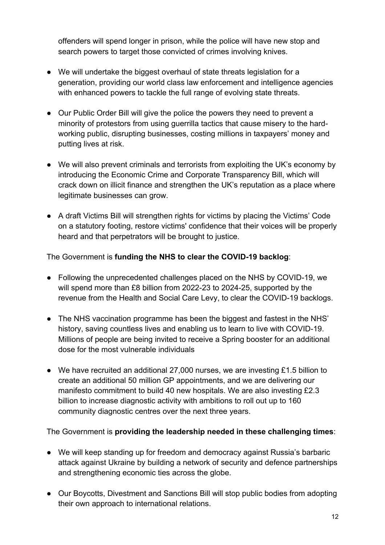offenders will spend longer in prison, while the police will have new stop and search powers to target those convicted of crimes involving knives.

- We will undertake the biggest overhaul of state threats legislation for a generation, providing our world class law enforcement and intelligence agencies with enhanced powers to tackle the full range of evolving state threats.
- Our Public Order Bill will give the police the powers they need to prevent a minority of protestors from using guerrilla tactics that cause misery to the hardworking public, disrupting businesses, costing millions in taxpayers' money and putting lives at risk.
- We will also prevent criminals and terrorists from exploiting the UK's economy by introducing the Economic Crime and Corporate Transparency Bill, which will crack down on illicit finance and strengthen the UK's reputation as a place where legitimate businesses can grow.
- A draft Victims Bill will strengthen rights for victims by placing the Victims' Code on a statutory footing, restore victims' confidence that their voices will be properly heard and that perpetrators will be brought to justice.

The Government is **funding the NHS to clear the COVID-19 backlog**:

- Following the unprecedented challenges placed on the NHS by COVID-19, we will spend more than £8 billion from 2022-23 to 2024-25, supported by the revenue from the Health and Social Care Levy, to clear the COVID-19 backlogs.
- The NHS vaccination programme has been the biggest and fastest in the NHS' history, saving countless lives and enabling us to learn to live with COVID-19. Millions of people are being invited to receive a Spring booster for an additional dose for the most vulnerable individuals
- We have recruited an additional 27,000 nurses, we are investing £1.5 billion to create an additional 50 million GP appointments, and we are delivering our manifesto commitment to build 40 new hospitals. We are also investing £2.3 billion to increase diagnostic activity with ambitions to roll out up to 160 community diagnostic centres over the next three years.

The Government is **providing the leadership needed in these challenging times**:

- We will keep standing up for freedom and democracy against Russia's barbaric attack against Ukraine by building a network of security and defence partnerships and strengthening economic ties across the globe.
- Our Boycotts, Divestment and Sanctions Bill will stop public bodies from adopting their own approach to international relations.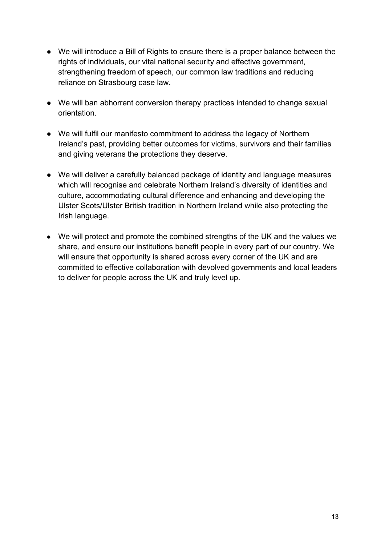- We will introduce a Bill of Rights to ensure there is a proper balance between the rights of individuals, our vital national security and effective government, strengthening freedom of speech, our common law traditions and reducing reliance on Strasbourg case law.
- We will ban abhorrent conversion therapy practices intended to change sexual orientation.
- We will fulfil our manifesto commitment to address the legacy of Northern Ireland's past, providing better outcomes for victims, survivors and their families and giving veterans the protections they deserve.
- We will deliver a carefully balanced package of identity and language measures which will recognise and celebrate Northern Ireland's diversity of identities and culture, accommodating cultural difference and enhancing and developing the Ulster Scots/Ulster British tradition in Northern Ireland while also protecting the Irish language.
- We will protect and promote the combined strengths of the UK and the values we share, and ensure our institutions benefit people in every part of our country. We will ensure that opportunity is shared across every corner of the UK and are committed to effective collaboration with devolved governments and local leaders to deliver for people across the UK and truly level up.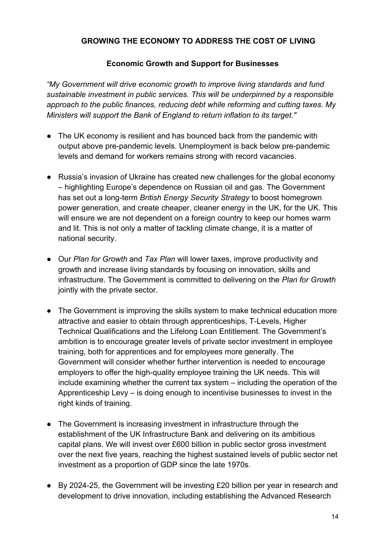## **GROWING THE ECONOMY TO ADDRESS THE COST OF LIVING**

### **Economic Growth and Support for Businesses**

*"My Government will drive economic growth to improve living standards and fund sustainable investment in public services. This will be underpinned by a responsible approach to the public finances, reducing debt while reforming and cutting taxes. My Ministers will support the Bank of England to return inflation to its target."*

- The UK economy is resilient and has bounced back from the pandemic with output above pre-pandemic levels. Unemployment is back below pre-pandemic levels and demand for workers remains strong with record vacancies.
- Russia's invasion of Ukraine has created new challenges for the global economy – highlighting Europe's dependence on Russian oil and gas. The Government has set out a long-term *British Energy Security Strategy* to boost homegrown power generation, and create cheaper, cleaner energy in the UK, for the UK. This will ensure we are not dependent on a foreign country to keep our homes warm and lit. This is not only a matter of tackling climate change, it is a matter of national security.
- Our *Plan for Growth* and *Tax Plan* will lower taxes, improve productivity and growth and increase living standards by focusing on innovation, skills and infrastructure. The Government is committed to delivering on the *Plan for Growth* jointly with the private sector.
- The Government is improving the skills system to make technical education more attractive and easier to obtain through apprenticeships, T-Levels, Higher Technical Qualifications and the Lifelong Loan Entitlement. The Government's ambition is to encourage greater levels of private sector investment in employee training, both for apprentices and for employees more generally. The Government will consider whether further intervention is needed to encourage employers to offer the high-quality employee training the UK needs. This will include examining whether the current tax system – including the operation of the Apprenticeship Levy – is doing enough to incentivise businesses to invest in the right kinds of training.
- The Government is increasing investment in infrastructure through the establishment of the UK Infrastructure Bank and delivering on its ambitious capital plans. We will invest over £600 billion in public sector gross investment over the next five years, reaching the highest sustained levels of public sector net investment as a proportion of GDP since the late 1970s.
- By 2024-25, the Government will be investing £20 billion per year in research and development to drive innovation, including establishing the Advanced Research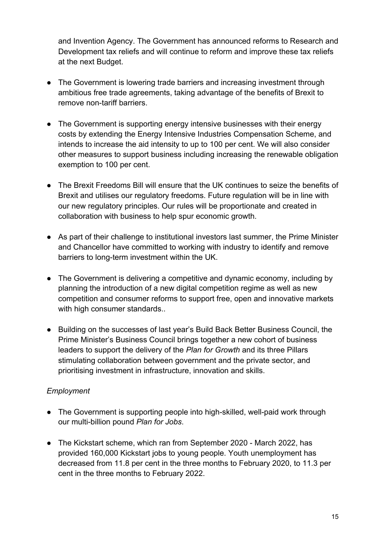and Invention Agency. The Government has announced reforms to Research and Development tax reliefs and will continue to reform and improve these tax reliefs at the next Budget.

- The Government is lowering trade barriers and increasing investment through ambitious free trade agreements, taking advantage of the benefits of Brexit to remove non-tariff barriers.
- The Government is supporting energy intensive businesses with their energy costs by extending the Energy Intensive Industries Compensation Scheme, and intends to increase the aid intensity to up to 100 per cent. We will also consider other measures to support business including increasing the renewable obligation exemption to 100 per cent.
- The Brexit Freedoms Bill will ensure that the UK continues to seize the benefits of Brexit and utilises our regulatory freedoms. Future regulation will be in line with our new regulatory principles. Our rules will be proportionate and created in collaboration with business to help spur economic growth.
- As part of their challenge to institutional investors last summer, the Prime Minister and Chancellor have committed to working with industry to identify and remove barriers to long-term investment within the UK.
- The Government is delivering a competitive and dynamic economy, including by planning the introduction of a new digital competition regime as well as new competition and consumer reforms to support free, open and innovative markets with high consumer standards..
- Building on the successes of last year's Build Back Better Business Council, the Prime Minister's Business Council brings together a new cohort of business leaders to support the delivery of the *Plan for Growth* and its three Pillars stimulating collaboration between government and the private sector, and prioritising investment in infrastructure, innovation and skills.

# *Employment*

- The Government is supporting people into high-skilled, well-paid work through our multi-billion pound *Plan for Jobs*.
- The Kickstart scheme, which ran from September 2020 March 2022, has provided 160,000 Kickstart jobs to young people. Youth unemployment has decreased from 11.8 per cent in the three months to February 2020, to 11.3 per cent in the three months to February 2022.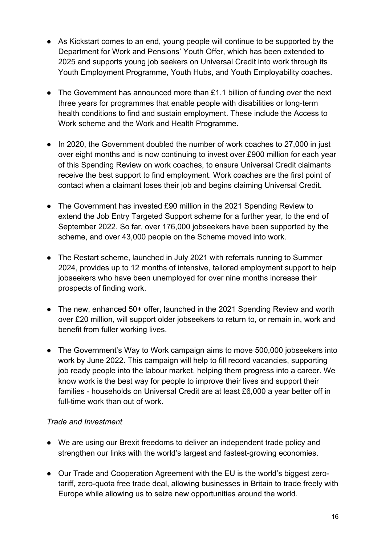- As Kickstart comes to an end, young people will continue to be supported by the Department for Work and Pensions' Youth Offer, which has been extended to 2025 and supports young job seekers on Universal Credit into work through its Youth Employment Programme, Youth Hubs, and Youth Employability coaches.
- The Government has announced more than  $£1.1$  billion of funding over the next three years for programmes that enable people with disabilities or long-term health conditions to find and sustain employment. These include the Access to Work scheme and the Work and Health Programme.
- In 2020, the Government doubled the number of work coaches to 27,000 in just over eight months and is now continuing to invest over £900 million for each year of this Spending Review on work coaches, to ensure Universal Credit claimants receive the best support to find employment. Work coaches are the first point of contact when a claimant loses their job and begins claiming Universal Credit.
- The Government has invested £90 million in the 2021 Spending Review to extend the Job Entry Targeted Support scheme for a further year, to the end of September 2022. So far, over 176,000 jobseekers have been supported by the scheme, and over 43,000 people on the Scheme moved into work.
- The Restart scheme, launched in July 2021 with referrals running to Summer 2024, provides up to 12 months of intensive, tailored employment support to help jobseekers who have been unemployed for over nine months increase their prospects of finding work.
- The new, enhanced 50+ offer, launched in the 2021 Spending Review and worth over £20 million, will support older jobseekers to return to, or remain in, work and benefit from fuller working lives.
- The Government's Way to Work campaign aims to move 500,000 jobseekers into work by June 2022. This campaign will help to fill record vacancies, supporting job ready people into the labour market, helping them progress into a career. We know work is the best way for people to improve their lives and support their families - households on Universal Credit are at least £6,000 a year better off in full-time work than out of work.

### *Trade and Investment*

- We are using our Brexit freedoms to deliver an independent trade policy and strengthen our links with the world's largest and fastest-growing economies.
- Our Trade and Cooperation Agreement with the EU is the world's biggest zerotariff, zero-quota free trade deal, allowing businesses in Britain to trade freely with Europe while allowing us to seize new opportunities around the world.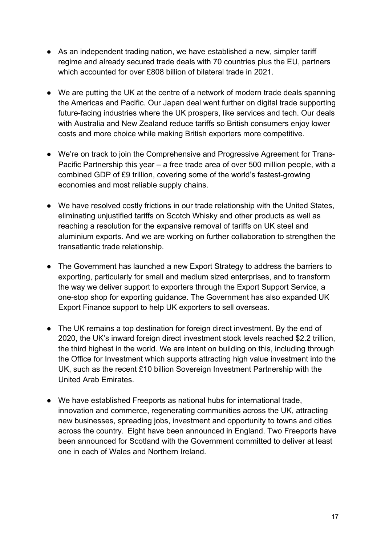- As an independent trading nation, we have established a new, simpler tariff regime and already secured trade deals with 70 countries plus the EU, partners which accounted for over £808 billion of bilateral trade in 2021.
- We are putting the UK at the centre of a network of modern trade deals spanning the Americas and Pacific. Our Japan deal went further on digital trade supporting future-facing industries where the UK prospers, like services and tech. Our deals with Australia and New Zealand reduce tariffs so British consumers enjoy lower costs and more choice while making British exporters more competitive.
- We're on track to join the Comprehensive and Progressive Agreement for Trans-Pacific Partnership this year – a free trade area of over 500 million people, with a combined GDP of £9 trillion, covering some of the world's fastest-growing economies and most reliable supply chains.
- We have resolved costly frictions in our trade relationship with the United States, eliminating unjustified tariffs on Scotch Whisky and other products as well as reaching a resolution for the expansive removal of tariffs on UK steel and aluminium exports. And we are working on further collaboration to strengthen the transatlantic trade relationship.
- The Government has launched a new Export Strategy to address the barriers to exporting, particularly for small and medium sized enterprises, and to transform the way we deliver support to exporters through the Export Support Service, a one-stop shop for exporting guidance. The Government has also expanded UK Export Finance support to help UK exporters to sell overseas.
- The UK remains a top destination for foreign direct investment. By the end of 2020, the UK's inward foreign direct investment stock levels reached \$2.2 trillion, the third highest in the world. We are intent on building on this, including through the Office for Investment which supports attracting high value investment into the UK, such as the recent £10 billion Sovereign Investment Partnership with the United Arab Emirates.
- We have established Freeports as national hubs for international trade, innovation and commerce, regenerating communities across the UK, attracting new businesses, spreading jobs, investment and opportunity to towns and cities across the country.  Eight have been announced in England. Two Freeports have been announced for Scotland with the Government committed to deliver at least one in each of Wales and Northern Ireland.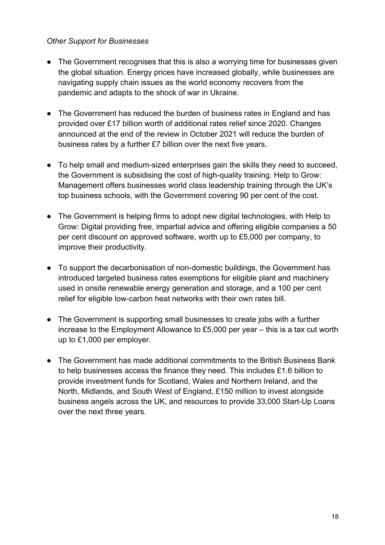#### *Other Support for Businesses*

- The Government recognises that this is also a worrying time for businesses given the global situation. Energy prices have increased globally, while businesses are navigating supply chain issues as the world economy recovers from the pandemic and adapts to the shock of war in Ukraine.
- The Government has reduced the burden of business rates in England and has provided over £17 billion worth of additional rates relief since 2020. Changes announced at the end of the review in October 2021 will reduce the burden of business rates by a further £7 billion over the next five years.
- To help small and medium-sized enterprises gain the skills they need to succeed, the Government is subsidising the cost of high-quality training. Help to Grow: Management offers businesses world class leadership training through the UK's top business schools, with the Government covering 90 per cent of the cost.
- The Government is helping firms to adopt new digital technologies, with Help to Grow: Digital providing free, impartial advice and offering eligible companies a 50 per cent discount on approved software, worth up to £5,000 per company, to improve their productivity.
- To support the decarbonisation of non-domestic buildings, the Government has introduced targeted business rates exemptions for eligible plant and machinery used in onsite renewable energy generation and storage, and a 100 per cent relief for eligible low-carbon heat networks with their own rates bill.
- The Government is supporting small businesses to create jobs with a further increase to the Employment Allowance to £5,000 per year – this is a tax cut worth up to £1,000 per employer.
- The Government has made additional commitments to the British Business Bank to help businesses access the finance they need. This includes £1.6 billion to provide investment funds for Scotland, Wales and Northern Ireland, and the North, Midlands, and South West of England, £150 million to invest alongside business angels across the UK, and resources to provide 33,000 Start-Up Loans over the next three years.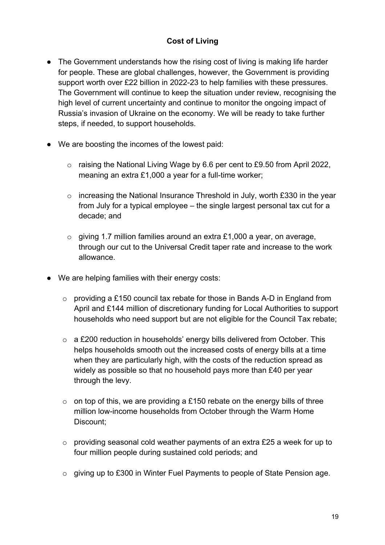# **Cost of Living**

- The Government understands how the rising cost of living is making life harder for people. These are global challenges, however, the Government is providing support worth over £22 billion in 2022-23 to help families with these pressures. The Government will continue to keep the situation under review, recognising the high level of current uncertainty and continue to monitor the ongoing impact of Russia's invasion of Ukraine on the economy. We will be ready to take further steps, if needed, to support households.
- We are boosting the incomes of the lowest paid:
	- o raising the National Living Wage by 6.6 per cent to £9.50 from April 2022, meaning an extra £1,000 a year for a full-time worker;
	- o increasing the National Insurance Threshold in July, worth £330 in the year from July for a typical employee – the single largest personal tax cut for a decade; and
	- o giving 1.7 million families around an extra £1,000 a year, on average, through our cut to the Universal Credit taper rate and increase to the work allowance.
- We are helping families with their energy costs:
	- o providing a £150 council tax rebate for those in Bands A-D in England from April and £144 million of discretionary funding for Local Authorities to support households who need support but are not eligible for the Council Tax rebate;
	- o a £200 reduction in households' energy bills delivered from October. This helps households smooth out the increased costs of energy bills at a time when they are particularly high, with the costs of the reduction spread as widely as possible so that no household pays more than £40 per year through the levy.
	- $\circ$  on top of this, we are providing a £150 rebate on the energy bills of three million low-income households from October through the Warm Home Discount;
	- o providing seasonal cold weather payments of an extra £25 a week for up to four million people during sustained cold periods; and
	- o giving up to £300 in Winter Fuel Payments to people of State Pension age.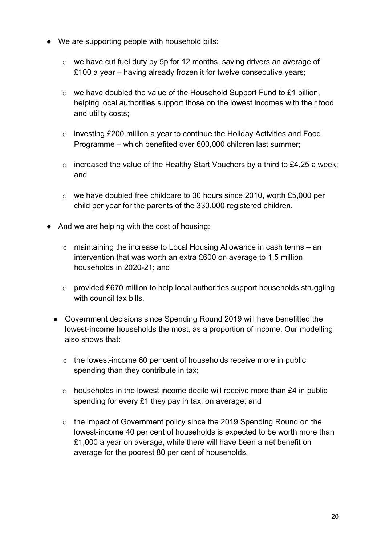- We are supporting people with household bills:
	- o we have cut fuel duty by 5p for 12 months, saving drivers an average of £100 a year – having already frozen it for twelve consecutive years;
	- $\circ$  we have doubled the value of the Household Support Fund to £1 billion, helping local authorities support those on the lowest incomes with their food and utility costs;
	- o investing £200 million a year to continue the Holiday Activities and Food Programme – which benefited over 600,000 children last summer;
	- o increased the value of the Healthy Start Vouchers by a third to £4.25 a week; and
	- o we have doubled free childcare to 30 hours since 2010, worth £5,000 per child per year for the parents of the 330,000 registered children.
- And we are helping with the cost of housing:
	- o maintaining the increase to Local Housing Allowance in cash terms an intervention that was worth an extra £600 on average to 1.5 million households in 2020-21; and
	- o provided £670 million to help local authorities support households struggling with council tax bills.
	- Government decisions since Spending Round 2019 will have benefitted the lowest-income households the most, as a proportion of income. Our modelling also shows that:
		- o the lowest-income 60 per cent of households receive more in public spending than they contribute in tax;
		- $\circ$  households in the lowest income decile will receive more than £4 in public spending for every £1 they pay in tax, on average; and
		- o the impact of Government policy since the 2019 Spending Round on the lowest-income 40 per cent of households is expected to be worth more than £1,000 a year on average, while there will have been a net benefit on average for the poorest 80 per cent of households.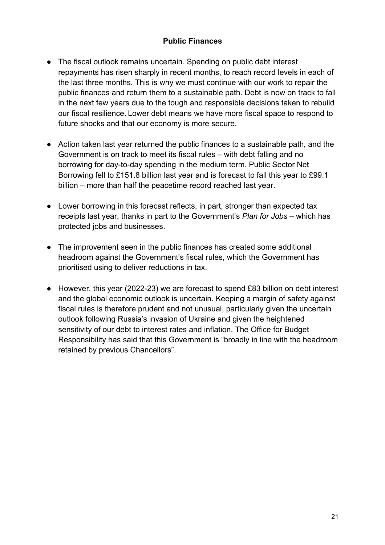## **Public Finances**

- The fiscal outlook remains uncertain. Spending on public debt interest repayments has risen sharply in recent months, to reach record levels in each of the last three months. This is why we must continue with our work to repair the public finances and return them to a sustainable path. Debt is now on track to fall in the next few years due to the tough and responsible decisions taken to rebuild our fiscal resilience. Lower debt means we have more fiscal space to respond to future shocks and that our economy is more secure.
- Action taken last year returned the public finances to a sustainable path, and the Government is on track to meet its fiscal rules – with debt falling and no borrowing for day-to-day spending in the medium term. Public Sector Net Borrowing fell to £151.8 billion last year and is forecast to fall this year to £99.1 billion – more than half the peacetime record reached last year.
- Lower borrowing in this forecast reflects, in part, stronger than expected tax receipts last year, thanks in part to the Government's *Plan for Jobs* – which has protected jobs and businesses.
- The improvement seen in the public finances has created some additional headroom against the Government's fiscal rules, which the Government has prioritised using to deliver reductions in tax.
- However, this year (2022-23) we are forecast to spend £83 billion on debt interest and the global economic outlook is uncertain. Keeping a margin of safety against fiscal rules is therefore prudent and not unusual, particularly given the uncertain outlook following Russia's invasion of Ukraine and given the heightened sensitivity of our debt to interest rates and inflation. The Office for Budget Responsibility has said that this Government is "broadly in line with the headroom retained by previous Chancellors".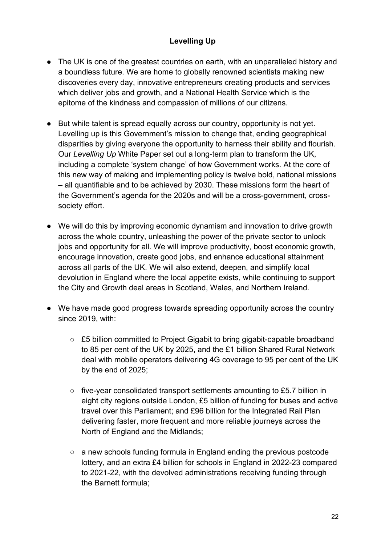# **Levelling Up**

- The UK is one of the greatest countries on earth, with an unparalleled history and a boundless future. We are home to globally renowned scientists making new discoveries every day, innovative entrepreneurs creating products and services which deliver jobs and growth, and a National Health Service which is the epitome of the kindness and compassion of millions of our citizens.
- But while talent is spread equally across our country, opportunity is not yet. Levelling up is this Government's mission to change that, ending geographical disparities by giving everyone the opportunity to harness their ability and flourish. Our *Levelling Up* White Paper set out a long-term plan to transform the UK, including a complete 'system change' of how Government works. At the core of this new way of making and implementing policy is twelve bold, national missions – all quantifiable and to be achieved by 2030. These missions form the heart of the Government's agenda for the 2020s and will be a cross-government, crosssociety effort.
- We will do this by improving economic dynamism and innovation to drive growth across the whole country, unleashing the power of the private sector to unlock jobs and opportunity for all. We will improve productivity, boost economic growth, encourage innovation, create good jobs, and enhance educational attainment across all parts of the UK. We will also extend, deepen, and simplify local devolution in England where the local appetite exists, while continuing to support the City and Growth deal areas in Scotland, Wales, and Northern Ireland.
- We have made good progress towards spreading opportunity across the country since 2019, with:
	- £5 billion committed to Project Gigabit to bring gigabit-capable broadband to 85 per cent of the UK by 2025, and the £1 billion Shared Rural Network deal with mobile operators delivering 4G coverage to 95 per cent of the UK by the end of 2025;
	- $\circ$  five-year consolidated transport settlements amounting to £5.7 billion in eight city regions outside London, £5 billion of funding for buses and active travel over this Parliament; and £96 billion for the Integrated Rail Plan delivering faster, more frequent and more reliable journeys across the North of England and the Midlands;
	- a new schools funding formula in England ending the previous postcode lottery, and an extra £4 billion for schools in England in 2022-23 compared to 2021-22, with the devolved administrations receiving funding through the Barnett formula;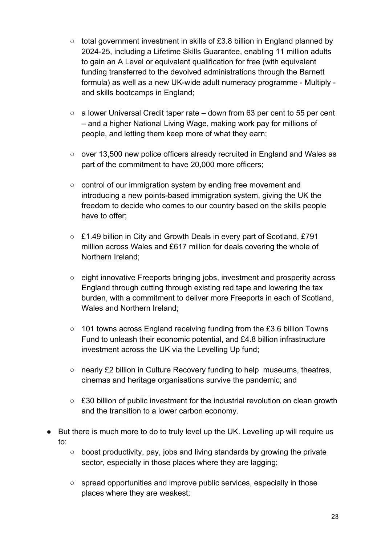- total government investment in skills of £3.8 billion in England planned by 2024-25, including a Lifetime Skills Guarantee, enabling 11 million adults to gain an A Level or equivalent qualification for free (with equivalent funding transferred to the devolved administrations through the Barnett formula) as well as a new UK-wide adult numeracy programme - Multiply and skills bootcamps in England;
- a lower Universal Credit taper rate down from 63 per cent to 55 per cent – and a higher National Living Wage, making work pay for millions of people, and letting them keep more of what they earn;
- over 13,500 new police officers already recruited in England and Wales as part of the commitment to have 20,000 more officers;
- control of our immigration system by ending free movement and introducing a new points-based immigration system, giving the UK the freedom to decide who comes to our country based on the skills people have to offer;
- £1.49 billion in City and Growth Deals in every part of Scotland, £791 million across Wales and £617 million for deals covering the whole of Northern Ireland;
- eight innovative Freeports bringing jobs, investment and prosperity across England through cutting through existing red tape and lowering the tax burden, with a commitment to deliver more Freeports in each of Scotland, Wales and Northern Ireland;
- 101 towns across England receiving funding from the £3.6 billion Towns Fund to unleash their economic potential, and £4.8 billion infrastructure investment across the UK via the Levelling Up fund;
- nearly £2 billion in Culture Recovery funding to help museums, theatres, cinemas and heritage organisations survive the pandemic; and
- £30 billion of public investment for the industrial revolution on clean growth and the transition to a lower carbon economy.
- But there is much more to do to truly level up the UK. Levelling up will require us to:
	- boost productivity, pay, jobs and living standards by growing the private sector, especially in those places where they are lagging;
	- spread opportunities and improve public services, especially in those places where they are weakest;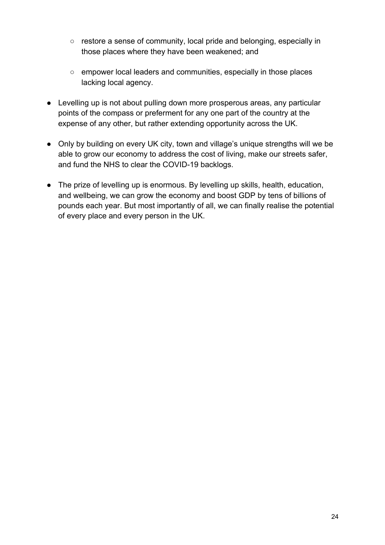- restore a sense of community, local pride and belonging, especially in those places where they have been weakened; and
- empower local leaders and communities, especially in those places lacking local agency.
- Levelling up is not about pulling down more prosperous areas, any particular points of the compass or preferment for any one part of the country at the expense of any other, but rather extending opportunity across the UK.
- Only by building on every UK city, town and village's unique strengths will we be able to grow our economy to address the cost of living, make our streets safer, and fund the NHS to clear the COVID-19 backlogs.
- The prize of levelling up is enormous. By levelling up skills, health, education, and wellbeing, we can grow the economy and boost GDP by tens of billions of pounds each year. But most importantly of all, we can finally realise the potential of every place and every person in the UK.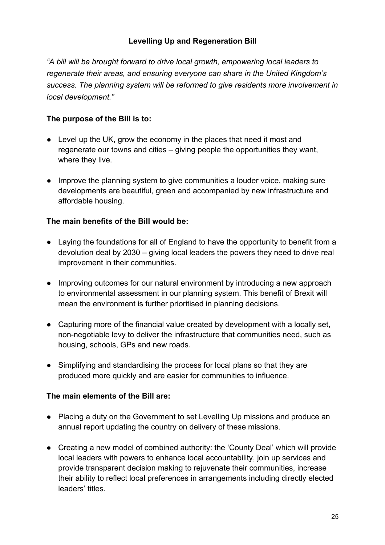# **Levelling Up and Regeneration Bill**

*"A bill will be brought forward to drive local growth, empowering local leaders to regenerate their areas, and ensuring everyone can share in the United Kingdom's success. The planning system will be reformed to give residents more involvement in local development."*

### **The purpose of the Bill is to:**

- Level up the UK, grow the economy in the places that need it most and regenerate our towns and cities – giving people the opportunities they want, where they live.
- Improve the planning system to give communities a louder voice, making sure developments are beautiful, green and accompanied by new infrastructure and affordable housing.

## **The main benefits of the Bill would be:**

- Laying the foundations for all of England to have the opportunity to benefit from a devolution deal by 2030 – giving local leaders the powers they need to drive real improvement in their communities.
- Improving outcomes for our natural environment by introducing a new approach to environmental assessment in our planning system. This benefit of Brexit will mean the environment is further prioritised in planning decisions.
- Capturing more of the financial value created by development with a locally set, non-negotiable levy to deliver the infrastructure that communities need, such as housing, schools, GPs and new roads.
- Simplifying and standardising the process for local plans so that they are produced more quickly and are easier for communities to influence.

### **The main elements of the Bill are:**

- Placing a duty on the Government to set Levelling Up missions and produce an annual report updating the country on delivery of these missions.
- Creating a new model of combined authority: the 'County Deal' which will provide local leaders with powers to enhance local accountability, join up services and provide transparent decision making to rejuvenate their communities, increase their ability to reflect local preferences in arrangements including directly elected leaders' titles.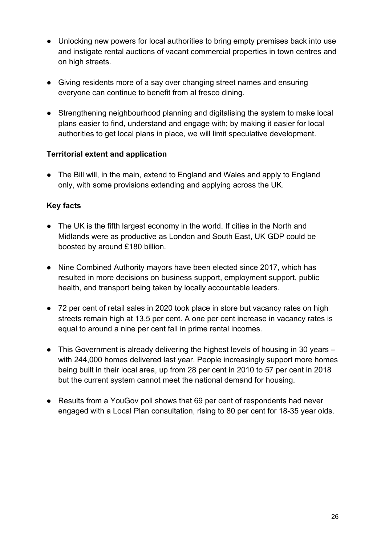- Unlocking new powers for local authorities to bring empty premises back into use and instigate rental auctions of vacant commercial properties in town centres and on high streets.
- Giving residents more of a say over changing street names and ensuring everyone can continue to benefit from al fresco dining.
- Strengthening neighbourhood planning and digitalising the system to make local plans easier to find, understand and engage with; by making it easier for local authorities to get local plans in place, we will limit speculative development.

## **Territorial extent and application**

● The Bill will, in the main, extend to England and Wales and apply to England only, with some provisions extending and applying across the UK.

## **Key facts**

- The UK is the fifth largest economy in the world. If cities in the North and Midlands were as productive as London and South East, UK GDP could be boosted by around £180 billion.
- Nine Combined Authority mayors have been elected since 2017, which has resulted in more decisions on business support, employment support, public health, and transport being taken by locally accountable leaders.
- 72 per cent of retail sales in 2020 took place in store but vacancy rates on high streets remain high at 13.5 per cent. A one per cent increase in vacancy rates is equal to around a nine per cent fall in prime rental incomes.
- This Government is already delivering the highest levels of housing in 30 years with 244,000 homes delivered last year. People increasingly support more homes being built in their local area, up from 28 per cent in 2010 to 57 per cent in 2018 but the current system cannot meet the national demand for housing.
- Results from a YouGov poll shows that 69 per cent of respondents had never engaged with a Local Plan consultation, rising to 80 per cent for 18-35 year olds.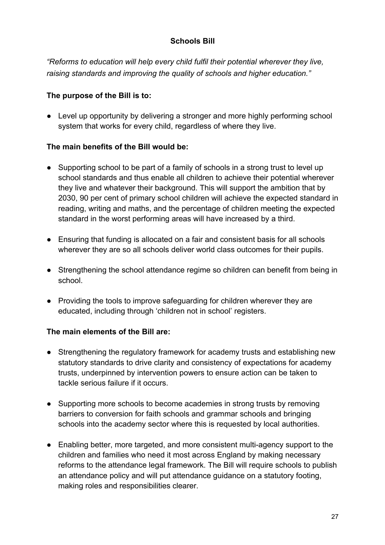# **Schools Bill**

*"Reforms to education will help every child fulfil their potential wherever they live, raising standards and improving the quality of schools and higher education."* 

### **The purpose of the Bill is to:**

● Level up opportunity by delivering a stronger and more highly performing school system that works for every child, regardless of where they live.

## **The main benefits of the Bill would be:**

- Supporting school to be part of a family of schools in a strong trust to level up school standards and thus enable all children to achieve their potential wherever they live and whatever their background. This will support the ambition that by 2030, 90 per cent of primary school children will achieve the expected standard in reading, writing and maths, and the percentage of children meeting the expected standard in the worst performing areas will have increased by a third.
- Ensuring that funding is allocated on a fair and consistent basis for all schools wherever they are so all schools deliver world class outcomes for their pupils.
- Strengthening the school attendance regime so children can benefit from being in school.
- Providing the tools to improve safeguarding for children wherever they are educated, including through 'children not in school' registers.

### **The main elements of the Bill are:**

- Strengthening the regulatory framework for academy trusts and establishing new statutory standards to drive clarity and consistency of expectations for academy trusts, underpinned by intervention powers to ensure action can be taken to tackle serious failure if it occurs.
- Supporting more schools to become academies in strong trusts by removing barriers to conversion for faith schools and grammar schools and bringing schools into the academy sector where this is requested by local authorities.
- Enabling better, more targeted, and more consistent multi-agency support to the children and families who need it most across England by making necessary reforms to the attendance legal framework. The Bill will require schools to publish an attendance policy and will put attendance guidance on a statutory footing, making roles and responsibilities clearer.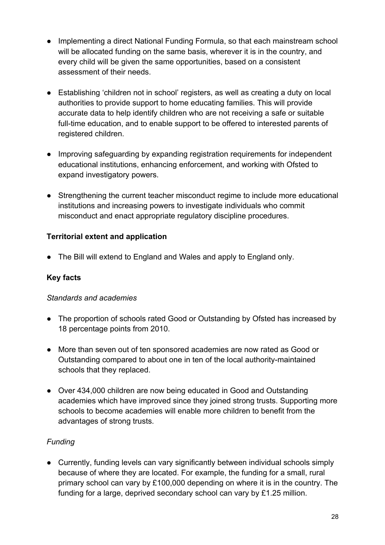- Implementing a direct National Funding Formula, so that each mainstream school will be allocated funding on the same basis, wherever it is in the country, and every child will be given the same opportunities, based on a consistent assessment of their needs.
- Establishing 'children not in school' registers, as well as creating a duty on local authorities to provide support to home educating families. This will provide accurate data to help identify children who are not receiving a safe or suitable full-time education, and to enable support to be offered to interested parents of registered children.
- Improving safeguarding by expanding registration requirements for independent educational institutions, enhancing enforcement, and working with Ofsted to expand investigatory powers.
- Strengthening the current teacher misconduct regime to include more educational institutions and increasing powers to investigate individuals who commit misconduct and enact appropriate regulatory discipline procedures.

# **Territorial extent and application**

• The Bill will extend to England and Wales and apply to England only.

# **Key facts**

### *Standards and academies*

- The proportion of schools rated Good or Outstanding by Ofsted has increased by 18 percentage points from 2010.
- More than seven out of ten sponsored academies are now rated as Good or Outstanding compared to about one in ten of the local authority-maintained schools that they replaced.
- Over 434,000 children are now being educated in Good and Outstanding academies which have improved since they joined strong trusts. Supporting more schools to become academies will enable more children to benefit from the advantages of strong trusts.

### *Funding*

• Currently, funding levels can vary significantly between individual schools simply because of where they are located. For example, the funding for a small, rural primary school can vary by £100,000 depending on where it is in the country. The funding for a large, deprived secondary school can vary by £1.25 million.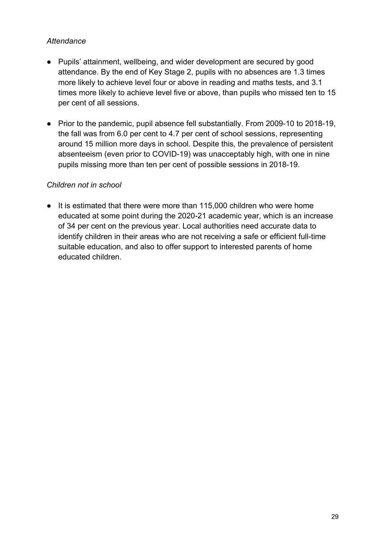### *Attendance*

- Pupils' attainment, wellbeing, and wider development are secured by good attendance. By the end of Key Stage 2, pupils with no absences are 1.3 times more likely to achieve level four or above in reading and maths tests, and 3.1 times more likely to achieve level five or above, than pupils who missed ten to 15 per cent of all sessions.
- Prior to the pandemic, pupil absence fell substantially. From 2009-10 to 2018-19, the fall was from 6.0 per cent to 4.7 per cent of school sessions, representing around 15 million more days in school. Despite this, the prevalence of persistent absenteeism (even prior to COVID-19) was unacceptably high, with one in nine pupils missing more than ten per cent of possible sessions in 2018-19.

## *Children not in school*

● It is estimated that there were more than 115,000 children who were home educated at some point during the 2020-21 academic year, which is an increase of 34 per cent on the previous year. Local authorities need accurate data to identify children in their areas who are not receiving a safe or efficient full-time suitable education, and also to offer support to interested parents of home educated children.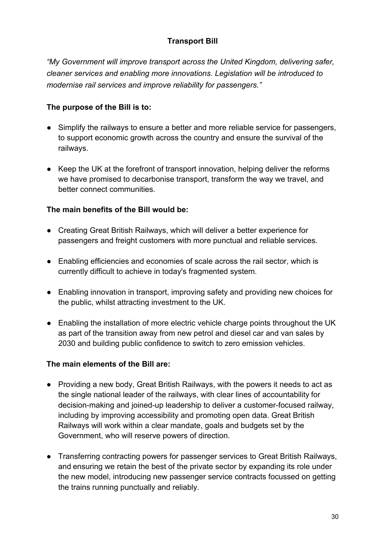# **Transport Bill**

*"My Government will improve transport across the United Kingdom, delivering safer, cleaner services and enabling more innovations. Legislation will be introduced to modernise rail services and improve reliability for passengers."*

# **The purpose of the Bill is to:**

- Simplify the railways to ensure a better and more reliable service for passengers, to support economic growth across the country and ensure the survival of the railways.
- Keep the UK at the forefront of transport innovation, helping deliver the reforms we have promised to decarbonise transport, transform the way we travel, and better connect communities.

## **The main benefits of the Bill would be:**

- Creating Great British Railways, which will deliver a better experience for passengers and freight customers with more punctual and reliable services.
- Enabling efficiencies and economies of scale across the rail sector, which is currently difficult to achieve in today's fragmented system.
- Enabling innovation in transport, improving safety and providing new choices for the public, whilst attracting investment to the UK.
- Enabling the installation of more electric vehicle charge points throughout the UK as part of the transition away from new petrol and diesel car and van sales by 2030 and building public confidence to switch to zero emission vehicles.

### **The main elements of the Bill are:**

- Providing a new body, Great British Railways, with the powers it needs to act as the single national leader of the railways, with clear lines of accountability for decision-making and joined-up leadership to deliver a customer-focused railway, including by improving accessibility and promoting open data. Great British Railways will work within a clear mandate, goals and budgets set by the Government, who will reserve powers of direction.
- Transferring contracting powers for passenger services to Great British Railways, and ensuring we retain the best of the private sector by expanding its role under the new model, introducing new passenger service contracts focussed on getting the trains running punctually and reliably.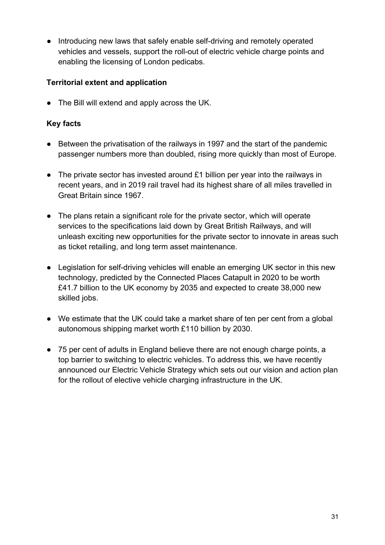• Introducing new laws that safely enable self-driving and remotely operated vehicles and vessels, support the roll-out of electric vehicle charge points and enabling the licensing of London pedicabs.

## **Territorial extent and application**

● The Bill will extend and apply across the UK.

### **Key facts**

- Between the privatisation of the railways in 1997 and the start of the pandemic passenger numbers more than doubled, rising more quickly than most of Europe.
- The private sector has invested around £1 billion per year into the railways in recent years, and in 2019 rail travel had its highest share of all miles travelled in Great Britain since 1967.
- The plans retain a significant role for the private sector, which will operate services to the specifications laid down by Great British Railways, and will unleash exciting new opportunities for the private sector to innovate in areas such as ticket retailing, and long term asset maintenance.
- Legislation for self-driving vehicles will enable an emerging UK sector in this new technology, predicted by the Connected Places Catapult in 2020 to be worth £41.7 billion to the UK economy by 2035 and expected to create 38,000 new skilled jobs.
- We estimate that the UK could take a market share of ten per cent from a global autonomous shipping market worth £110 billion by 2030.
- 75 per cent of adults in England believe there are not enough charge points, a top barrier to switching to electric vehicles. To address this, we have recently announced our Electric Vehicle Strategy which sets out our vision and action plan for the rollout of elective vehicle charging infrastructure in the UK.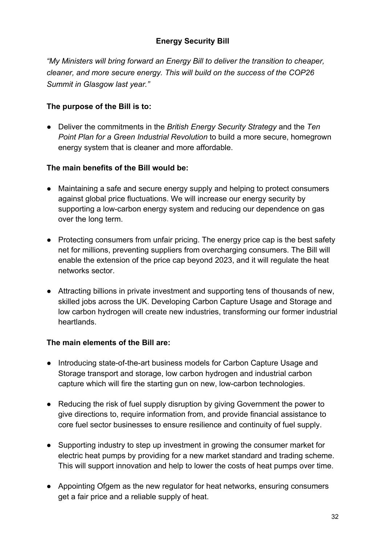# **Energy Security Bill**

*"My Ministers will bring forward an Energy Bill to deliver the transition to cheaper, cleaner, and more secure energy. This will build on the success of the COP26 Summit in Glasgow last year."*

### **The purpose of the Bill is to:**

● Deliver the commitments in the *British Energy Security Strategy* and the *Ten Point Plan for a Green Industrial Revolution* to build a more secure, homegrown energy system that is cleaner and more affordable.

### **The main benefits of the Bill would be:**

- Maintaining a safe and secure energy supply and helping to protect consumers against global price fluctuations. We will increase our energy security by supporting a low-carbon energy system and reducing our dependence on gas over the long term.
- Protecting consumers from unfair pricing. The energy price cap is the best safety net for millions, preventing suppliers from overcharging consumers. The Bill will enable the extension of the price cap beyond 2023, and it will regulate the heat networks sector.
- Attracting billions in private investment and supporting tens of thousands of new, skilled jobs across the UK. Developing Carbon Capture Usage and Storage and low carbon hydrogen will create new industries, transforming our former industrial heartlands.

### **The main elements of the Bill are:**

- Introducing state-of-the-art business models for Carbon Capture Usage and Storage transport and storage, low carbon hydrogen and industrial carbon capture which will fire the starting gun on new, low-carbon technologies.
- Reducing the risk of fuel supply disruption by giving Government the power to give directions to, require information from, and provide financial assistance to core fuel sector businesses to ensure resilience and continuity of fuel supply.
- Supporting industry to step up investment in growing the consumer market for electric heat pumps by providing for a new market standard and trading scheme. This will support innovation and help to lower the costs of heat pumps over time.
- Appointing Ofgem as the new regulator for heat networks, ensuring consumers get a fair price and a reliable supply of heat.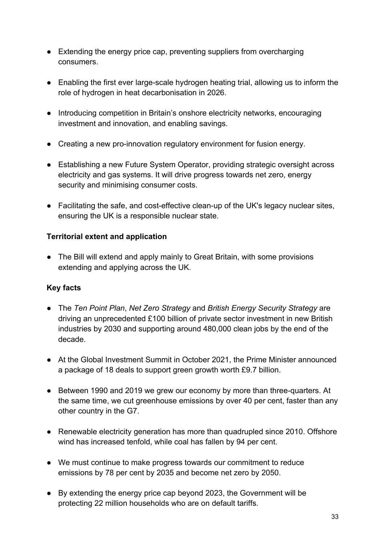- Extending the energy price cap, preventing suppliers from overcharging consumers.
- Enabling the first ever large-scale hydrogen heating trial, allowing us to inform the role of hydrogen in heat decarbonisation in 2026.
- Introducing competition in Britain's onshore electricity networks, encouraging investment and innovation, and enabling savings.
- Creating a new pro-innovation regulatory environment for fusion energy.
- Establishing a new Future System Operator, providing strategic oversight across electricity and gas systems. It will drive progress towards net zero, energy security and minimising consumer costs.
- Facilitating the safe, and cost-effective clean-up of the UK's legacy nuclear sites, ensuring the UK is a responsible nuclear state.

## **Territorial extent and application**

● The Bill will extend and apply mainly to Great Britain, with some provisions extending and applying across the UK.

# **Key facts**

- The *Ten Point Plan*, *Net Zero Strategy* and *British Energy Security Strategy* are driving an unprecedented £100 billion of private sector investment in new British industries by 2030 and supporting around 480,000 clean jobs by the end of the decade.
- At the Global Investment Summit in October 2021, the Prime Minister announced a package of 18 deals to support green growth worth £9.7 billion.
- Between 1990 and 2019 we grew our economy by more than three-quarters. At the same time, we cut greenhouse emissions by over 40 per cent, faster than any other country in the G7.
- Renewable electricity generation has more than quadrupled since 2010. Offshore wind has increased tenfold, while coal has fallen by 94 per cent.
- We must continue to make progress towards our commitment to reduce emissions by 78 per cent by 2035 and become net zero by 2050.
- By extending the energy price cap beyond 2023, the Government will be protecting 22 million households who are on default tariffs.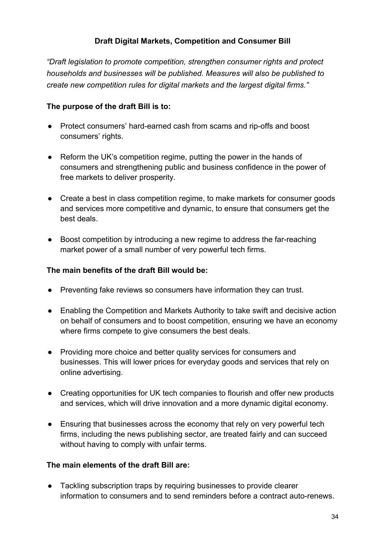# **Draft Digital Markets, Competition and Consumer Bill**

*"Draft legislation to promote competition, strengthen consumer rights and protect households and businesses will be published. Measures will also be published to create new competition rules for digital markets and the largest digital firms."*

#### **The purpose of the draft Bill is to:**

- Protect consumers' hard-earned cash from scams and rip-offs and boost consumers' rights.
- Reform the UK's competition regime, putting the power in the hands of consumers and strengthening public and business confidence in the power of free markets to deliver prosperity.
- Create a best in class competition regime, to make markets for consumer goods and services more competitive and dynamic, to ensure that consumers get the best deals.
- Boost competition by introducing a new regime to address the far-reaching market power of a small number of very powerful tech firms.

#### **The main benefits of the draft Bill would be:**

- Preventing fake reviews so consumers have information they can trust.
- Enabling the Competition and Markets Authority to take swift and decisive action on behalf of consumers and to boost competition, ensuring we have an economy where firms compete to give consumers the best deals.
- Providing more choice and better quality services for consumers and businesses. This will lower prices for everyday goods and services that rely on online advertising.
- Creating opportunities for UK tech companies to flourish and offer new products and services, which will drive innovation and a more dynamic digital economy.
- Ensuring that businesses across the economy that rely on very powerful tech firms, including the news publishing sector, are treated fairly and can succeed without having to comply with unfair terms.

#### **The main elements of the draft Bill are:**

● Tackling subscription traps by requiring businesses to provide clearer information to consumers and to send reminders before a contract auto-renews.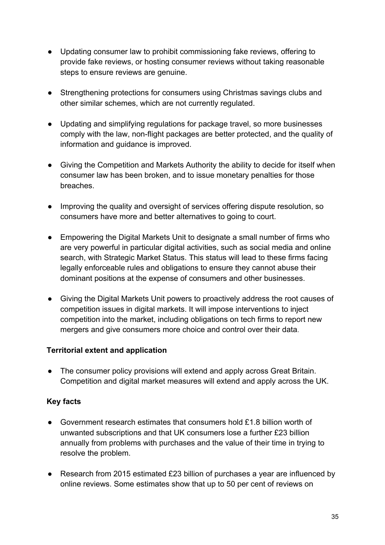- Updating consumer law to prohibit commissioning fake reviews, offering to provide fake reviews, or hosting consumer reviews without taking reasonable steps to ensure reviews are genuine.
- Strengthening protections for consumers using Christmas savings clubs and other similar schemes, which are not currently regulated.
- Updating and simplifying regulations for package travel, so more businesses comply with the law, non-flight packages are better protected, and the quality of information and guidance is improved.
- Giving the Competition and Markets Authority the ability to decide for itself when consumer law has been broken, and to issue monetary penalties for those breaches.
- Improving the quality and oversight of services offering dispute resolution, so consumers have more and better alternatives to going to court.
- Empowering the Digital Markets Unit to designate a small number of firms who are very powerful in particular digital activities, such as social media and online search, with Strategic Market Status. This status will lead to these firms facing legally enforceable rules and obligations to ensure they cannot abuse their dominant positions at the expense of consumers and other businesses.
- Giving the Digital Markets Unit powers to proactively address the root causes of competition issues in digital markets. It will impose interventions to inject competition into the market, including obligations on tech firms to report new mergers and give consumers more choice and control over their data.

# **Territorial extent and application**

● The consumer policy provisions will extend and apply across Great Britain. Competition and digital market measures will extend and apply across the UK.

# **Key facts**

- Government research estimates that consumers hold £1.8 billion worth of unwanted subscriptions and that UK consumers lose a further £23 billion annually from problems with purchases and the value of their time in trying to resolve the problem.
- Research from 2015 estimated £23 billion of purchases a year are influenced by online reviews. Some estimates show that up to 50 per cent of reviews on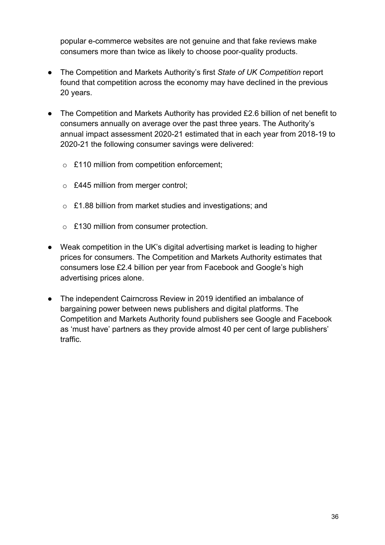popular e-commerce websites are not genuine and that fake reviews make consumers more than twice as likely to choose poor-quality products.

- The Competition and Markets Authority's first *State of UK Competition* report found that competition across the economy may have declined in the previous 20 years.
- The Competition and Markets Authority has provided £2.6 billion of net benefit to consumers annually on average over the past three years. The Authority's annual impact assessment 2020-21 estimated that in each year from 2018-19 to 2020-21 the following consumer savings were delivered:
	- o £110 million from competition enforcement;
	- o £445 million from merger control;
	- o £1.88 billion from market studies and investigations; and
	- o £130 million from consumer protection.
- Weak competition in the UK's digital advertising market is leading to higher prices for consumers. The Competition and Markets Authority estimates that consumers lose £2.4 billion per year from Facebook and Google's high advertising prices alone.
- The independent Cairncross Review in 2019 identified an imbalance of bargaining power between news publishers and digital platforms. The Competition and Markets Authority found publishers see Google and Facebook as 'must have' partners as they provide almost 40 per cent of large publishers' traffic.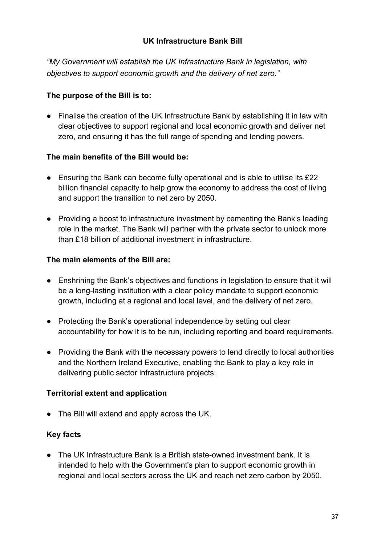## **UK Infrastructure Bank Bill**

*"My Government will establish the UK Infrastructure Bank in legislation, with objectives to support economic growth and the delivery of net zero."* 

## **The purpose of the Bill is to:**

● Finalise the creation of the UK Infrastructure Bank by establishing it in law with clear objectives to support regional and local economic growth and deliver net zero, and ensuring it has the full range of spending and lending powers.

## **The main benefits of the Bill would be:**

- Ensuring the Bank can become fully operational and is able to utilise its £22 billion financial capacity to help grow the economy to address the cost of living and support the transition to net zero by 2050.
- Providing a boost to infrastructure investment by cementing the Bank's leading role in the market. The Bank will partner with the private sector to unlock more than £18 billion of additional investment in infrastructure.

## **The main elements of the Bill are:**

- Enshrining the Bank's objectives and functions in legislation to ensure that it will be a long-lasting institution with a clear policy mandate to support economic growth, including at a regional and local level, and the delivery of net zero.
- Protecting the Bank's operational independence by setting out clear accountability for how it is to be run, including reporting and board requirements.
- Providing the Bank with the necessary powers to lend directly to local authorities and the Northern Ireland Executive, enabling the Bank to play a key role in delivering public sector infrastructure projects.

## **Territorial extent and application**

● The Bill will extend and apply across the UK.

## **Key facts**

● The UK Infrastructure Bank is a British state-owned investment bank. It is intended to help with the Government's plan to support economic growth in regional and local sectors across the UK and reach net zero carbon by 2050.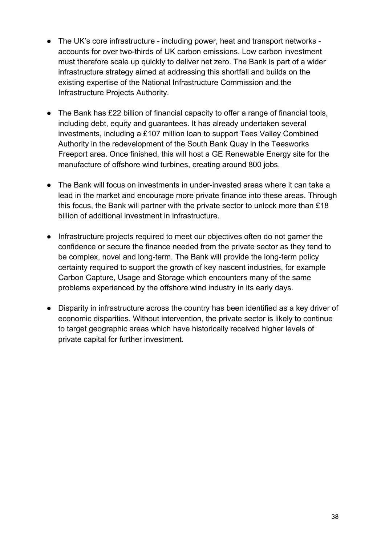- The UK's core infrastructure including power, heat and transport networks accounts for over two-thirds of UK carbon emissions. Low carbon investment must therefore scale up quickly to deliver net zero. The Bank is part of a wider infrastructure strategy aimed at addressing this shortfall and builds on the existing expertise of the National Infrastructure Commission and the Infrastructure Projects Authority.
- The Bank has £22 billion of financial capacity to offer a range of financial tools, including debt, equity and guarantees. It has already undertaken several investments, including a £107 million loan to support Tees Valley Combined Authority in the redevelopment of the South Bank Quay in the Teesworks Freeport area. Once finished, this will host a GE Renewable Energy site for the manufacture of offshore wind turbines, creating around 800 jobs.
- The Bank will focus on investments in under-invested areas where it can take a lead in the market and encourage more private finance into these areas. Through this focus, the Bank will partner with the private sector to unlock more than £18 billion of additional investment in infrastructure.
- Infrastructure projects required to meet our objectives often do not garner the confidence or secure the finance needed from the private sector as they tend to be complex, novel and long-term. The Bank will provide the long-term policy certainty required to support the growth of key nascent industries, for example Carbon Capture, Usage and Storage which encounters many of the same problems experienced by the offshore wind industry in its early days.
- Disparity in infrastructure across the country has been identified as a key driver of economic disparities. Without intervention, the private sector is likely to continue to target geographic areas which have historically received higher levels of private capital for further investment.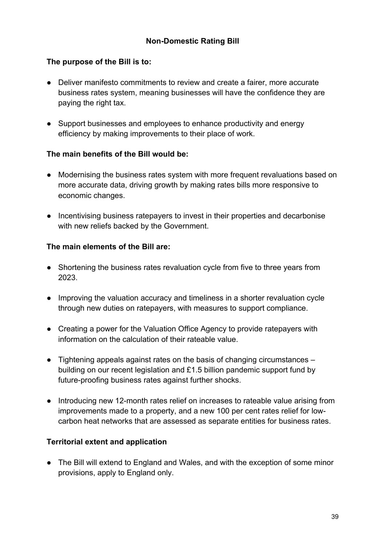## **The purpose of the Bill is to:**

- Deliver manifesto commitments to review and create a fairer, more accurate business rates system, meaning businesses will have the confidence they are paying the right tax.
- Support businesses and employees to enhance productivity and energy efficiency by making improvements to their place of work.

## **The main benefits of the Bill would be:**

- Modernising the business rates system with more frequent revaluations based on more accurate data, driving growth by making rates bills more responsive to economic changes.
- Incentivising business ratepayers to invest in their properties and decarbonise with new reliefs backed by the Government.

## **The main elements of the Bill are:**

- Shortening the business rates revaluation cycle from five to three years from 2023.
- Improving the valuation accuracy and timeliness in a shorter revaluation cycle through new duties on ratepayers, with measures to support compliance.
- Creating a power for the Valuation Office Agency to provide ratepayers with information on the calculation of their rateable value.
- Tightening appeals against rates on the basis of changing circumstances building on our recent legislation and £1.5 billion pandemic support fund by future-proofing business rates against further shocks.
- Introducing new 12-month rates relief on increases to rateable value arising from improvements made to a property, and a new 100 per cent rates relief for lowcarbon heat networks that are assessed as separate entities for business rates.

# **Territorial extent and application**

● The Bill will extend to England and Wales, and with the exception of some minor provisions, apply to England only.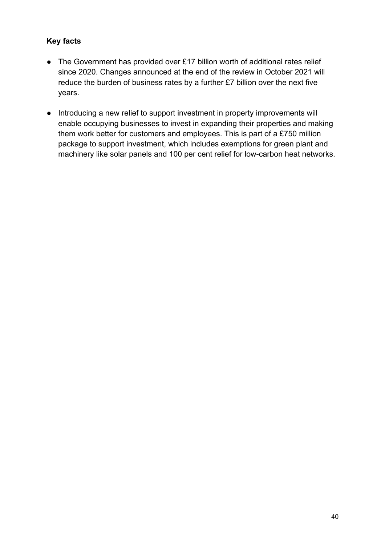- The Government has provided over £17 billion worth of additional rates relief since 2020. Changes announced at the end of the review in October 2021 will reduce the burden of business rates by a further £7 billion over the next five years.
- Introducing a new relief to support investment in property improvements will enable occupying businesses to invest in expanding their properties and making them work better for customers and employees. This is part of a £750 million package to support investment, which includes exemptions for green plant and machinery like solar panels and 100 per cent relief for low-carbon heat networks.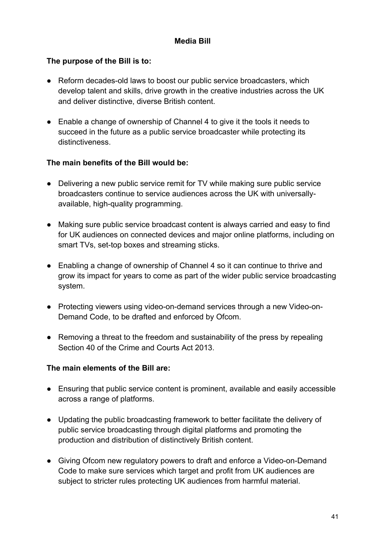## **Media Bill**

## **The purpose of the Bill is to:**

- Reform decades-old laws to boost our public service broadcasters, which develop talent and skills, drive growth in the creative industries across the UK and deliver distinctive, diverse British content.
- Enable a change of ownership of Channel 4 to give it the tools it needs to succeed in the future as a public service broadcaster while protecting its distinctiveness.

## **The main benefits of the Bill would be:**

- Delivering a new public service remit for TV while making sure public service broadcasters continue to service audiences across the UK with universallyavailable, high-quality programming.
- Making sure public service broadcast content is always carried and easy to find for UK audiences on connected devices and major online platforms, including on smart TVs, set-top boxes and streaming sticks.
- Enabling a change of ownership of Channel 4 so it can continue to thrive and grow its impact for years to come as part of the wider public service broadcasting system.
- Protecting viewers using video-on-demand services through a new Video-on-Demand Code, to be drafted and enforced by Ofcom.
- Removing a threat to the freedom and sustainability of the press by repealing Section 40 of the Crime and Courts Act 2013.

## **The main elements of the Bill are:**

- Ensuring that public service content is prominent, available and easily accessible across a range of platforms.
- Updating the public broadcasting framework to better facilitate the delivery of public service broadcasting through digital platforms and promoting the production and distribution of distinctively British content.
- Giving Ofcom new regulatory powers to draft and enforce a Video-on-Demand Code to make sure services which target and profit from UK audiences are subject to stricter rules protecting UK audiences from harmful material.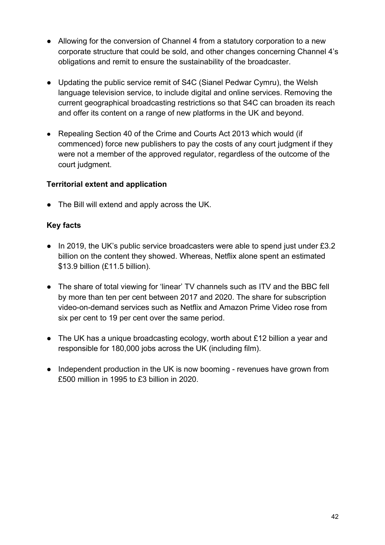- Allowing for the conversion of Channel 4 from a statutory corporation to a new corporate structure that could be sold, and other changes concerning Channel 4's obligations and remit to ensure the sustainability of the broadcaster.
- Updating the public service remit of S4C (Sianel Pedwar Cymru), the Welsh language television service, to include digital and online services. Removing the current geographical broadcasting restrictions so that S4C can broaden its reach and offer its content on a range of new platforms in the UK and beyond.
- Repealing Section 40 of the Crime and Courts Act 2013 which would (if commenced) force new publishers to pay the costs of any court judgment if they were not a member of the approved regulator, regardless of the outcome of the court judgment.

## **Territorial extent and application**

● The Bill will extend and apply across the UK.

- In 2019, the UK's public service broadcasters were able to spend just under £3.2 billion on the content they showed. Whereas, Netflix alone spent an estimated \$13.9 billion (£11.5 billion).
- The share of total viewing for 'linear' TV channels such as ITV and the BBC fell by more than ten per cent between 2017 and 2020. The share for subscription video-on-demand services such as Netflix and Amazon Prime Video rose from six per cent to 19 per cent over the same period.
- The UK has a unique broadcasting ecology, worth about £12 billion a year and responsible for 180,000 jobs across the UK (including film).
- Independent production in the UK is now booming revenues have grown from £500 million in 1995 to £3 billion in 2020.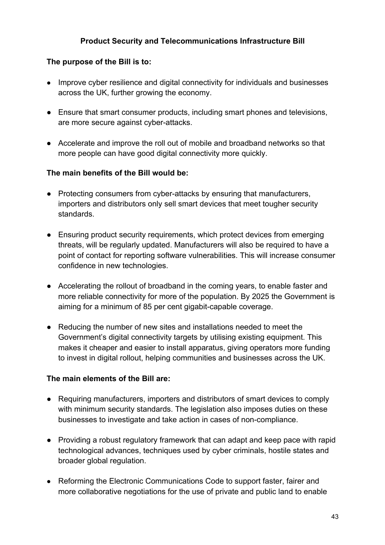## **Product Security and Telecommunications Infrastructure Bill**

## **The purpose of the Bill is to:**

- Improve cyber resilience and digital connectivity for individuals and businesses across the UK, further growing the economy.
- Ensure that smart consumer products, including smart phones and televisions, are more secure against cyber-attacks.
- Accelerate and improve the roll out of mobile and broadband networks so that more people can have good digital connectivity more quickly.

## **The main benefits of the Bill would be:**

- Protecting consumers from cyber-attacks by ensuring that manufacturers, importers and distributors only sell smart devices that meet tougher security standards.
- Ensuring product security requirements, which protect devices from emerging threats, will be regularly updated. Manufacturers will also be required to have a point of contact for reporting software vulnerabilities. This will increase consumer confidence in new technologies.
- Accelerating the rollout of broadband in the coming years, to enable faster and more reliable connectivity for more of the population. By 2025 the Government is aiming for a minimum of 85 per cent gigabit-capable coverage.
- Reducing the number of new sites and installations needed to meet the Government's digital connectivity targets by utilising existing equipment. This makes it cheaper and easier to install apparatus, giving operators more funding to invest in digital rollout, helping communities and businesses across the UK.

## **The main elements of the Bill are:**

- Requiring manufacturers, importers and distributors of smart devices to comply with minimum security standards. The legislation also imposes duties on these businesses to investigate and take action in cases of non-compliance.
- Providing a robust regulatory framework that can adapt and keep pace with rapid technological advances, techniques used by cyber criminals, hostile states and broader global regulation.
- Reforming the Electronic Communications Code to support faster, fairer and more collaborative negotiations for the use of private and public land to enable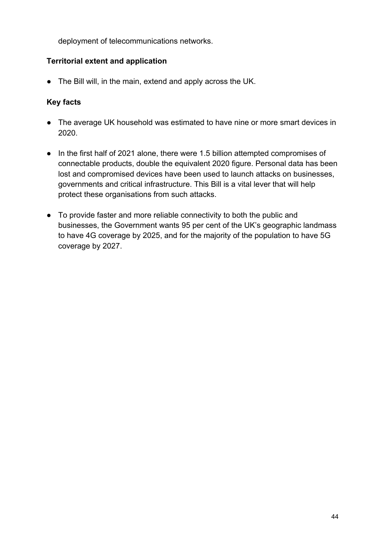deployment of telecommunications networks.

## **Territorial extent and application**

● The Bill will, in the main, extend and apply across the UK.

- The average UK household was estimated to have nine or more smart devices in 2020.
- In the first half of 2021 alone, there were 1.5 billion attempted compromises of connectable products, double the equivalent 2020 figure. Personal data has been lost and compromised devices have been used to launch attacks on businesses, governments and critical infrastructure. This Bill is a vital lever that will help protect these organisations from such attacks.
- To provide faster and more reliable connectivity to both the public and businesses, the Government wants 95 per cent of the UK's geographic landmass to have 4G coverage by 2025, and for the majority of the population to have 5G coverage by 2027.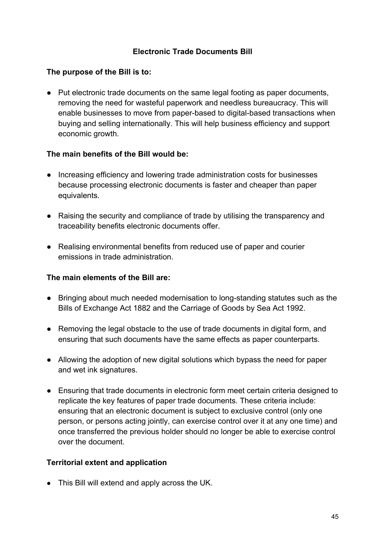## **Electronic Trade Documents Bill**

## **The purpose of the Bill is to:**

● Put electronic trade documents on the same legal footing as paper documents, removing the need for wasteful paperwork and needless bureaucracy. This will enable businesses to move from paper-based to digital-based transactions when buying and selling internationally. This will help business efficiency and support economic growth.

## **The main benefits of the Bill would be:**

- Increasing efficiency and lowering trade administration costs for businesses because processing electronic documents is faster and cheaper than paper equivalents.
- Raising the security and compliance of trade by utilising the transparency and traceability benefits electronic documents offer.
- Realising environmental benefits from reduced use of paper and courier emissions in trade administration.

## **The main elements of the Bill are:**

- Bringing about much needed modernisation to long-standing statutes such as the Bills of Exchange Act 1882 and the Carriage of Goods by Sea Act 1992.
- Removing the legal obstacle to the use of trade documents in digital form, and ensuring that such documents have the same effects as paper counterparts.
- Allowing the adoption of new digital solutions which bypass the need for paper and wet ink signatures.
- Ensuring that trade documents in electronic form meet certain criteria designed to replicate the key features of paper trade documents. These criteria include: ensuring that an electronic document is subject to exclusive control (only one person, or persons acting jointly, can exercise control over it at any one time) and once transferred the previous holder should no longer be able to exercise control over the document.

## **Territorial extent and application**

● This Bill will extend and apply across the UK.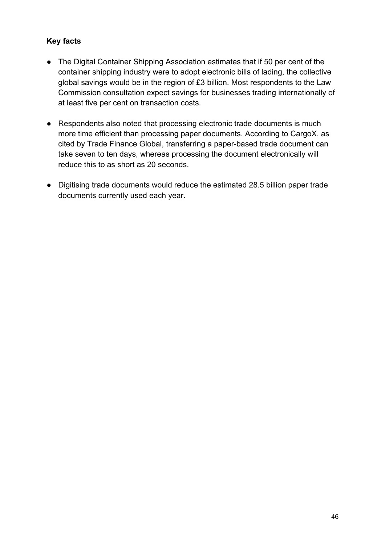- The Digital Container Shipping Association estimates that if 50 per cent of the container shipping industry were to adopt electronic bills of lading, the collective global savings would be in the region of £3 billion. Most respondents to the Law Commission consultation expect savings for businesses trading internationally of at least five per cent on transaction costs.
- Respondents also noted that processing electronic trade documents is much more time efficient than processing paper documents. According to CargoX, as cited by Trade Finance Global, transferring a paper-based trade document can take seven to ten days, whereas processing the document electronically will reduce this to as short as 20 seconds.
- Digitising trade documents would reduce the estimated 28.5 billion paper trade documents currently used each year.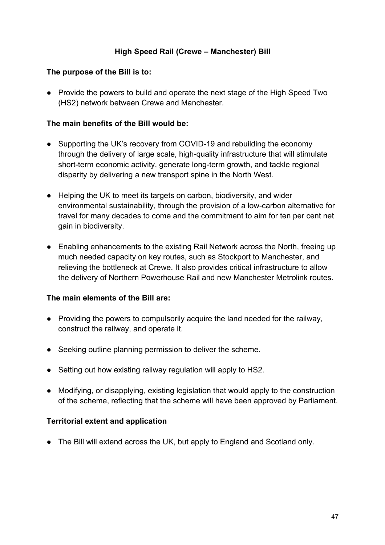## **High Speed Rail (Crewe – Manchester) Bill**

### **The purpose of the Bill is to:**

● Provide the powers to build and operate the next stage of the High Speed Two (HS2) network between Crewe and Manchester.

#### **The main benefits of the Bill would be:**

- Supporting the UK's recovery from COVID-19 and rebuilding the economy through the delivery of large scale, high-quality infrastructure that will stimulate short-term economic activity, generate long-term growth, and tackle regional disparity by delivering a new transport spine in the North West.
- Helping the UK to meet its targets on carbon, biodiversity, and wider environmental sustainability, through the provision of a low-carbon alternative for travel for many decades to come and the commitment to aim for ten per cent net gain in biodiversity.
- Enabling enhancements to the existing Rail Network across the North, freeing up much needed capacity on key routes, such as Stockport to Manchester, and relieving the bottleneck at Crewe. It also provides critical infrastructure to allow the delivery of Northern Powerhouse Rail and new Manchester Metrolink routes.

#### **The main elements of the Bill are:**

- Providing the powers to compulsorily acquire the land needed for the railway, construct the railway, and operate it.
- Seeking outline planning permission to deliver the scheme.
- Setting out how existing railway regulation will apply to HS2.
- Modifying, or disapplying, existing legislation that would apply to the construction of the scheme, reflecting that the scheme will have been approved by Parliament.

## **Territorial extent and application**

• The Bill will extend across the UK, but apply to England and Scotland only.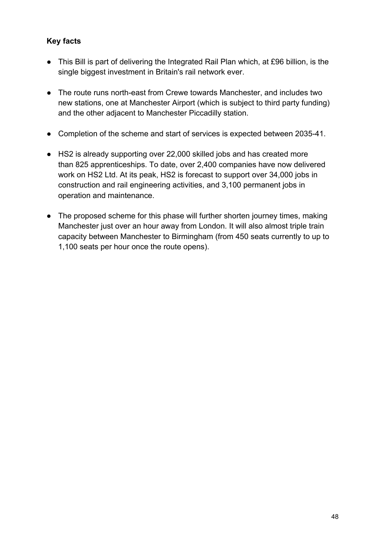- This Bill is part of delivering the Integrated Rail Plan which, at £96 billion, is the single biggest investment in Britain's rail network ever.
- The route runs north-east from Crewe towards Manchester, and includes two new stations, one at Manchester Airport (which is subject to third party funding) and the other adjacent to Manchester Piccadilly station.
- Completion of the scheme and start of services is expected between 2035-41.
- HS2 is already supporting over 22,000 skilled jobs and has created more than 825 apprenticeships. To date, over 2,400 companies have now delivered work on HS2 Ltd. At its peak, HS2 is forecast to support over 34,000 jobs in construction and rail engineering activities, and 3,100 permanent jobs in operation and maintenance.
- The proposed scheme for this phase will further shorten journey times, making Manchester just over an hour away from London. It will also almost triple train capacity between Manchester to Birmingham (from 450 seats currently to up to 1,100 seats per hour once the route opens).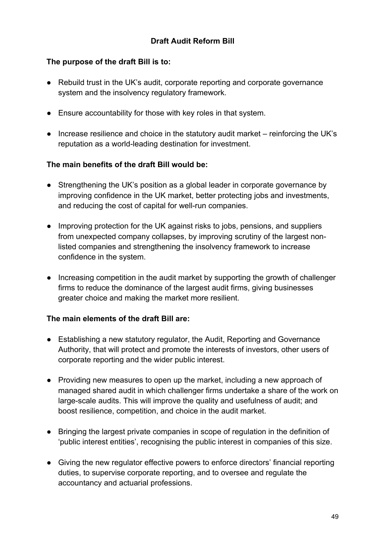## **The purpose of the draft Bill is to:**

- Rebuild trust in the UK's audit, corporate reporting and corporate governance system and the insolvency regulatory framework.
- Ensure accountability for those with key roles in that system.
- Increase resilience and choice in the statutory audit market reinforcing the UK's reputation as a world-leading destination for investment.

## **The main benefits of the draft Bill would be:**

- Strengthening the UK's position as a global leader in corporate governance by improving confidence in the UK market, better protecting jobs and investments, and reducing the cost of capital for well-run companies.
- Improving protection for the UK against risks to jobs, pensions, and suppliers from unexpected company collapses, by improving scrutiny of the largest nonlisted companies and strengthening the insolvency framework to increase confidence in the system.
- Increasing competition in the audit market by supporting the growth of challenger firms to reduce the dominance of the largest audit firms, giving businesses greater choice and making the market more resilient.

## **The main elements of the draft Bill are:**

- Establishing a new statutory regulator, the Audit, Reporting and Governance Authority, that will protect and promote the interests of investors, other users of corporate reporting and the wider public interest.
- Providing new measures to open up the market, including a new approach of managed shared audit in which challenger firms undertake a share of the work on large-scale audits. This will improve the quality and usefulness of audit; and boost resilience, competition, and choice in the audit market.
- Bringing the largest private companies in scope of regulation in the definition of 'public interest entities', recognising the public interest in companies of this size.
- Giving the new regulator effective powers to enforce directors' financial reporting duties, to supervise corporate reporting, and to oversee and regulate the accountancy and actuarial professions.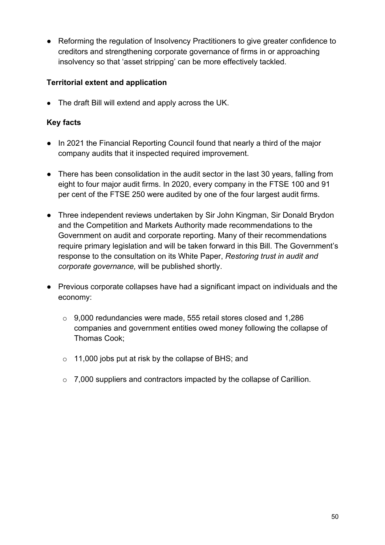● Reforming the regulation of Insolvency Practitioners to give greater confidence to creditors and strengthening corporate governance of firms in or approaching insolvency so that 'asset stripping' can be more effectively tackled.

# **Territorial extent and application**

• The draft Bill will extend and apply across the UK.

- In 2021 the Financial Reporting Council found that nearly a third of the major company audits that it inspected required improvement.
- There has been consolidation in the audit sector in the last 30 years, falling from eight to four major audit firms. In 2020, every company in the FTSE 100 and 91 per cent of the FTSE 250 were audited by one of the four largest audit firms.
- Three independent reviews undertaken by Sir John Kingman, Sir Donald Brydon and the Competition and Markets Authority made recommendations to the Government on audit and corporate reporting. Many of their recommendations require primary legislation and will be taken forward in this Bill. The Government's response to the consultation on its White Paper, *Restoring trust in audit and corporate governance,* will be published shortly.
- Previous corporate collapses have had a significant impact on individuals and the economy:
	- o 9,000 redundancies were made, 555 retail stores closed and 1,286 companies and government entities owed money following the collapse of Thomas Cook;
	- o 11,000 jobs put at risk by the collapse of BHS; and
	- o 7,000 suppliers and contractors impacted by the collapse of Carillion.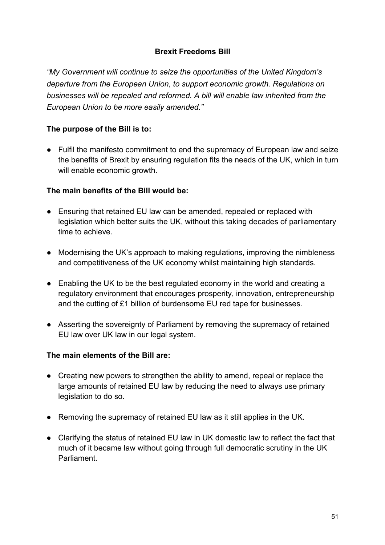# **Brexit Freedoms Bill**

*"My Government will continue to seize the opportunities of the United Kingdom's departure from the European Union, to support economic growth. Regulations on businesses will be repealed and reformed. A bill will enable law inherited from the European Union to be more easily amended."*

# **The purpose of the Bill is to:**

● Fulfil the manifesto commitment to end the supremacy of European law and seize the benefits of Brexit by ensuring regulation fits the needs of the UK, which in turn will enable economic growth.

## **The main benefits of the Bill would be:**

- Ensuring that retained EU law can be amended, repealed or replaced with legislation which better suits the UK, without this taking decades of parliamentary time to achieve.
- Modernising the UK's approach to making regulations, improving the nimbleness and competitiveness of the UK economy whilst maintaining high standards.
- Enabling the UK to be the best regulated economy in the world and creating a regulatory environment that encourages prosperity, innovation, entrepreneurship and the cutting of £1 billion of burdensome EU red tape for businesses.
- Asserting the sovereignty of Parliament by removing the supremacy of retained EU law over UK law in our legal system.

## **The main elements of the Bill are:**

- Creating new powers to strengthen the ability to amend, repeal or replace the large amounts of retained EU law by reducing the need to always use primary legislation to do so.
- Removing the supremacy of retained EU law as it still applies in the UK.
- Clarifying the status of retained EU law in UK domestic law to reflect the fact that much of it became law without going through full democratic scrutiny in the UK Parliament.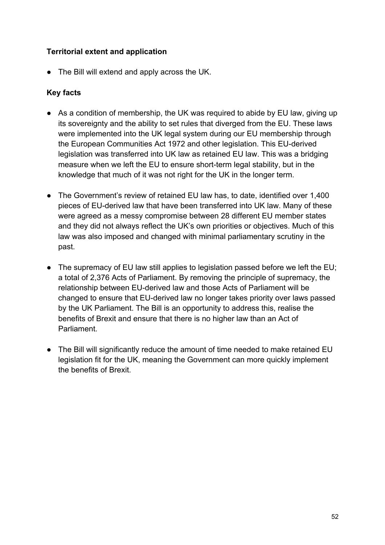## **Territorial extent and application**

● The Bill will extend and apply across the UK.

- As a condition of membership, the UK was required to abide by EU law, giving up its sovereignty and the ability to set rules that diverged from the EU. These laws were implemented into the UK legal system during our EU membership through the European Communities Act 1972 and other legislation. This EU-derived legislation was transferred into UK law as retained EU law. This was a bridging measure when we left the EU to ensure short-term legal stability, but in the knowledge that much of it was not right for the UK in the longer term.
- The Government's review of retained EU law has, to date, identified over 1,400 pieces of EU-derived law that have been transferred into UK law. Many of these were agreed as a messy compromise between 28 different EU member states and they did not always reflect the UK's own priorities or objectives. Much of this law was also imposed and changed with minimal parliamentary scrutiny in the past.
- The supremacy of EU law still applies to legislation passed before we left the EU; a total of 2,376 Acts of Parliament. By removing the principle of supremacy, the relationship between EU-derived law and those Acts of Parliament will be changed to ensure that EU-derived law no longer takes priority over laws passed by the UK Parliament. The Bill is an opportunity to address this, realise the benefits of Brexit and ensure that there is no higher law than an Act of Parliament.
- The Bill will significantly reduce the amount of time needed to make retained EU legislation fit for the UK, meaning the Government can more quickly implement the benefits of Brexit.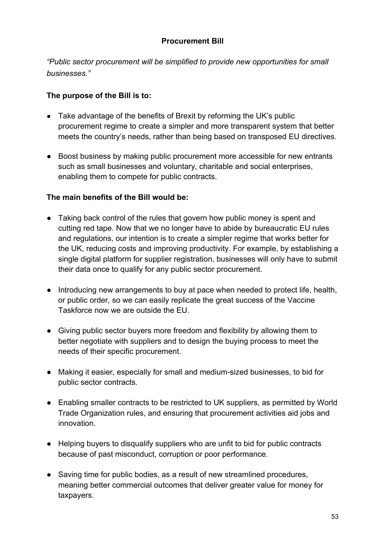## **Procurement Bill**

*"Public sector procurement will be simplified to provide new opportunities for small businesses."*

## **The purpose of the Bill is to:**

- Take advantage of the benefits of Brexit by reforming the UK's public procurement regime to create a simpler and more transparent system that better meets the country's needs, rather than being based on transposed EU directives.
- Boost business by making public procurement more accessible for new entrants such as small businesses and voluntary, charitable and social enterprises, enabling them to compete for public contracts.

## **The main benefits of the Bill would be:**

- Taking back control of the rules that govern how public money is spent and cutting red tape. Now that we no longer have to abide by bureaucratic EU rules and regulations, our intention is to create a simpler regime that works better for the UK, reducing costs and improving productivity. For example, by establishing a single digital platform for supplier registration, businesses will only have to submit their data once to qualify for any public sector procurement.
- Introducing new arrangements to buy at pace when needed to protect life, health, or public order, so we can easily replicate the great success of the Vaccine Taskforce now we are outside the EU.
- Giving public sector buyers more freedom and flexibility by allowing them to better negotiate with suppliers and to design the buying process to meet the needs of their specific procurement.
- Making it easier, especially for small and medium-sized businesses, to bid for public sector contracts.
- Enabling smaller contracts to be restricted to UK suppliers, as permitted by World Trade Organization rules, and ensuring that procurement activities aid jobs and innovation.
- Helping buyers to disqualify suppliers who are unfit to bid for public contracts because of past misconduct, corruption or poor performance.
- Saving time for public bodies, as a result of new streamlined procedures, meaning better commercial outcomes that deliver greater value for money for taxpayers.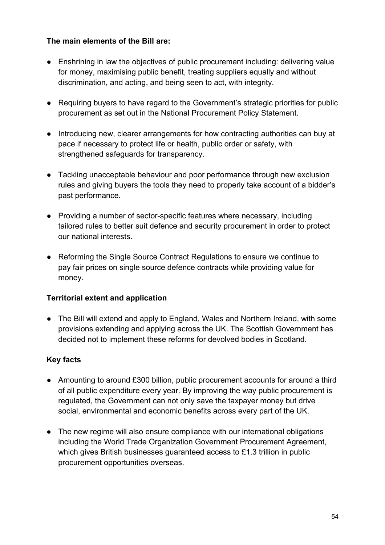## **The main elements of the Bill are:**

- Enshrining in law the objectives of public procurement including: delivering value for money, maximising public benefit, treating suppliers equally and without discrimination, and acting, and being seen to act, with integrity.
- Requiring buyers to have regard to the Government's strategic priorities for public procurement as set out in the National Procurement Policy Statement.
- Introducing new, clearer arrangements for how contracting authorities can buy at pace if necessary to protect life or health, public order or safety, with strengthened safeguards for transparency.
- Tackling unacceptable behaviour and poor performance through new exclusion rules and giving buyers the tools they need to properly take account of a bidder's past performance.
- Providing a number of sector-specific features where necessary, including tailored rules to better suit defence and security procurement in order to protect our national interests.
- Reforming the Single Source Contract Regulations to ensure we continue to pay fair prices on single source defence contracts while providing value for money.

## **Territorial extent and application**

● The Bill will extend and apply to England, Wales and Northern Ireland, with some provisions extending and applying across the UK. The Scottish Government has decided not to implement these reforms for devolved bodies in Scotland.

- Amounting to around £300 billion, public procurement accounts for around a third of all public expenditure every year. By improving the way public procurement is regulated, the Government can not only save the taxpayer money but drive social, environmental and economic benefits across every part of the UK.
- The new regime will also ensure compliance with our international obligations including the World Trade Organization Government Procurement Agreement, which gives British businesses guaranteed access to £1.3 trillion in public procurement opportunities overseas.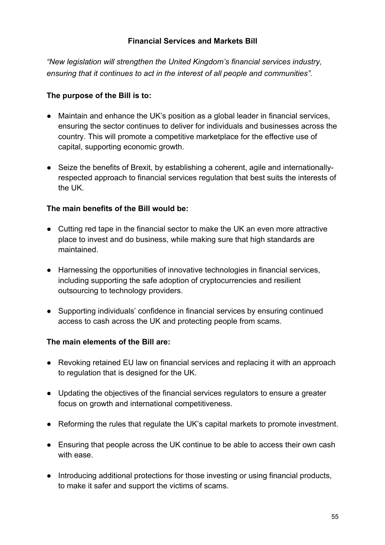## **Financial Services and Markets Bill**

*"New legislation will strengthen the United Kingdom's financial services industry, ensuring that it continues to act in the interest of all people and communities".* 

### **The purpose of the Bill is to:**

- Maintain and enhance the UK's position as a global leader in financial services, ensuring the sector continues to deliver for individuals and businesses across the country. This will promote a competitive marketplace for the effective use of capital, supporting economic growth.
- Seize the benefits of Brexit, by establishing a coherent, agile and internationallyrespected approach to financial services regulation that best suits the interests of the UK.

#### **The main benefits of the Bill would be:**

- Cutting red tape in the financial sector to make the UK an even more attractive place to invest and do business, while making sure that high standards are maintained.
- Harnessing the opportunities of innovative technologies in financial services, including supporting the safe adoption of cryptocurrencies and resilient outsourcing to technology providers.
- Supporting individuals' confidence in financial services by ensuring continued access to cash across the UK and protecting people from scams.

#### **The main elements of the Bill are:**

- Revoking retained EU law on financial services and replacing it with an approach to regulation that is designed for the UK.
- Updating the objectives of the financial services regulators to ensure a greater focus on growth and international competitiveness.
- Reforming the rules that regulate the UK's capital markets to promote investment.
- Ensuring that people across the UK continue to be able to access their own cash with ease.
- Introducing additional protections for those investing or using financial products, to make it safer and support the victims of scams.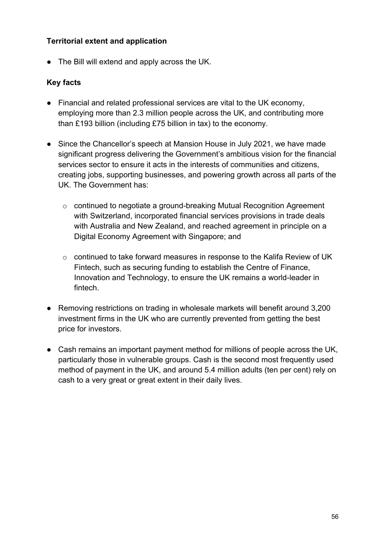## **Territorial extent and application**

● The Bill will extend and apply across the UK.

- Financial and related professional services are vital to the UK economy, employing more than 2.3 million people across the UK, and contributing more than £193 billion (including £75 billion in tax) to the economy.
- Since the Chancellor's speech at Mansion House in July 2021, we have made significant progress delivering the Government's ambitious vision for the financial services sector to ensure it acts in the interests of communities and citizens, creating jobs, supporting businesses, and powering growth across all parts of the UK. The Government has:
	- o continued to negotiate a ground-breaking Mutual Recognition Agreement with Switzerland, incorporated financial services provisions in trade deals with Australia and New Zealand, and reached agreement in principle on a Digital Economy Agreement with Singapore; and
	- o continued to take forward measures in response to the Kalifa Review of UK Fintech, such as securing funding to establish the Centre of Finance, Innovation and Technology, to ensure the UK remains a world-leader in fintech.
- Removing restrictions on trading in wholesale markets will benefit around 3,200 investment firms in the UK who are currently prevented from getting the best price for investors.
- Cash remains an important payment method for millions of people across the UK, particularly those in vulnerable groups. Cash is the second most frequently used method of payment in the UK, and around 5.4 million adults (ten per cent) rely on cash to a very great or great extent in their daily lives.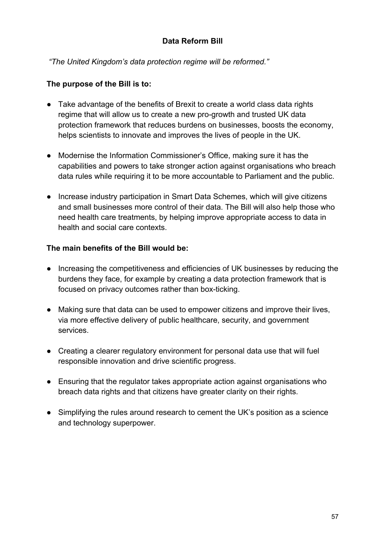## **Data Reform Bill**

 *"The United Kingdom's data protection regime will be reformed."*

## **The purpose of the Bill is to:**

- Take advantage of the benefits of Brexit to create a world class data rights regime that will allow us to create a new pro-growth and trusted UK data protection framework that reduces burdens on businesses, boosts the economy, helps scientists to innovate and improves the lives of people in the UK.
- Modernise the Information Commissioner's Office, making sure it has the capabilities and powers to take stronger action against organisations who breach data rules while requiring it to be more accountable to Parliament and the public.
- Increase industry participation in Smart Data Schemes, which will give citizens and small businesses more control of their data. The Bill will also help those who need health care treatments, by helping improve appropriate access to data in health and social care contexts.

## **The main benefits of the Bill would be:**

- Increasing the competitiveness and efficiencies of UK businesses by reducing the burdens they face, for example by creating a data protection framework that is focused on privacy outcomes rather than box-ticking.
- Making sure that data can be used to empower citizens and improve their lives, via more effective delivery of public healthcare, security, and government services.
- Creating a clearer regulatory environment for personal data use that will fuel responsible innovation and drive scientific progress.
- Ensuring that the regulator takes appropriate action against organisations who breach data rights and that citizens have greater clarity on their rights.
- Simplifying the rules around research to cement the UK's position as a science and technology superpower.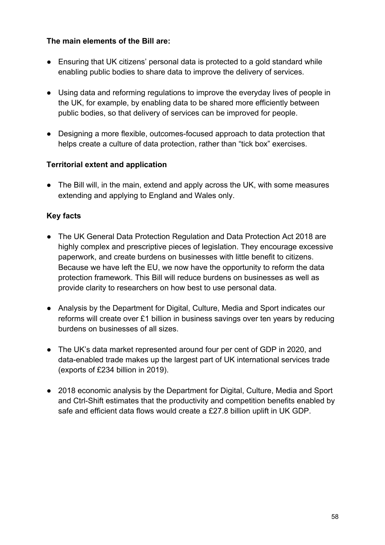## **The main elements of the Bill are:**

- Ensuring that UK citizens' personal data is protected to a gold standard while enabling public bodies to share data to improve the delivery of services.
- Using data and reforming regulations to improve the everyday lives of people in the UK, for example, by enabling data to be shared more efficiently between public bodies, so that delivery of services can be improved for people.
- Designing a more flexible, outcomes-focused approach to data protection that helps create a culture of data protection, rather than "tick box" exercises.

## **Territorial extent and application**

● The Bill will, in the main, extend and apply across the UK, with some measures extending and applying to England and Wales only.

- The UK General Data Protection Regulation and Data Protection Act 2018 are highly complex and prescriptive pieces of legislation. They encourage excessive paperwork, and create burdens on businesses with little benefit to citizens. Because we have left the EU, we now have the opportunity to reform the data protection framework. This Bill will reduce burdens on businesses as well as provide clarity to researchers on how best to use personal data.
- Analysis by the Department for Digital, Culture, Media and Sport indicates our reforms will create over £1 billion in business savings over ten years by reducing burdens on businesses of all sizes.
- The UK's data market represented around four per cent of GDP in 2020, and data-enabled trade makes up the largest part of UK international services trade (exports of £234 billion in 2019).
- 2018 economic analysis by the Department for Digital, Culture, Media and Sport and Ctrl-Shift estimates that the productivity and competition benefits enabled by safe and efficient data flows would create a £27.8 billion uplift in UK GDP.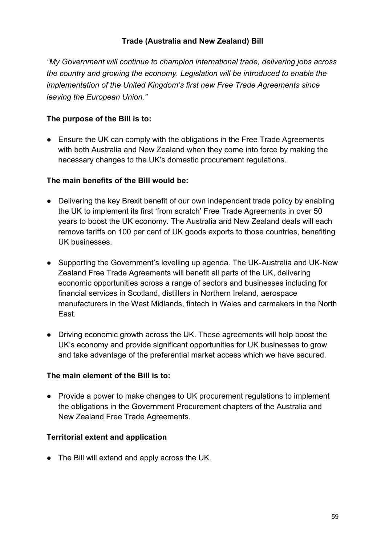## **Trade (Australia and New Zealand) Bill**

*"My Government will continue to champion international trade, delivering jobs across the country and growing the economy. Legislation will be introduced to enable the implementation of the United Kingdom's first new Free Trade Agreements since leaving the European Union."*

## **The purpose of the Bill is to:**

● Ensure the UK can comply with the obligations in the Free Trade Agreements with both Australia and New Zealand when they come into force by making the necessary changes to the UK's domestic procurement regulations.

## **The main benefits of the Bill would be:**

- Delivering the key Brexit benefit of our own independent trade policy by enabling the UK to implement its first 'from scratch' Free Trade Agreements in over 50 years to boost the UK economy. The Australia and New Zealand deals will each remove tariffs on 100 per cent of UK goods exports to those countries, benefiting UK businesses.
- Supporting the Government's levelling up agenda. The UK-Australia and UK-New Zealand Free Trade Agreements will benefit all parts of the UK, delivering economic opportunities across a range of sectors and businesses including for financial services in Scotland, distillers in Northern Ireland, aerospace manufacturers in the West Midlands, fintech in Wales and carmakers in the North East.
- Driving economic growth across the UK. These agreements will help boost the UK's economy and provide significant opportunities for UK businesses to grow and take advantage of the preferential market access which we have secured.

## **The main element of the Bill is to:**

● Provide a power to make changes to UK procurement regulations to implement the obligations in the Government Procurement chapters of the Australia and New Zealand Free Trade Agreements.

## **Territorial extent and application**

● The Bill will extend and apply across the UK.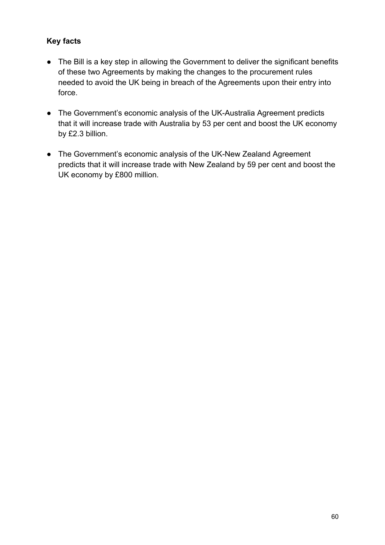- The Bill is a key step in allowing the Government to deliver the significant benefits of these two Agreements by making the changes to the procurement rules needed to avoid the UK being in breach of the Agreements upon their entry into force.
- The Government's economic analysis of the UK-Australia Agreement predicts that it will increase trade with Australia by 53 per cent and boost the UK economy by £2.3 billion.
- The Government's economic analysis of the UK-New Zealand Agreement predicts that it will increase trade with New Zealand by 59 per cent and boost the UK economy by £800 million.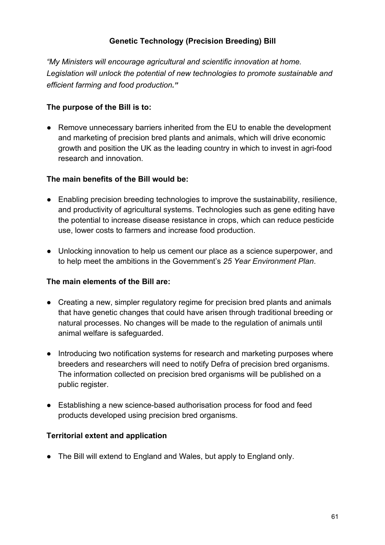# **Genetic Technology (Precision Breeding) Bill**

*"My Ministers will encourage agricultural and scientific innovation at home. Legislation will unlock the potential of new technologies to promote sustainable and efficient farming and food production."*

## **The purpose of the Bill is to:**

● Remove unnecessary barriers inherited from the EU to enable the development and marketing of precision bred plants and animals, which will drive economic growth and position the UK as the leading country in which to invest in agri-food research and innovation.

## **The main benefits of the Bill would be:**

- Enabling precision breeding technologies to improve the sustainability, resilience, and productivity of agricultural systems. Technologies such as gene editing have the potential to increase disease resistance in crops, which can reduce pesticide use, lower costs to farmers and increase food production.
- Unlocking innovation to help us cement our place as a science superpower, and to help meet the ambitions in the Government's *25 Year Environment Plan*.

## **The main elements of the Bill are:**

- Creating a new, simpler regulatory regime for precision bred plants and animals that have genetic changes that could have arisen through traditional breeding or natural processes. No changes will be made to the regulation of animals until animal welfare is safeguarded.
- Introducing two notification systems for research and marketing purposes where breeders and researchers will need to notify Defra of precision bred organisms. The information collected on precision bred organisms will be published on a public register.
- Establishing a new science-based authorisation process for food and feed products developed using precision bred organisms.

## **Territorial extent and application**

• The Bill will extend to England and Wales, but apply to England only.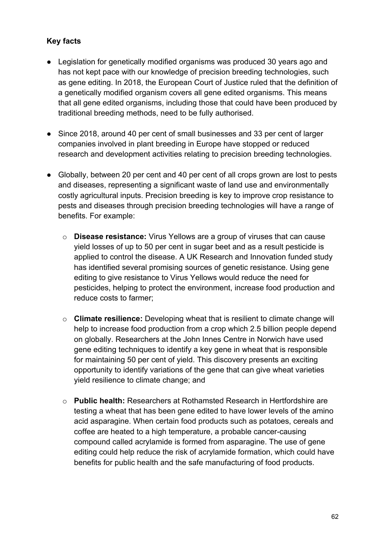- Legislation for genetically modified organisms was produced 30 years ago and has not kept pace with our knowledge of precision breeding technologies, such as gene editing. In 2018, the European Court of Justice ruled that the definition of a genetically modified organism covers all gene edited organisms. This means that all gene edited organisms, including those that could have been produced by traditional breeding methods, need to be fully authorised.
- Since 2018, around 40 per cent of small businesses and 33 per cent of larger companies involved in plant breeding in Europe have stopped or reduced research and development activities relating to precision breeding technologies.
- Globally, between 20 per cent and 40 per cent of all crops grown are lost to pests and diseases, representing a significant waste of land use and environmentally costly agricultural inputs. Precision breeding is key to improve crop resistance to pests and diseases through precision breeding technologies will have a range of benefits. For example:
	- o **Disease resistance:** Virus Yellows are a group of viruses that can cause yield losses of up to 50 per cent in sugar beet and as a result pesticide is applied to control the disease. A UK Research and Innovation funded study has identified several promising sources of genetic resistance. Using gene editing to give resistance to Virus Yellows would reduce the need for pesticides, helping to protect the environment, increase food production and reduce costs to farmer;
	- o **Climate resilience:** Developing wheat that is resilient to climate change will help to increase food production from a crop which 2.5 billion people depend on globally. Researchers at the John Innes Centre in Norwich have used gene editing techniques to identify a key gene in wheat that is responsible for maintaining 50 per cent of yield. This discovery presents an exciting opportunity to identify variations of the gene that can give wheat varieties yield resilience to climate change; and
	- o **Public health:** Researchers at Rothamsted Research in Hertfordshire are testing a wheat that has been gene edited to have lower levels of the amino acid asparagine. When certain food products such as potatoes, cereals and coffee are heated to a high temperature, a probable cancer-causing compound called acrylamide is formed from asparagine. The use of gene editing could help reduce the risk of acrylamide formation, which could have benefits for public health and the safe manufacturing of food products.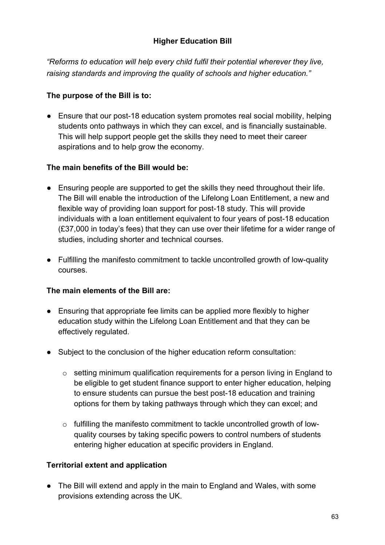# **Higher Education Bill**

*"Reforms to education will help every child fulfil their potential wherever they live, raising standards and improving the quality of schools and higher education."*

## **The purpose of the Bill is to:**

● Ensure that our post-18 education system promotes real social mobility, helping students onto pathways in which they can excel, and is financially sustainable. This will help support people get the skills they need to meet their career aspirations and to help grow the economy.

## **The main benefits of the Bill would be:**

- Ensuring people are supported to get the skills they need throughout their life. The Bill will enable the introduction of the Lifelong Loan Entitlement, a new and flexible way of providing loan support for post-18 study. This will provide individuals with a loan entitlement equivalent to four years of post-18 education (£37,000 in today's fees) that they can use over their lifetime for a wider range of studies, including shorter and technical courses.
- Fulfilling the manifesto commitment to tackle uncontrolled growth of low-quality courses.

## **The main elements of the Bill are:**

- Ensuring that appropriate fee limits can be applied more flexibly to higher education study within the Lifelong Loan Entitlement and that they can be effectively regulated.
- Subject to the conclusion of the higher education reform consultation:
	- o setting minimum qualification requirements for a person living in England to be eligible to get student finance support to enter higher education, helping to ensure students can pursue the best post-18 education and training options for them by taking pathways through which they can excel; and
	- o fulfilling the manifesto commitment to tackle uncontrolled growth of lowquality courses by taking specific powers to control numbers of students entering higher education at specific providers in England.

## **Territorial extent and application**

• The Bill will extend and apply in the main to England and Wales, with some provisions extending across the UK.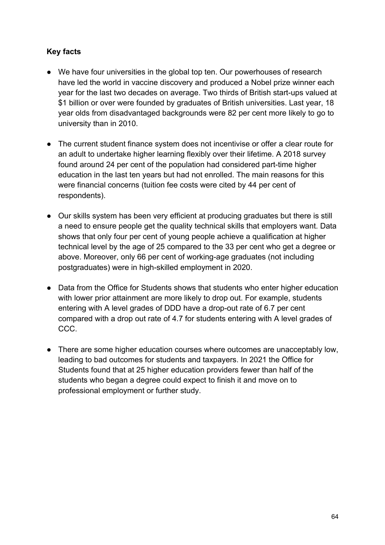- We have four universities in the global top ten. Our powerhouses of research have led the world in vaccine discovery and produced a Nobel prize winner each year for the last two decades on average. Two thirds of British start-ups valued at \$1 billion or over were founded by graduates of British universities. Last year, 18 year olds from disadvantaged backgrounds were 82 per cent more likely to go to university than in 2010.
- The current student finance system does not incentivise or offer a clear route for an adult to undertake higher learning flexibly over their lifetime. A 2018 survey found around 24 per cent of the population had considered part-time higher education in the last ten years but had not enrolled. The main reasons for this were financial concerns (tuition fee costs were cited by 44 per cent of respondents).
- Our skills system has been very efficient at producing graduates but there is still a need to ensure people get the quality technical skills that employers want. Data shows that only four per cent of young people achieve a qualification at higher technical level by the age of 25 compared to the 33 per cent who get a degree or above. Moreover, only 66 per cent of working-age graduates (not including postgraduates) were in high-skilled employment in 2020.
- Data from the Office for Students shows that students who enter higher education with lower prior attainment are more likely to drop out. For example, students entering with A level grades of DDD have a drop-out rate of 6.7 per cent compared with a drop out rate of 4.7 for students entering with A level grades of CCC.
- There are some higher education courses where outcomes are unacceptably low, leading to bad outcomes for students and taxpayers. In 2021 the Office for Students found that at 25 higher education providers fewer than half of the students who began a degree could expect to finish it and move on to professional employment or further study.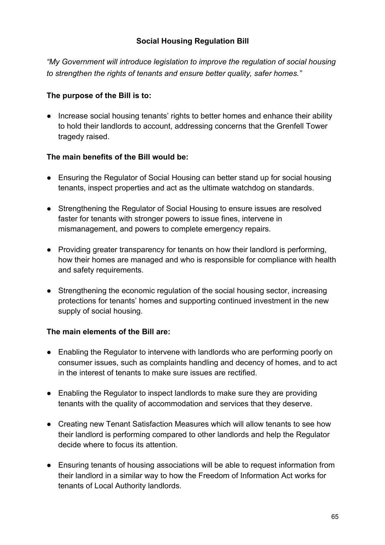## **Social Housing Regulation Bill**

*"My Government will introduce legislation to improve the regulation of social housing to strengthen the rights of tenants and ensure better quality, safer homes."*

### **The purpose of the Bill is to:**

● Increase social housing tenants' rights to better homes and enhance their ability to hold their landlords to account, addressing concerns that the Grenfell Tower tragedy raised.

#### **The main benefits of the Bill would be:**

- Ensuring the Regulator of Social Housing can better stand up for social housing tenants, inspect properties and act as the ultimate watchdog on standards.
- Strengthening the Regulator of Social Housing to ensure issues are resolved faster for tenants with stronger powers to issue fines, intervene in mismanagement, and powers to complete emergency repairs.
- Providing greater transparency for tenants on how their landlord is performing, how their homes are managed and who is responsible for compliance with health and safety requirements.
- Strengthening the economic regulation of the social housing sector, increasing protections for tenants' homes and supporting continued investment in the new supply of social housing.

## **The main elements of the Bill are:**

- Enabling the Regulator to intervene with landlords who are performing poorly on consumer issues, such as complaints handling and decency of homes, and to act in the interest of tenants to make sure issues are rectified.
- Enabling the Regulator to inspect landlords to make sure they are providing tenants with the quality of accommodation and services that they deserve.
- Creating new Tenant Satisfaction Measures which will allow tenants to see how their landlord is performing compared to other landlords and help the Regulator decide where to focus its attention.
- Ensuring tenants of housing associations will be able to request information from their landlord in a similar way to how the Freedom of Information Act works for tenants of Local Authority landlords.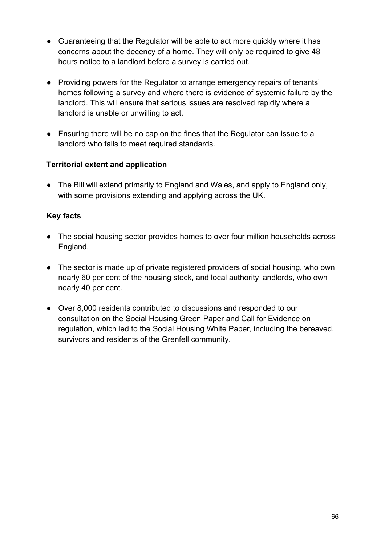- Guaranteeing that the Regulator will be able to act more quickly where it has concerns about the decency of a home. They will only be required to give 48 hours notice to a landlord before a survey is carried out.
- Providing powers for the Regulator to arrange emergency repairs of tenants' homes following a survey and where there is evidence of systemic failure by the landlord. This will ensure that serious issues are resolved rapidly where a landlord is unable or unwilling to act.
- Ensuring there will be no cap on the fines that the Regulator can issue to a landlord who fails to meet required standards.

## **Territorial extent and application**

● The Bill will extend primarily to England and Wales, and apply to England only, with some provisions extending and applying across the UK.

- The social housing sector provides homes to over four million households across England.
- The sector is made up of private registered providers of social housing, who own nearly 60 per cent of the housing stock, and local authority landlords, who own nearly 40 per cent.
- Over 8,000 residents contributed to discussions and responded to our consultation on the Social Housing Green Paper and Call for Evidence on regulation, which led to the Social Housing White Paper, including the bereaved, survivors and residents of the Grenfell community.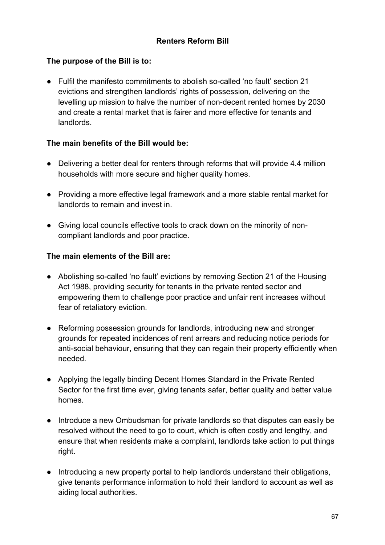# **The purpose of the Bill is to:**

● Fulfil the manifesto commitments to abolish so-called 'no fault' section 21 evictions and strengthen landlords' rights of possession, delivering on the levelling up mission to halve the number of non-decent rented homes by 2030 and create a rental market that is fairer and more effective for tenants and landlords.

## **The main benefits of the Bill would be:**

- Delivering a better deal for renters through reforms that will provide 4.4 million households with more secure and higher quality homes.
- Providing a more effective legal framework and a more stable rental market for landlords to remain and invest in.
- Giving local councils effective tools to crack down on the minority of noncompliant landlords and poor practice.

## **The main elements of the Bill are:**

- Abolishing so-called 'no fault' evictions by removing Section 21 of the Housing Act 1988, providing security for tenants in the private rented sector and empowering them to challenge poor practice and unfair rent increases without fear of retaliatory eviction.
- Reforming possession grounds for landlords, introducing new and stronger grounds for repeated incidences of rent arrears and reducing notice periods for anti-social behaviour, ensuring that they can regain their property efficiently when needed.
- Applying the legally binding Decent Homes Standard in the Private Rented Sector for the first time ever, giving tenants safer, better quality and better value homes.
- Introduce a new Ombudsman for private landlords so that disputes can easily be resolved without the need to go to court, which is often costly and lengthy, and ensure that when residents make a complaint, landlords take action to put things right.
- Introducing a new property portal to help landlords understand their obligations, give tenants performance information to hold their landlord to account as well as aiding local authorities.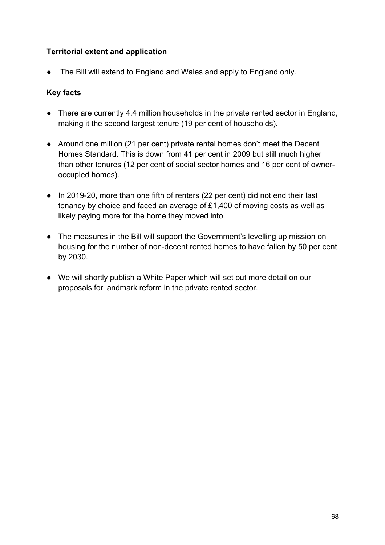## **Territorial extent and application**

● The Bill will extend to England and Wales and apply to England only.

- There are currently 4.4 million households in the private rented sector in England, making it the second largest tenure (19 per cent of households).
- Around one million (21 per cent) private rental homes don't meet the Decent Homes Standard. This is down from 41 per cent in 2009 but still much higher than other tenures (12 per cent of social sector homes and 16 per cent of owneroccupied homes).
- In 2019-20, more than one fifth of renters (22 per cent) did not end their last tenancy by choice and faced an average of £1,400 of moving costs as well as likely paying more for the home they moved into.
- The measures in the Bill will support the Government's levelling up mission on housing for the number of non-decent rented homes to have fallen by 50 per cent by 2030.
- We will shortly publish a White Paper which will set out more detail on our proposals for landmark reform in the private rented sector.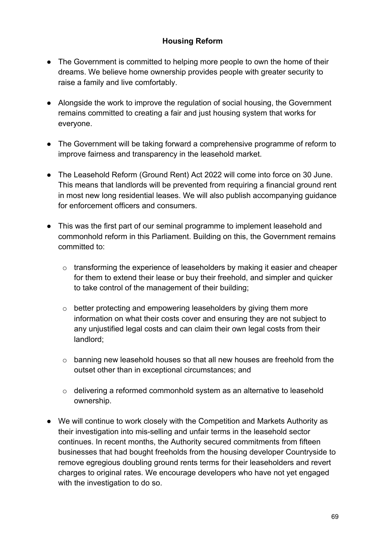# **Housing Reform**

- The Government is committed to helping more people to own the home of their dreams. We believe home ownership provides people with greater security to raise a family and live comfortably.
- Alongside the work to improve the regulation of social housing, the Government remains committed to creating a fair and just housing system that works for everyone.
- The Government will be taking forward a comprehensive programme of reform to improve fairness and transparency in the leasehold market.
- The Leasehold Reform (Ground Rent) Act 2022 will come into force on 30 June. This means that landlords will be prevented from requiring a financial ground rent in most new long residential leases. We will also publish accompanying guidance for enforcement officers and consumers.
- This was the first part of our seminal programme to implement leasehold and commonhold reform in this Parliament. Building on this, the Government remains committed to:
	- o transforming the experience of leaseholders by making it easier and cheaper for them to extend their lease or buy their freehold, and simpler and quicker to take control of the management of their building;
	- o better protecting and empowering leaseholders by giving them more information on what their costs cover and ensuring they are not subject to any unjustified legal costs and can claim their own legal costs from their landlord;
	- o banning new leasehold houses so that all new houses are freehold from the outset other than in exceptional circumstances; and
	- o delivering a reformed commonhold system as an alternative to leasehold ownership.
- We will continue to work closely with the Competition and Markets Authority as their investigation into mis-selling and unfair terms in the leasehold sector continues. In recent months, the Authority secured commitments from fifteen businesses that had bought freeholds from the housing developer Countryside to remove egregious doubling ground rents terms for their leaseholders and revert charges to original rates. We encourage developers who have not yet engaged with the investigation to do so.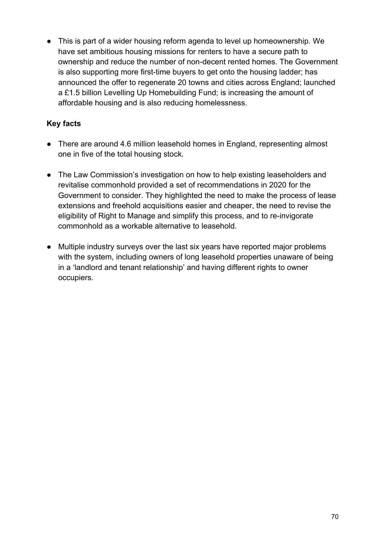● This is part of a wider housing reform agenda to level up homeownership. We have set ambitious housing missions for renters to have a secure path to ownership and reduce the number of non-decent rented homes. The Government is also supporting more first-time buyers to get onto the housing ladder; has announced the offer to regenerate 20 towns and cities across England; launched a £1.5 billion Levelling Up Homebuilding Fund; is increasing the amount of affordable housing and is also reducing homelessness.

- There are around 4.6 million leasehold homes in England, representing almost one in five of the total housing stock.
- The Law Commission's investigation on how to help existing leaseholders and revitalise commonhold provided a set of recommendations in 2020 for the Government to consider. They highlighted the need to make the process of lease extensions and freehold acquisitions easier and cheaper, the need to revise the eligibility of Right to Manage and simplify this process, and to re-invigorate commonhold as a workable alternative to leasehold.
- Multiple industry surveys over the last six years have reported major problems with the system, including owners of long leasehold properties unaware of being in a 'landlord and tenant relationship' and having different rights to owner occupiers.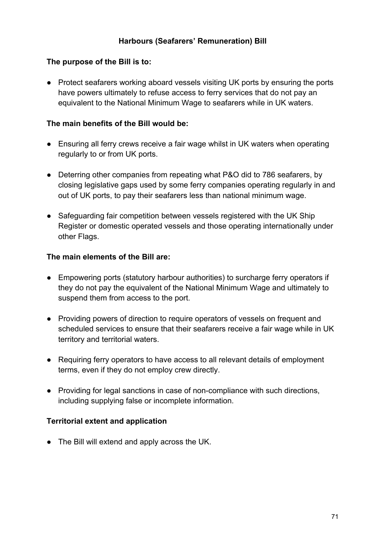## **Harbours (Seafarers' Remuneration) Bill**

## **The purpose of the Bill is to:**

● Protect seafarers working aboard vessels visiting UK ports by ensuring the ports have powers ultimately to refuse access to ferry services that do not pay an equivalent to the National Minimum Wage to seafarers while in UK waters.

## **The main benefits of the Bill would be:**

- Ensuring all ferry crews receive a fair wage whilst in UK waters when operating regularly to or from UK ports.
- Deterring other companies from repeating what P&O did to 786 seafarers, by closing legislative gaps used by some ferry companies operating regularly in and out of UK ports, to pay their seafarers less than national minimum wage.
- Safeguarding fair competition between vessels registered with the UK Ship Register or domestic operated vessels and those operating internationally under other Flags.

## **The main elements of the Bill are:**

- Empowering ports (statutory harbour authorities) to surcharge ferry operators if they do not pay the equivalent of the National Minimum Wage and ultimately to suspend them from access to the port.
- Providing powers of direction to require operators of vessels on frequent and scheduled services to ensure that their seafarers receive a fair wage while in UK territory and territorial waters.
- Requiring ferry operators to have access to all relevant details of employment terms, even if they do not employ crew directly.
- Providing for legal sanctions in case of non-compliance with such directions, including supplying false or incomplete information.

# **Territorial extent and application**

● The Bill will extend and apply across the UK.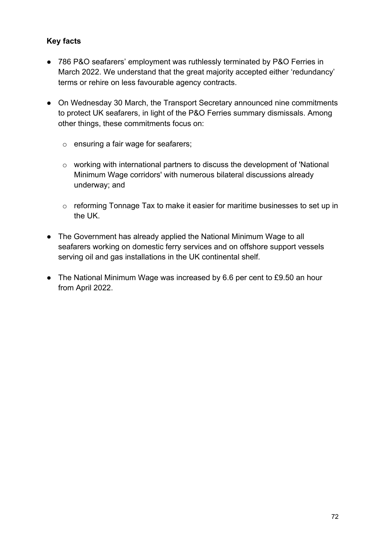- 786 P&O seafarers' employment was ruthlessly terminated by P&O Ferries in March 2022. We understand that the great majority accepted either 'redundancy' terms or rehire on less favourable agency contracts.
- On Wednesday 30 March, the Transport Secretary announced nine commitments to protect UK seafarers, in light of the P&O Ferries summary dismissals. Among other things, these commitments focus on:
	- o ensuring a fair wage for seafarers;
	- o working with international partners to discuss the development of 'National Minimum Wage corridors' with numerous bilateral discussions already underway; and
	- o reforming Tonnage Tax to make it easier for maritime businesses to set up in the UK.
- The Government has already applied the National Minimum Wage to all seafarers working on domestic ferry services and on offshore support vessels serving oil and gas installations in the UK continental shelf.
- The National Minimum Wage was increased by 6.6 per cent to £9.50 an hour from April 2022.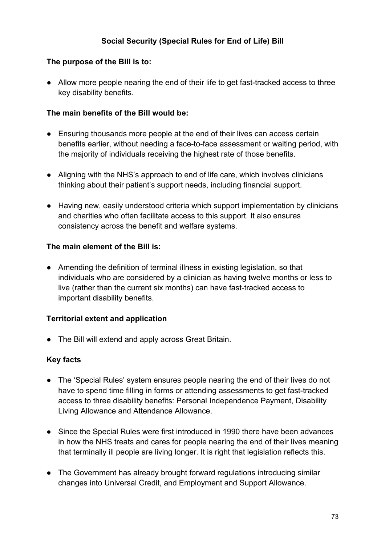## **Social Security (Special Rules for End of Life) Bill**

#### **The purpose of the Bill is to:**

● Allow more people nearing the end of their life to get fast-tracked access to three key disability benefits.

#### **The main benefits of the Bill would be:**

- Ensuring thousands more people at the end of their lives can access certain benefits earlier, without needing a face-to-face assessment or waiting period, with the majority of individuals receiving the highest rate of those benefits.
- Aligning with the NHS's approach to end of life care, which involves clinicians thinking about their patient's support needs, including financial support.
- Having new, easily understood criteria which support implementation by clinicians and charities who often facilitate access to this support. It also ensures consistency across the benefit and welfare systems.

#### **The main element of the Bill is:**

● Amending the definition of terminal illness in existing legislation, so that individuals who are considered by a clinician as having twelve months or less to live (rather than the current six months) can have fast-tracked access to important disability benefits.

#### **Territorial extent and application**

• The Bill will extend and apply across Great Britain.

- The 'Special Rules' system ensures people nearing the end of their lives do not have to spend time filling in forms or attending assessments to get fast-tracked access to three disability benefits: Personal Independence Payment, Disability Living Allowance and Attendance Allowance.
- Since the Special Rules were first introduced in 1990 there have been advances in how the NHS treats and cares for people nearing the end of their lives meaning that terminally ill people are living longer. It is right that legislation reflects this.
- The Government has already brought forward regulations introducing similar changes into Universal Credit, and Employment and Support Allowance.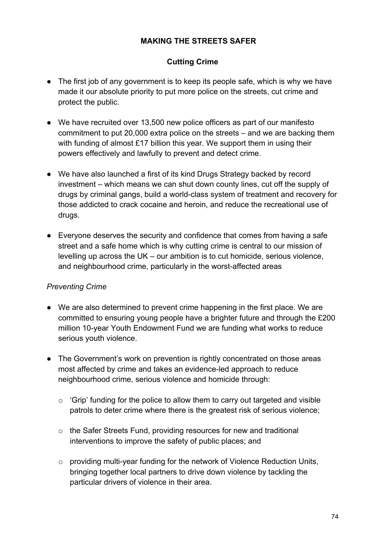### **MAKING THE STREETS SAFER**

## **Cutting Crime**

- The first job of any government is to keep its people safe, which is why we have made it our absolute priority to put more police on the streets, cut crime and protect the public.
- We have recruited over 13,500 new police officers as part of our manifesto commitment to put 20,000 extra police on the streets – and we are backing them with funding of almost £17 billion this year. We support them in using their powers effectively and lawfully to prevent and detect crime.
- We have also launched a first of its kind Drugs Strategy backed by record investment – which means we can shut down county lines, cut off the supply of drugs by criminal gangs, build a world-class system of treatment and recovery for those addicted to crack cocaine and heroin, and reduce the recreational use of drugs.
- Everyone deserves the security and confidence that comes from having a safe street and a safe home which is why cutting crime is central to our mission of levelling up across the UK – our ambition is to cut homicide, serious violence, and neighbourhood crime, particularly in the worst-affected areas

#### *Preventing Crime*

- We are also determined to prevent crime happening in the first place. We are committed to ensuring young people have a brighter future and through the £200 million 10-year Youth Endowment Fund we are funding what works to reduce serious youth violence.
- The Government's work on prevention is rightly concentrated on those areas most affected by crime and takes an evidence-led approach to reduce neighbourhood crime, serious violence and homicide through:
	- $\circ$  'Grip' funding for the police to allow them to carry out targeted and visible patrols to deter crime where there is the greatest risk of serious violence;
	- o the Safer Streets Fund, providing resources for new and traditional interventions to improve the safety of public places; and
	- o providing multi-year funding for the network of Violence Reduction Units, bringing together local partners to drive down violence by tackling the particular drivers of violence in their area.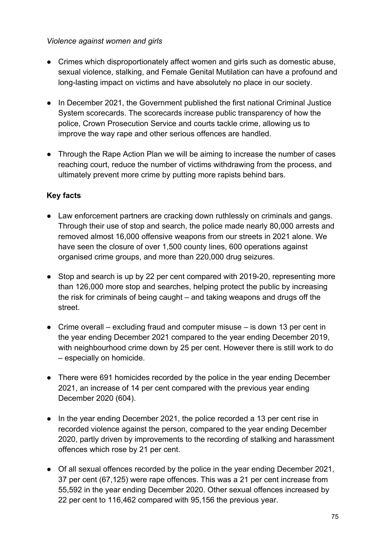#### *Violence against women and girls*

- Crimes which disproportionately affect women and girls such as domestic abuse, sexual violence, stalking, and Female Genital Mutilation can have a profound and long-lasting impact on victims and have absolutely no place in our society.
- In December 2021, the Government published the first national Criminal Justice System scorecards. The scorecards increase public transparency of how the police, Crown Prosecution Service and courts tackle crime, allowing us to improve the way rape and other serious offences are handled.
- Through the Rape Action Plan we will be aiming to increase the number of cases reaching court, reduce the number of victims withdrawing from the process, and ultimately prevent more crime by putting more rapists behind bars.

- Law enforcement partners are cracking down ruthlessly on criminals and gangs. Through their use of stop and search, the police made nearly 80,000 arrests and removed almost 16,000 offensive weapons from our streets in 2021 alone. We have seen the closure of over 1,500 county lines, 600 operations against organised crime groups, and more than 220,000 drug seizures.
- Stop and search is up by 22 per cent compared with 2019-20, representing more than 126,000 more stop and searches, helping protect the public by increasing the risk for criminals of being caught – and taking weapons and drugs off the street.
- $\bullet$  Crime overall excluding fraud and computer misuse is down 13 per cent in the year ending December 2021 compared to the year ending December 2019, with neighbourhood crime down by 25 per cent. However there is still work to do – especially on homicide.
- There were 691 homicides recorded by the police in the year ending December 2021, an increase of 14 per cent compared with the previous year ending December 2020 (604).
- In the year ending December 2021, the police recorded a 13 per cent rise in recorded violence against the person, compared to the year ending December 2020, partly driven by improvements to the recording of stalking and harassment offences which rose by 21 per cent.
- Of all sexual offences recorded by the police in the year ending December 2021, 37 per cent (67,125) were rape offences. This was a 21 per cent increase from 55,592 in the year ending December 2020. Other sexual offences increased by 22 per cent to 116,462 compared with 95,156 the previous year.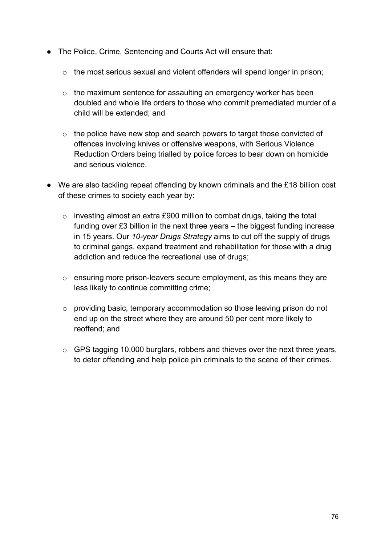- The Police, Crime, Sentencing and Courts Act will ensure that:
	- o the most serious sexual and violent offenders will spend longer in prison;
	- o the maximum sentence for assaulting an emergency worker has been doubled and whole life orders to those who commit premediated murder of a child will be extended; and
	- o the police have new stop and search powers to target those convicted of offences involving knives or offensive weapons, with Serious Violence Reduction Orders being trialled by police forces to bear down on homicide and serious violence.
- We are also tackling repeat offending by known criminals and the £18 billion cost of these crimes to society each year by:
	- o investing almost an extra £900 million to combat drugs, taking the total funding over £3 billion in the next three years – the biggest funding increase in 15 years. Our *10-year Drugs Strategy* aims to cut off the supply of drugs to criminal gangs, expand treatment and rehabilitation for those with a drug addiction and reduce the recreational use of drugs;
	- o ensuring more prison-leavers secure employment, as this means they are less likely to continue committing crime;
	- o providing basic, temporary accommodation so those leaving prison do not end up on the street where they are around 50 per cent more likely to reoffend; and
	- o GPS tagging 10,000 burglars, robbers and thieves over the next three years, to deter offending and help police pin criminals to the scene of their crimes.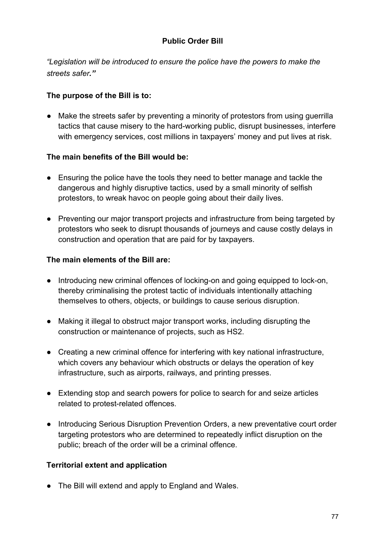## **Public Order Bill**

*"Legislation will be introduced to ensure the police have the powers to make the streets safer."*

### **The purpose of the Bill is to:**

● Make the streets safer by preventing a minority of protestors from using guerrilla tactics that cause misery to the hard-working public, disrupt businesses, interfere with emergency services, cost millions in taxpayers' money and put lives at risk.

#### **The main benefits of the Bill would be:**

- Ensuring the police have the tools they need to better manage and tackle the dangerous and highly disruptive tactics, used by a small minority of selfish protestors, to wreak havoc on people going about their daily lives.
- Preventing our major transport projects and infrastructure from being targeted by protestors who seek to disrupt thousands of journeys and cause costly delays in construction and operation that are paid for by taxpayers.

#### **The main elements of the Bill are:**

- Introducing new criminal offences of locking-on and going equipped to lock-on, thereby criminalising the protest tactic of individuals intentionally attaching themselves to others, objects, or buildings to cause serious disruption.
- Making it illegal to obstruct major transport works, including disrupting the construction or maintenance of projects, such as HS2.
- Creating a new criminal offence for interfering with key national infrastructure, which covers any behaviour which obstructs or delays the operation of key infrastructure, such as airports, railways, and printing presses.
- Extending stop and search powers for police to search for and seize articles related to protest-related offences.
- Introducing Serious Disruption Prevention Orders, a new preventative court order targeting protestors who are determined to repeatedly inflict disruption on the public; breach of the order will be a criminal offence.

#### **Territorial extent and application**

● The Bill will extend and apply to England and Wales.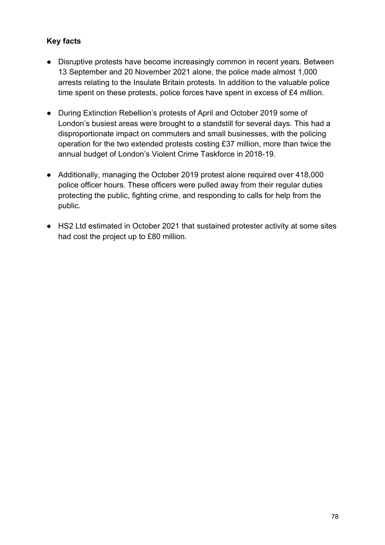- Disruptive protests have become increasingly common in recent years. Between 13 September and 20 November 2021 alone, the police made almost 1,000 arrests relating to the Insulate Britain protests. In addition to the valuable police time spent on these protests, police forces have spent in excess of £4 million.
- During Extinction Rebellion's protests of April and October 2019 some of London's busiest areas were brought to a standstill for several days. This had a disproportionate impact on commuters and small businesses, with the policing operation for the two extended protests costing £37 million, more than twice the annual budget of London's Violent Crime Taskforce in 2018-19.
- Additionally, managing the October 2019 protest alone required over 418,000 police officer hours. These officers were pulled away from their regular duties protecting the public, fighting crime, and responding to calls for help from the public.
- HS2 Ltd estimated in October 2021 that sustained protester activity at some sites had cost the project up to £80 million.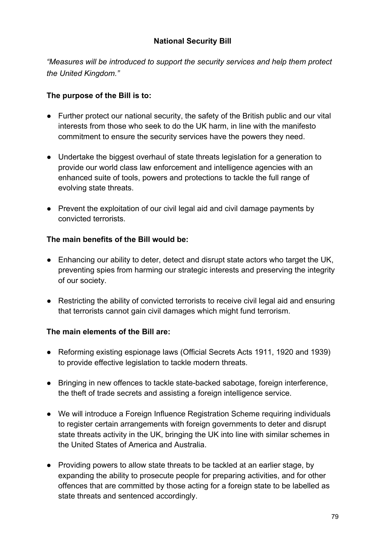## **National Security Bill**

*"Measures will be introduced to support the security services and help them protect the United Kingdom."*

### **The purpose of the Bill is to:**

- Further protect our national security, the safety of the British public and our vital interests from those who seek to do the UK harm, in line with the manifesto commitment to ensure the security services have the powers they need.
- Undertake the biggest overhaul of state threats legislation for a generation to provide our world class law enforcement and intelligence agencies with an enhanced suite of tools, powers and protections to tackle the full range of evolving state threats.
- Prevent the exploitation of our civil legal aid and civil damage payments by convicted terrorists.

#### **The main benefits of the Bill would be:**

- Enhancing our ability to deter, detect and disrupt state actors who target the UK, preventing spies from harming our strategic interests and preserving the integrity of our society.
- Restricting the ability of convicted terrorists to receive civil legal aid and ensuring that terrorists cannot gain civil damages which might fund terrorism.

## **The main elements of the Bill are:**

- Reforming existing espionage laws (Official Secrets Acts 1911, 1920 and 1939) to provide effective legislation to tackle modern threats.
- Bringing in new offences to tackle state-backed sabotage, foreign interference, the theft of trade secrets and assisting a foreign intelligence service.
- We will introduce a Foreign Influence Registration Scheme requiring individuals to register certain arrangements with foreign governments to deter and disrupt state threats activity in the UK, bringing the UK into line with similar schemes in the United States of America and Australia.
- Providing powers to allow state threats to be tackled at an earlier stage, by expanding the ability to prosecute people for preparing activities, and for other offences that are committed by those acting for a foreign state to be labelled as state threats and sentenced accordingly.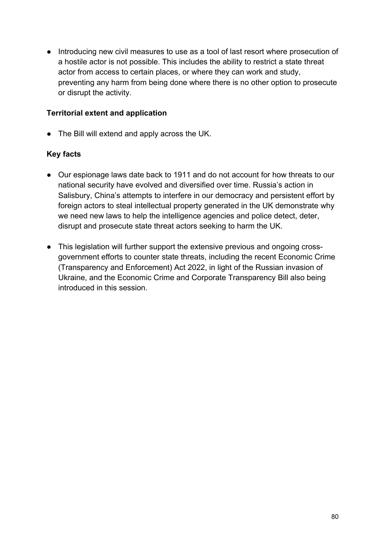● Introducing new civil measures to use as a tool of last resort where prosecution of a hostile actor is not possible. This includes the ability to restrict a state threat actor from access to certain places, or where they can work and study, preventing any harm from being done where there is no other option to prosecute or disrupt the activity.

#### **Territorial extent and application**

● The Bill will extend and apply across the UK.

- Our espionage laws date back to 1911 and do not account for how threats to our national security have evolved and diversified over time. Russia's action in Salisbury, China's attempts to interfere in our democracy and persistent effort by foreign actors to steal intellectual property generated in the UK demonstrate why we need new laws to help the intelligence agencies and police detect, deter, disrupt and prosecute state threat actors seeking to harm the UK.
- This legislation will further support the extensive previous and ongoing crossgovernment efforts to counter state threats, including the recent Economic Crime (Transparency and Enforcement) Act 2022, in light of the Russian invasion of Ukraine, and the Economic Crime and Corporate Transparency Bill also being introduced in this session.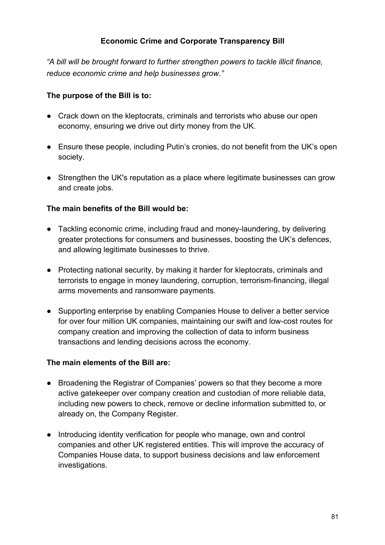## **Economic Crime and Corporate Transparency Bill**

*"A bill will be brought forward to further strengthen powers to tackle illicit finance, reduce economic crime and help businesses grow."*

#### **The purpose of the Bill is to:**

- Crack down on the kleptocrats, criminals and terrorists who abuse our open economy, ensuring we drive out dirty money from the UK.
- Ensure these people, including Putin's cronies, do not benefit from the UK's open society.
- Strengthen the UK's reputation as a place where legitimate businesses can grow and create jobs.

#### **The main benefits of the Bill would be:**

- Tackling economic crime, including fraud and money-laundering, by delivering greater protections for consumers and businesses, boosting the UK's defences, and allowing legitimate businesses to thrive.
- Protecting national security, by making it harder for kleptocrats, criminals and terrorists to engage in money laundering, corruption, terrorism-financing, illegal arms movements and ransomware payments.
- Supporting enterprise by enabling Companies House to deliver a better service for over four million UK companies, maintaining our swift and low-cost routes for company creation and improving the collection of data to inform business transactions and lending decisions across the economy.

#### **The main elements of the Bill are:**

- Broadening the Registrar of Companies' powers so that they become a more active gatekeeper over company creation and custodian of more reliable data, including new powers to check, remove or decline information submitted to, or already on, the Company Register.
- Introducing identity verification for people who manage, own and control companies and other UK registered entities. This will improve the accuracy of Companies House data, to support business decisions and law enforcement investigations.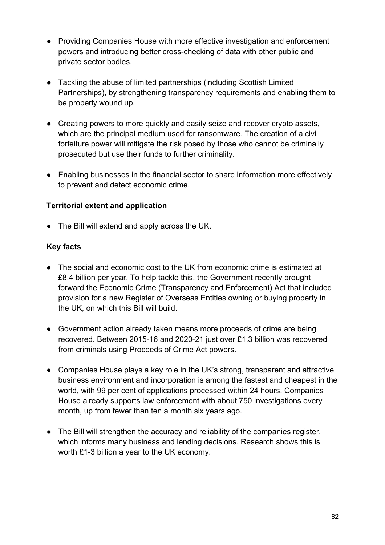- Providing Companies House with more effective investigation and enforcement powers and introducing better cross-checking of data with other public and private sector bodies.
- Tackling the abuse of limited partnerships (including Scottish Limited Partnerships), by strengthening transparency requirements and enabling them to be properly wound up.
- Creating powers to more quickly and easily seize and recover crypto assets, which are the principal medium used for ransomware. The creation of a civil forfeiture power will mitigate the risk posed by those who cannot be criminally prosecuted but use their funds to further criminality.
- Enabling businesses in the financial sector to share information more effectively to prevent and detect economic crime.

### **Territorial extent and application**

● The Bill will extend and apply across the UK.

- The social and economic cost to the UK from economic crime is estimated at £8.4 billion per year. To help tackle this, the Government recently brought forward the Economic Crime (Transparency and Enforcement) Act that included provision for a new Register of Overseas Entities owning or buying property in the UK, on which this Bill will build.
- Government action already taken means more proceeds of crime are being recovered. Between 2015-16 and 2020-21 just over £1.3 billion was recovered from criminals using Proceeds of Crime Act powers.
- Companies House plays a key role in the UK's strong, transparent and attractive business environment and incorporation is among the fastest and cheapest in the world, with 99 per cent of applications processed within 24 hours. Companies House already supports law enforcement with about 750 investigations every month, up from fewer than ten a month six years ago.
- The Bill will strengthen the accuracy and reliability of the companies register, which informs many business and lending decisions. Research shows this is worth £1-3 billion a year to the UK economy.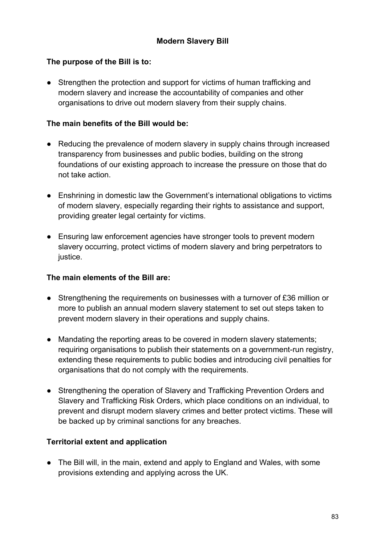### **The purpose of the Bill is to:**

• Strengthen the protection and support for victims of human trafficking and modern slavery and increase the accountability of companies and other organisations to drive out modern slavery from their supply chains.

### **The main benefits of the Bill would be:**

- Reducing the prevalence of modern slavery in supply chains through increased transparency from businesses and public bodies, building on the strong foundations of our existing approach to increase the pressure on those that do not take action.
- Enshrining in domestic law the Government's international obligations to victims of modern slavery, especially regarding their rights to assistance and support, providing greater legal certainty for victims.
- Ensuring law enforcement agencies have stronger tools to prevent modern slavery occurring, protect victims of modern slavery and bring perpetrators to justice.

### **The main elements of the Bill are:**

- Strengthening the requirements on businesses with a turnover of £36 million or more to publish an annual modern slavery statement to set out steps taken to prevent modern slavery in their operations and supply chains.
- Mandating the reporting areas to be covered in modern slavery statements; requiring organisations to publish their statements on a government-run registry, extending these requirements to public bodies and introducing civil penalties for organisations that do not comply with the requirements.
- Strengthening the operation of Slavery and Trafficking Prevention Orders and Slavery and Trafficking Risk Orders, which place conditions on an individual, to prevent and disrupt modern slavery crimes and better protect victims. These will be backed up by criminal sanctions for any breaches.

## **Territorial extent and application**

• The Bill will, in the main, extend and apply to England and Wales, with some provisions extending and applying across the UK.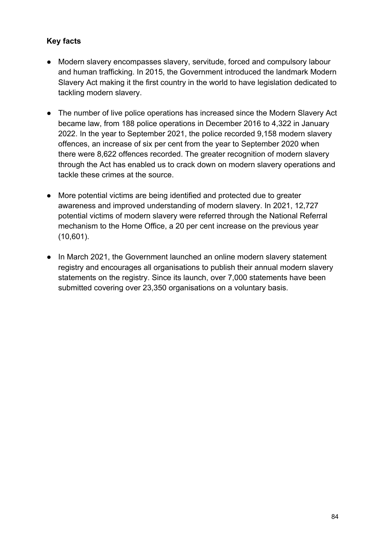- Modern slavery encompasses slavery, servitude, forced and compulsory labour and human trafficking. In 2015, the Government introduced the landmark Modern Slavery Act making it the first country in the world to have legislation dedicated to tackling modern slavery.
- The number of live police operations has increased since the Modern Slavery Act became law, from 188 police operations in December 2016 to 4,322 in January 2022. In the year to September 2021, the police recorded 9,158 modern slavery offences, an increase of six per cent from the year to September 2020 when there were 8,622 offences recorded. The greater recognition of modern slavery through the Act has enabled us to crack down on modern slavery operations and tackle these crimes at the source.
- More potential victims are being identified and protected due to greater awareness and improved understanding of modern slavery. In 2021, 12,727 potential victims of modern slavery were referred through the National Referral mechanism to the Home Office, a 20 per cent increase on the previous year (10,601).
- In March 2021, the Government launched an online modern slavery statement registry and encourages all organisations to publish their annual modern slavery statements on the registry. Since its launch, over 7,000 statements have been submitted covering over 23,350 organisations on a voluntary basis.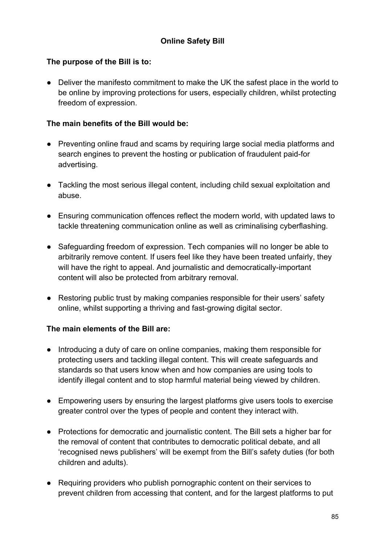## **The purpose of the Bill is to:**

● Deliver the manifesto commitment to make the UK the safest place in the world to be online by improving protections for users, especially children, whilst protecting freedom of expression.

## **The main benefits of the Bill would be:**

- Preventing online fraud and scams by requiring large social media platforms and search engines to prevent the hosting or publication of fraudulent paid-for advertising.
- Tackling the most serious illegal content, including child sexual exploitation and abuse.
- Ensuring communication offences reflect the modern world, with updated laws to tackle threatening communication online as well as criminalising cyberflashing.
- Safeguarding freedom of expression. Tech companies will no longer be able to arbitrarily remove content. If users feel like they have been treated unfairly, they will have the right to appeal. And journalistic and democratically-important content will also be protected from arbitrary removal.
- Restoring public trust by making companies responsible for their users' safety online, whilst supporting a thriving and fast-growing digital sector.

## **The main elements of the Bill are:**

- Introducing a duty of care on online companies, making them responsible for protecting users and tackling illegal content. This will create safeguards and standards so that users know when and how companies are using tools to identify illegal content and to stop harmful material being viewed by children.
- Empowering users by ensuring the largest platforms give users tools to exercise greater control over the types of people and content they interact with.
- Protections for democratic and journalistic content. The Bill sets a higher bar for the removal of content that contributes to democratic political debate, and all 'recognised news publishers' will be exempt from the Bill's safety duties (for both children and adults).
- Requiring providers who publish pornographic content on their services to prevent children from accessing that content, and for the largest platforms to put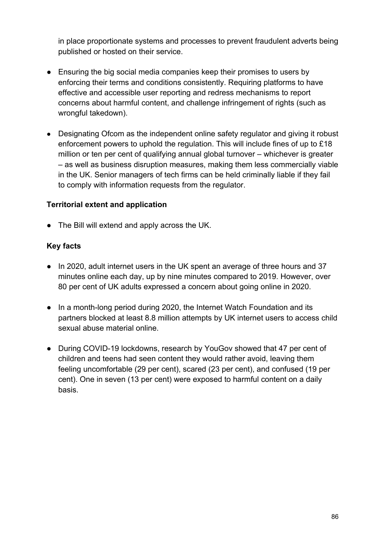in place proportionate systems and processes to prevent fraudulent adverts being published or hosted on their service.

- Ensuring the big social media companies keep their promises to users by enforcing their terms and conditions consistently. Requiring platforms to have effective and accessible user reporting and redress mechanisms to report concerns about harmful content, and challenge infringement of rights (such as wrongful takedown).
- Designating Ofcom as the independent online safety regulator and giving it robust enforcement powers to uphold the regulation. This will include fines of up to £18 million or ten per cent of qualifying annual global turnover – whichever is greater – as well as business disruption measures, making them less commercially viable in the UK. Senior managers of tech firms can be held criminally liable if they fail to comply with information requests from the regulator.

#### **Territorial extent and application**

● The Bill will extend and apply across the UK.

- In 2020, adult internet users in the UK spent an average of three hours and 37 minutes online each day, up by nine minutes compared to 2019. However, over 80 per cent of UK adults expressed a concern about going online in 2020.
- In a month-long period during 2020, the Internet Watch Foundation and its partners blocked at least 8.8 million attempts by UK internet users to access child sexual abuse material online.
- During COVID-19 lockdowns, research by YouGov showed that 47 per cent of children and teens had seen content they would rather avoid, leaving them feeling uncomfortable (29 per cent), scared (23 per cent), and confused (19 per cent). One in seven (13 per cent) were exposed to harmful content on a daily basis.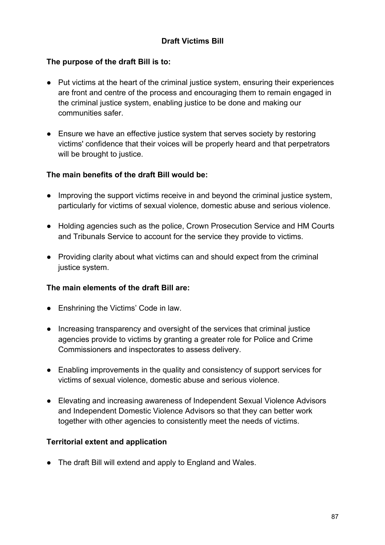## **Draft Victims Bill**

#### **The purpose of the draft Bill is to:**

- Put victims at the heart of the criminal justice system, ensuring their experiences are front and centre of the process and encouraging them to remain engaged in the criminal justice system, enabling justice to be done and making our communities safer.
- Ensure we have an effective justice system that serves society by restoring victims' confidence that their voices will be properly heard and that perpetrators will be brought to justice.

#### **The main benefits of the draft Bill would be:**

- Improving the support victims receive in and beyond the criminal justice system, particularly for victims of sexual violence, domestic abuse and serious violence.
- Holding agencies such as the police, Crown Prosecution Service and HM Courts and Tribunals Service to account for the service they provide to victims.
- Providing clarity about what victims can and should expect from the criminal justice system.

#### **The main elements of the draft Bill are:**

- Enshrining the Victims' Code in law.
- Increasing transparency and oversight of the services that criminal justice agencies provide to victims by granting a greater role for Police and Crime Commissioners and inspectorates to assess delivery.
- Enabling improvements in the quality and consistency of support services for victims of sexual violence, domestic abuse and serious violence.
- Elevating and increasing awareness of Independent Sexual Violence Advisors and Independent Domestic Violence Advisors so that they can better work together with other agencies to consistently meet the needs of victims.

#### **Territorial extent and application**

● The draft Bill will extend and apply to England and Wales.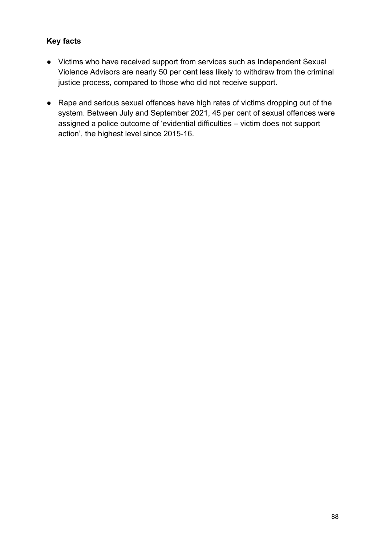- Victims who have received support from services such as Independent Sexual Violence Advisors are nearly 50 per cent less likely to withdraw from the criminal justice process, compared to those who did not receive support.
- Rape and serious sexual offences have high rates of victims dropping out of the system. Between July and September 2021, 45 per cent of sexual offences were assigned a police outcome of 'evidential difficulties – victim does not support action', the highest level since 2015-16.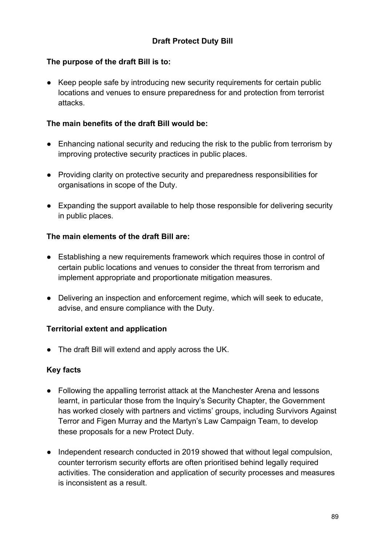## **Draft Protect Duty Bill**

#### **The purpose of the draft Bill is to:**

● Keep people safe by introducing new security requirements for certain public locations and venues to ensure preparedness for and protection from terrorist attacks.

#### **The main benefits of the draft Bill would be:**

- Enhancing national security and reducing the risk to the public from terrorism by improving protective security practices in public places.
- Providing clarity on protective security and preparedness responsibilities for organisations in scope of the Duty.
- Expanding the support available to help those responsible for delivering security in public places.

### **The main elements of the draft Bill are:**

- Establishing a new requirements framework which requires those in control of certain public locations and venues to consider the threat from terrorism and implement appropriate and proportionate mitigation measures.
- Delivering an inspection and enforcement regime, which will seek to educate, advise, and ensure compliance with the Duty.

#### **Territorial extent and application**

● The draft Bill will extend and apply across the UK.

- Following the appalling terrorist attack at the Manchester Arena and lessons learnt, in particular those from the Inquiry's Security Chapter, the Government has worked closely with partners and victims' groups, including Survivors Against Terror and Figen Murray and the Martyn's Law Campaign Team, to develop these proposals for a new Protect Duty.
- Independent research conducted in 2019 showed that without legal compulsion, counter terrorism security efforts are often prioritised behind legally required activities. The consideration and application of security processes and measures is inconsistent as a result.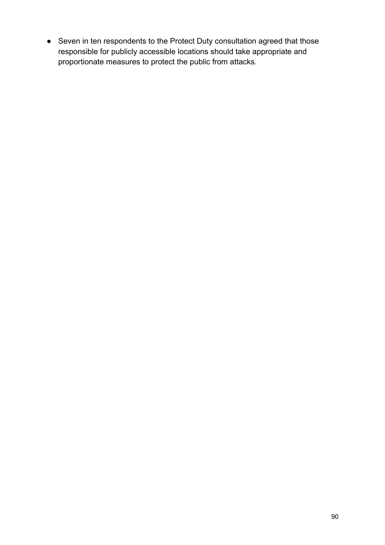● Seven in ten respondents to the Protect Duty consultation agreed that those responsible for publicly accessible locations should take appropriate and proportionate measures to protect the public from attacks.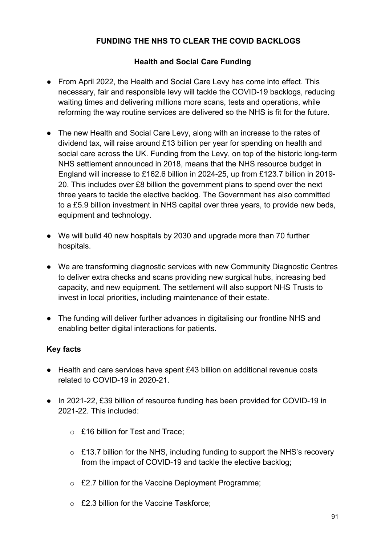# **FUNDING THE NHS TO CLEAR THE COVID BACKLOGS**

## **Health and Social Care Funding**

- From April 2022, the Health and Social Care Levy has come into effect. This necessary, fair and responsible levy will tackle the COVID-19 backlogs, reducing waiting times and delivering millions more scans, tests and operations, while reforming the way routine services are delivered so the NHS is fit for the future.
- The new Health and Social Care Levy, along with an increase to the rates of dividend tax, will raise around £13 billion per year for spending on health and social care across the UK. Funding from the Levy, on top of the historic long-term NHS settlement announced in 2018, means that the NHS resource budget in England will increase to £162.6 billion in 2024-25, up from £123.7 billion in 2019- 20. This includes over £8 billion the government plans to spend over the next three years to tackle the elective backlog. The Government has also committed to a £5.9 billion investment in NHS capital over three years, to provide new beds, equipment and technology.
- We will build 40 new hospitals by 2030 and upgrade more than 70 further hospitals.
- We are transforming diagnostic services with new Community Diagnostic Centres to deliver extra checks and scans providing new surgical hubs, increasing bed capacity, and new equipment. The settlement will also support NHS Trusts to invest in local priorities, including maintenance of their estate.
- The funding will deliver further advances in digitalising our frontline NHS and enabling better digital interactions for patients.

- Health and care services have spent £43 billion on additional revenue costs related to COVID-19 in 2020-21.
- In 2021-22, £39 billion of resource funding has been provided for COVID-19 in 2021-22. This included:
	- o £16 billion for Test and Trace;
	- $\circ$  £13.7 billion for the NHS, including funding to support the NHS's recovery from the impact of COVID-19 and tackle the elective backlog;
	- o £2.7 billion for the Vaccine Deployment Programme;
	- o £2.3 billion for the Vaccine Taskforce;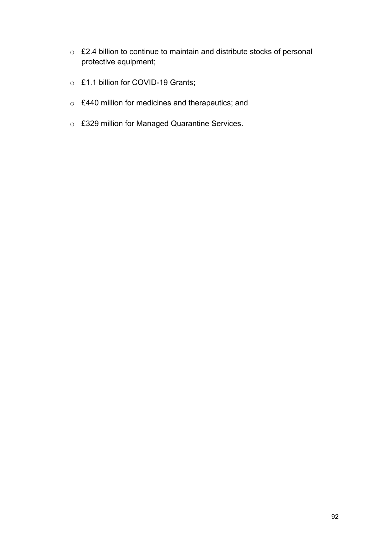- o £2.4 billion to continue to maintain and distribute stocks of personal protective equipment;
- o £1.1 billion for COVID-19 Grants;
- o £440 million for medicines and therapeutics; and
- o £329 million for Managed Quarantine Services.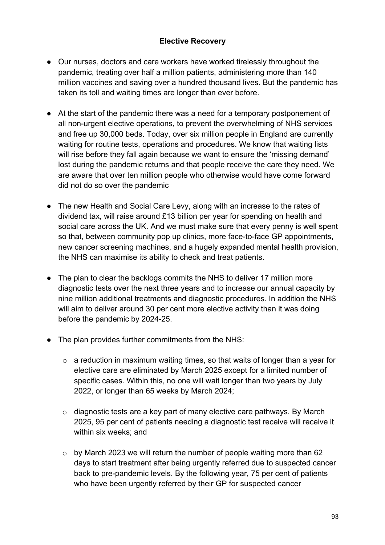## **Elective Recovery**

- Our nurses, doctors and care workers have worked tirelessly throughout the pandemic, treating over half a million patients, administering more than 140 million vaccines and saving over a hundred thousand lives. But the pandemic has taken its toll and waiting times are longer than ever before.
- At the start of the pandemic there was a need for a temporary postponement of all non-urgent elective operations, to prevent the overwhelming of NHS services and free up 30,000 beds. Today, over six million people in England are currently waiting for routine tests, operations and procedures. We know that waiting lists will rise before they fall again because we want to ensure the 'missing demand' lost during the pandemic returns and that people receive the care they need. We are aware that over ten million people who otherwise would have come forward did not do so over the pandemic
- The new Health and Social Care Levy, along with an increase to the rates of dividend tax, will raise around £13 billion per year for spending on health and social care across the UK. And we must make sure that every penny is well spent so that, between community pop up clinics, more face-to-face GP appointments, new cancer screening machines, and a hugely expanded mental health provision, the NHS can maximise its ability to check and treat patients.
- The plan to clear the backlogs commits the NHS to deliver 17 million more diagnostic tests over the next three years and to increase our annual capacity by nine million additional treatments and diagnostic procedures. In addition the NHS will aim to deliver around 30 per cent more elective activity than it was doing before the pandemic by 2024-25.
- The plan provides further commitments from the NHS:
	- $\circ$  a reduction in maximum waiting times, so that waits of longer than a year for elective care are eliminated by March 2025 except for a limited number of specific cases. Within this, no one will wait longer than two years by July 2022, or longer than 65 weeks by March 2024;
	- $\circ$  diagnostic tests are a key part of many elective care pathways. By March 2025, 95 per cent of patients needing a diagnostic test receive will receive it within six weeks; and
	- o by March 2023 we will return the number of people waiting more than 62 days to start treatment after being urgently referred due to suspected cancer back to pre-pandemic levels. By the following year, 75 per cent of patients who have been urgently referred by their GP for suspected cancer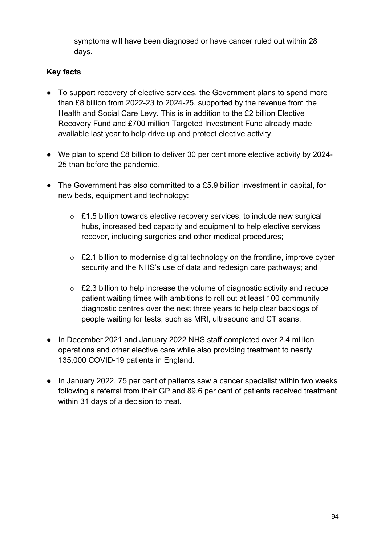symptoms will have been diagnosed or have cancer ruled out within 28 days.  

- To support recovery of elective services, the Government plans to spend more than £8 billion from 2022-23 to 2024-25, supported by the revenue from the Health and Social Care Levy. This is in addition to the £2 billion Elective Recovery Fund and £700 million Targeted Investment Fund already made available last year to help drive up and protect elective activity.
- We plan to spend £8 billion to deliver 30 per cent more elective activity by 2024- 25 than before the pandemic.
- The Government has also committed to a £5.9 billion investment in capital, for new beds, equipment and technology:
	- o £1.5 billion towards elective recovery services, to include new surgical hubs, increased bed capacity and equipment to help elective services recover, including surgeries and other medical procedures;
	- o £2.1 billion to modernise digital technology on the frontline, improve cyber security and the NHS's use of data and redesign care pathways; and
	- o £2.3 billion to help increase the volume of diagnostic activity and reduce patient waiting times with ambitions to roll out at least 100 community diagnostic centres over the next three years to help clear backlogs of people waiting for tests, such as MRI, ultrasound and CT scans.
- In December 2021 and January 2022 NHS staff completed over 2.4 million operations and other elective care while also providing treatment to nearly 135,000 COVID-19 patients in England.
- In January 2022, 75 per cent of patients saw a cancer specialist within two weeks following a referral from their GP and 89.6 per cent of patients received treatment within 31 days of a decision to treat.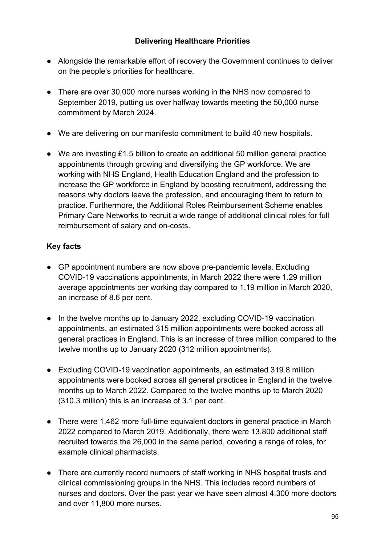### **Delivering Healthcare Priorities**

- Alongside the remarkable effort of recovery the Government continues to deliver on the people's priorities for healthcare.
- There are over 30,000 more nurses working in the NHS now compared to September 2019, putting us over halfway towards meeting the 50,000 nurse commitment by March 2024.
- We are delivering on our manifesto commitment to build 40 new hospitals.
- We are investing £1.5 billion to create an additional 50 million general practice appointments through growing and diversifying the GP workforce. We are working with NHS England, Health Education England and the profession to increase the GP workforce in England by boosting recruitment, addressing the reasons why doctors leave the profession, and encouraging them to return to practice. Furthermore, the Additional Roles Reimbursement Scheme enables Primary Care Networks to recruit a wide range of additional clinical roles for full reimbursement of salary and on-costs.

- GP appointment numbers are now above pre-pandemic levels. Excluding COVID-19 vaccinations appointments, in March 2022 there were 1.29 million average appointments per working day compared to 1.19 million in March 2020, an increase of 8.6 per cent.
- In the twelve months up to January 2022, excluding COVID-19 vaccination appointments, an estimated 315 million appointments were booked across all general practices in England. This is an increase of three million compared to the twelve months up to January 2020 (312 million appointments).
- Excluding COVID-19 vaccination appointments, an estimated 319.8 million appointments were booked across all general practices in England in the twelve months up to March 2022. Compared to the twelve months up to March 2020 (310.3 million) this is an increase of 3.1 per cent.
- There were 1,462 more full-time equivalent doctors in general practice in March 2022 compared to March 2019. Additionally, there were 13,800 additional staff recruited towards the 26,000 in the same period, covering a range of roles, for example clinical pharmacists.
- There are currently record numbers of staff working in NHS hospital trusts and clinical commissioning groups in the NHS. This includes record numbers of nurses and doctors. Over the past year we have seen almost 4,300 more doctors and over 11,800 more nurses.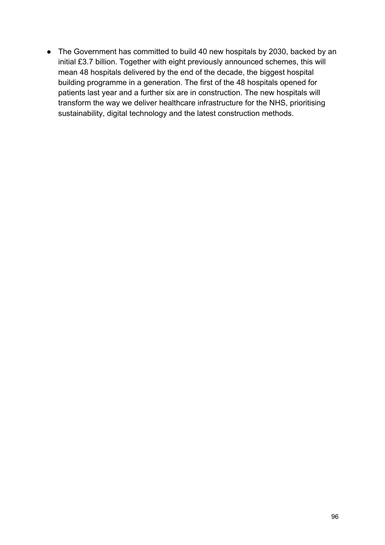• The Government has committed to build 40 new hospitals by 2030, backed by an initial £3.7 billion. Together with eight previously announced schemes, this will mean 48 hospitals delivered by the end of the decade, the biggest hospital building programme in a generation. The first of the 48 hospitals opened for patients last year and a further six are in construction. The new hospitals will transform the way we deliver healthcare infrastructure for the NHS, prioritising sustainability, digital technology and the latest construction methods.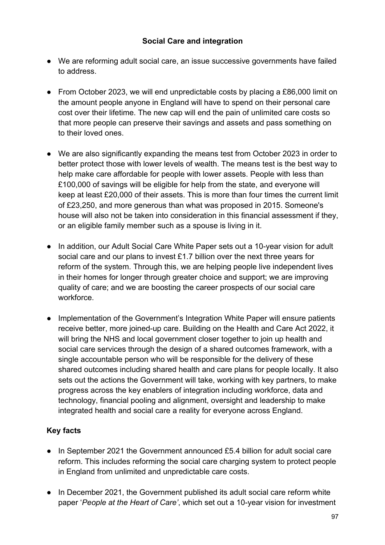- We are reforming adult social care, an issue successive governments have failed to address.
- From October 2023, we will end unpredictable costs by placing a £86,000 limit on the amount people anyone in England will have to spend on their personal care cost over their lifetime. The new cap will end the pain of unlimited care costs so that more people can preserve their savings and assets and pass something on to their loved ones.
- We are also significantly expanding the means test from October 2023 in order to better protect those with lower levels of wealth. The means test is the best way to help make care affordable for people with lower assets. People with less than £100,000 of savings will be eligible for help from the state, and everyone will keep at least £20,000 of their assets. This is more than four times the current limit of £23,250, and more generous than what was proposed in 2015. Someone's house will also not be taken into consideration in this financial assessment if they, or an eligible family member such as a spouse is living in it.
- In addition, our Adult Social Care White Paper sets out a 10-year vision for adult social care and our plans to invest £1.7 billion over the next three years for reform of the system. Through this, we are helping people live independent lives in their homes for longer through greater choice and support; we are improving quality of care; and we are boosting the career prospects of our social care workforce.
- Implementation of the Government's Integration White Paper will ensure patients receive better, more joined-up care. Building on the Health and Care Act 2022, it will bring the NHS and local government closer together to join up health and social care services through the design of a shared outcomes framework, with a single accountable person who will be responsible for the delivery of these shared outcomes including shared health and care plans for people locally. It also sets out the actions the Government will take, working with key partners, to make progress across the key enablers of integration including workforce, data and technology, financial pooling and alignment, oversight and leadership to make integrated health and social care a reality for everyone across England.

- In September 2021 the Government announced £5.4 billion for adult social care reform. This includes reforming the social care charging system to protect people in England from unlimited and unpredictable care costs.
- In December 2021, the Government published its adult social care reform white paper '*People at the Heart of Care'*, which set out a 10-year vision for investment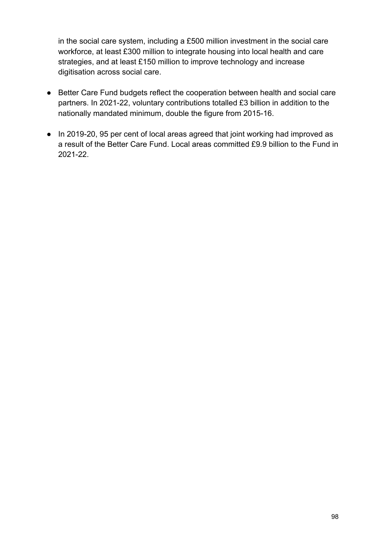in the social care system, including a £500 million investment in the social care workforce, at least £300 million to integrate housing into local health and care strategies, and at least £150 million to improve technology and increase digitisation across social care.

- Better Care Fund budgets reflect the cooperation between health and social care partners. In 2021-22, voluntary contributions totalled £3 billion in addition to the nationally mandated minimum, double the figure from 2015-16.
- In 2019-20, 95 per cent of local areas agreed that joint working had improved as a result of the Better Care Fund. Local areas committed £9.9 billion to the Fund in 2021-22.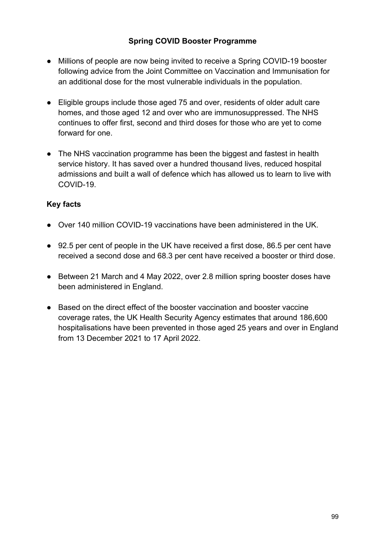## **Spring COVID Booster Programme**

- Millions of people are now being invited to receive a Spring COVID-19 booster following advice from the Joint Committee on Vaccination and Immunisation for an additional dose for the most vulnerable individuals in the population.
- Eligible groups include those aged 75 and over, residents of older adult care homes, and those aged 12 and over who are immunosuppressed. The NHS continues to offer first, second and third doses for those who are yet to come forward for one.
- The NHS vaccination programme has been the biggest and fastest in health service history. It has saved over a hundred thousand lives, reduced hospital admissions and built a wall of defence which has allowed us to learn to live with COVID-19.

- Over 140 million COVID-19 vaccinations have been administered in the UK.
- 92.5 per cent of people in the UK have received a first dose, 86.5 per cent have received a second dose and 68.3 per cent have received a booster or third dose.
- Between 21 March and 4 May 2022, over 2.8 million spring booster doses have been administered in England.
- Based on the direct effect of the booster vaccination and booster vaccine coverage rates, the UK Health Security Agency estimates that around 186,600 hospitalisations have been prevented in those aged 25 years and over in England from 13 December 2021 to 17 April 2022.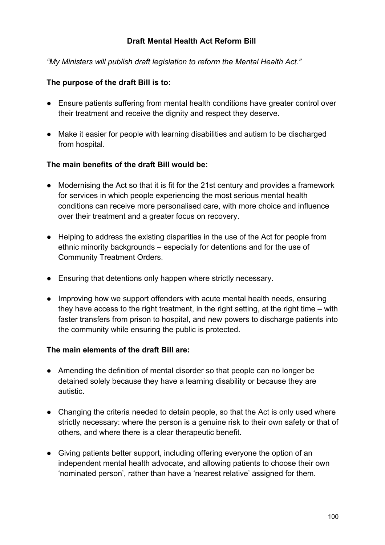#### **Draft Mental Health Act Reform Bill**

*"My Ministers will publish draft legislation to reform the Mental Health Act."*

### **The purpose of the draft Bill is to:**

- Ensure patients suffering from mental health conditions have greater control over their treatment and receive the dignity and respect they deserve.
- Make it easier for people with learning disabilities and autism to be discharged from hospital.

#### **The main benefits of the draft Bill would be:**

- Modernising the Act so that it is fit for the 21st century and provides a framework for services in which people experiencing the most serious mental health conditions can receive more personalised care, with more choice and influence over their treatment and a greater focus on recovery.
- Helping to address the existing disparities in the use of the Act for people from ethnic minority backgrounds – especially for detentions and for the use of Community Treatment Orders.
- Ensuring that detentions only happen where strictly necessary.
- Improving how we support offenders with acute mental health needs, ensuring they have access to the right treatment, in the right setting, at the right time – with faster transfers from prison to hospital, and new powers to discharge patients into the community while ensuring the public is protected.

#### **The main elements of the draft Bill are:**

- Amending the definition of mental disorder so that people can no longer be detained solely because they have a learning disability or because they are autistic.
- Changing the criteria needed to detain people, so that the Act is only used where strictly necessary: where the person is a genuine risk to their own safety or that of others, and where there is a clear therapeutic benefit.
- Giving patients better support, including offering everyone the option of an independent mental health advocate, and allowing patients to choose their own 'nominated person', rather than have a 'nearest relative' assigned for them.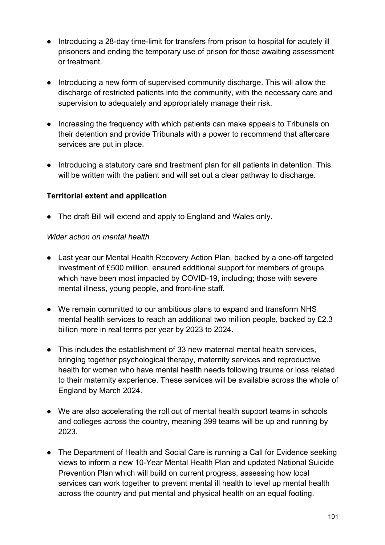- Introducing a 28-day time-limit for transfers from prison to hospital for acutely ill prisoners and ending the temporary use of prison for those awaiting assessment or treatment.
- Introducing a new form of supervised community discharge. This will allow the discharge of restricted patients into the community, with the necessary care and supervision to adequately and appropriately manage their risk.
- Increasing the frequency with which patients can make appeals to Tribunals on their detention and provide Tribunals with a power to recommend that aftercare services are put in place.
- Introducing a statutory care and treatment plan for all patients in detention. This will be written with the patient and will set out a clear pathway to discharge.

### **Territorial extent and application**

● The draft Bill will extend and apply to England and Wales only.

#### *Wider action on mental health*

- Last year our Mental Health Recovery Action Plan, backed by a one-off targeted investment of £500 million, ensured additional support for members of groups which have been most impacted by COVID-19, including; those with severe mental illness, young people, and front-line staff.
- We remain committed to our ambitious plans to expand and transform NHS mental health services to reach an additional two million people, backed by £2.3 billion more in real terms per year by 2023 to 2024.
- This includes the establishment of 33 new maternal mental health services, bringing together psychological therapy, maternity services and reproductive health for women who have mental health needs following trauma or loss related to their maternity experience. These services will be available across the whole of England by March 2024.
- We are also accelerating the roll out of mental health support teams in schools and colleges across the country, meaning 399 teams will be up and running by 2023.
- The Department of Health and Social Care is running a Call for Evidence seeking views to inform a new 10-Year Mental Health Plan and updated National Suicide Prevention Plan which will build on current progress, assessing how local services can work together to prevent mental ill health to level up mental health across the country and put mental and physical health on an equal footing.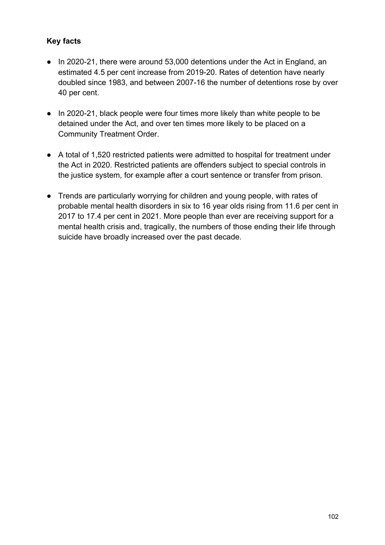- In 2020-21, there were around 53,000 detentions under the Act in England, an estimated 4.5 per cent increase from 2019-20. Rates of detention have nearly doubled since 1983, and between 2007-16 the number of detentions rose by over 40 per cent.
- In 2020-21, black people were four times more likely than white people to be detained under the Act, and over ten times more likely to be placed on a Community Treatment Order.
- A total of 1,520 restricted patients were admitted to hospital for treatment under the Act in 2020. Restricted patients are offenders subject to special controls in the justice system, for example after a court sentence or transfer from prison.
- Trends are particularly worrying for children and young people, with rates of probable mental health disorders in six to 16 year olds rising from 11.6 per cent in 2017 to 17.4 per cent in 2021. More people than ever are receiving support for a mental health crisis and, tragically, the numbers of those ending their life through suicide have broadly increased over the past decade.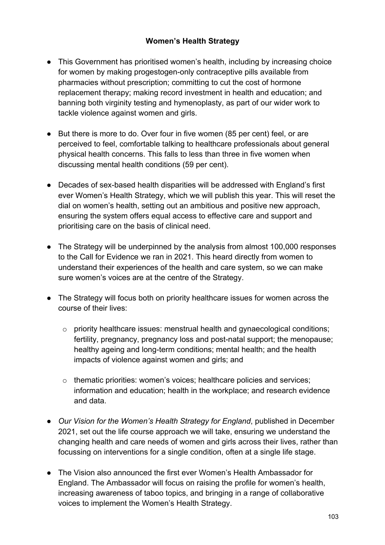### **Women's Health Strategy**

- This Government has prioritised women's health, including by increasing choice for women by making progestogen-only contraceptive pills available from pharmacies without prescription; committing to cut the cost of hormone replacement therapy; making record investment in health and education; and banning both virginity testing and hymenoplasty, as part of our wider work to tackle violence against women and girls.
- But there is more to do. Over four in five women (85 per cent) feel, or are perceived to feel, comfortable talking to healthcare professionals about general physical health concerns. This falls to less than three in five women when discussing mental health conditions (59 per cent).
- Decades of sex-based health disparities will be addressed with England's first ever Women's Health Strategy, which we will publish this year. This will reset the dial on women's health, setting out an ambitious and positive new approach, ensuring the system offers equal access to effective care and support and prioritising care on the basis of clinical need.
- The Strategy will be underpinned by the analysis from almost 100,000 responses to the Call for Evidence we ran in 2021. This heard directly from women to understand their experiences of the health and care system, so we can make sure women's voices are at the centre of the Strategy.
- The Strategy will focus both on priority healthcare issues for women across the course of their lives:
	- o priority healthcare issues: menstrual health and gynaecological conditions; fertility, pregnancy, pregnancy loss and post-natal support; the menopause; healthy ageing and long-term conditions; mental health; and the health impacts of violence against women and girls; and
	- o thematic priorities: women's voices; healthcare policies and services; information and education; health in the workplace; and research evidence and data.
- *Our Vision for the Women's Health Strategy for England*, published in December 2021, set out the life course approach we will take, ensuring we understand the changing health and care needs of women and girls across their lives, rather than focussing on interventions for a single condition, often at a single life stage.
- The Vision also announced the first ever Women's Health Ambassador for England. The Ambassador will focus on raising the profile for women's health, increasing awareness of taboo topics, and bringing in a range of collaborative voices to implement the Women's Health Strategy.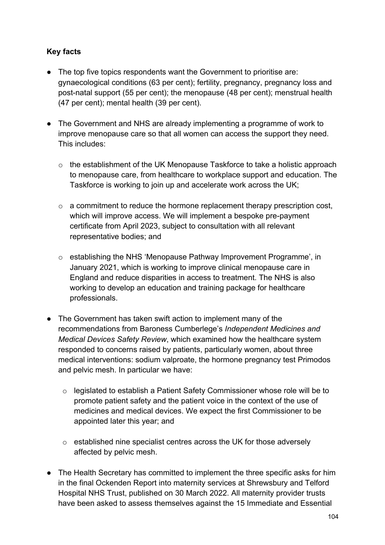- The top five topics respondents want the Government to prioritise are: gynaecological conditions (63 per cent); fertility, pregnancy, pregnancy loss and post-natal support (55 per cent); the menopause (48 per cent); menstrual health (47 per cent); mental health (39 per cent).
- The Government and NHS are already implementing a programme of work to improve menopause care so that all women can access the support they need. This includes:
	- o the establishment of the UK Menopause Taskforce to take a holistic approach to menopause care, from healthcare to workplace support and education. The Taskforce is working to join up and accelerate work across the UK;
	- $\circ$  a commitment to reduce the hormone replacement therapy prescription cost, which will improve access. We will implement a bespoke pre-payment certificate from April 2023, subject to consultation with all relevant representative bodies; and
	- o establishing the NHS 'Menopause Pathway Improvement Programme', in January 2021, which is working to improve clinical menopause care in England and reduce disparities in access to treatment. The NHS is also working to develop an education and training package for healthcare professionals.
- The Government has taken swift action to implement many of the recommendations from Baroness Cumberlege's *Independent Medicines and Medical Devices Safety Review*, which examined how the healthcare system responded to concerns raised by patients, particularly women, about three medical interventions: sodium valproate, the hormone pregnancy test Primodos and pelvic mesh. In particular we have:
	- $\circ$  legislated to establish a Patient Safety Commissioner whose role will be to promote patient safety and the patient voice in the context of the use of medicines and medical devices. We expect the first Commissioner to be appointed later this year; and
	- o established nine specialist centres across the UK for those adversely affected by pelvic mesh.
- The Health Secretary has committed to implement the three specific asks for him in the final Ockenden Report into maternity services at Shrewsbury and Telford Hospital NHS Trust, published on 30 March 2022. All maternity provider trusts have been asked to assess themselves against the 15 Immediate and Essential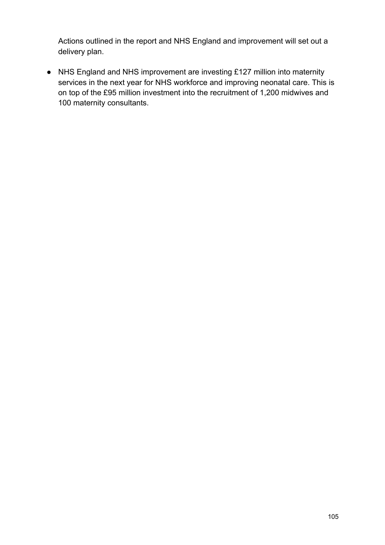Actions outlined in the report and NHS England and improvement will set out a delivery plan.

● NHS England and NHS improvement are investing £127 million into maternity services in the next year for NHS workforce and improving neonatal care. This is on top of the £95 million investment into the recruitment of 1,200 midwives and 100 maternity consultants.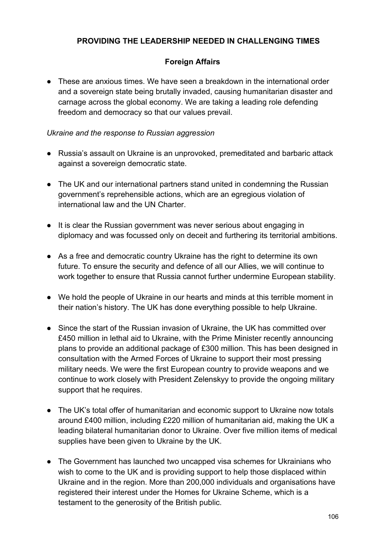### **PROVIDING THE LEADERSHIP NEEDED IN CHALLENGING TIMES**

### **Foreign Affairs**

● These are anxious times. We have seen a breakdown in the international order and a sovereign state being brutally invaded, causing humanitarian disaster and carnage across the global economy. We are taking a leading role defending freedom and democracy so that our values prevail.

#### *Ukraine and the response to Russian aggression*

- Russia's assault on Ukraine is an unprovoked, premeditated and barbaric attack against a sovereign democratic state.
- The UK and our international partners stand united in condemning the Russian government's reprehensible actions, which are an egregious violation of international law and the UN Charter.
- It is clear the Russian government was never serious about engaging in diplomacy and was focussed only on deceit and furthering its territorial ambitions.
- As a free and democratic country Ukraine has the right to determine its own future. To ensure the security and defence of all our Allies, we will continue to work together to ensure that Russia cannot further undermine European stability.
- We hold the people of Ukraine in our hearts and minds at this terrible moment in their nation's history. The UK has done everything possible to help Ukraine.
- Since the start of the Russian invasion of Ukraine, the UK has committed over £450 million in lethal aid to Ukraine, with the Prime Minister recently announcing plans to provide an additional package of £300 million. This has been designed in consultation with the Armed Forces of Ukraine to support their most pressing military needs. We were the first European country to provide weapons and we continue to work closely with President Zelenskyy to provide the ongoing military support that he requires.
- The UK's total offer of humanitarian and economic support to Ukraine now totals around £400 million, including £220 million of humanitarian aid, making the UK a leading bilateral humanitarian donor to Ukraine. Over five million items of medical supplies have been given to Ukraine by the UK.
- The Government has launched two uncapped visa schemes for Ukrainians who wish to come to the UK and is providing support to help those displaced within Ukraine and in the region. More than 200,000 individuals and organisations have registered their interest under the Homes for Ukraine Scheme, which is a testament to the generosity of the British public.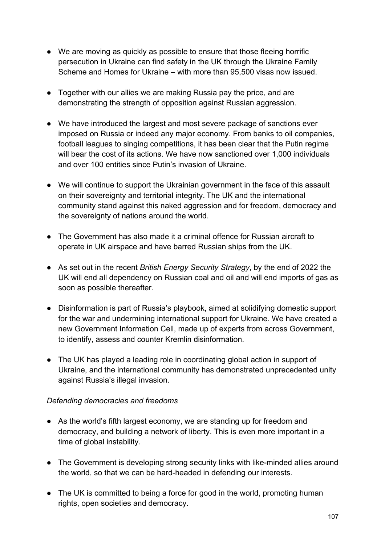- We are moving as quickly as possible to ensure that those fleeing horrific persecution in Ukraine can find safety in the UK through the Ukraine Family Scheme and Homes for Ukraine – with more than 95,500 visas now issued.
- Together with our allies we are making Russia pay the price, and are demonstrating the strength of opposition against Russian aggression.
- We have introduced the largest and most severe package of sanctions ever imposed on Russia or indeed any major economy. From banks to oil companies, football leagues to singing competitions, it has been clear that the Putin regime will bear the cost of its actions. We have now sanctioned over 1,000 individuals and over 100 entities since Putin's invasion of Ukraine.
- We will continue to support the Ukrainian government in the face of this assault on their sovereignty and territorial integrity. The UK and the international community stand against this naked aggression and for freedom, democracy and the sovereignty of nations around the world.
- The Government has also made it a criminal offence for Russian aircraft to operate in UK airspace and have barred Russian ships from the UK.
- As set out in the recent *British Energy Security Strategy*, by the end of 2022 the UK will end all dependency on Russian coal and oil and will end imports of gas as soon as possible thereafter.
- Disinformation is part of Russia's playbook, aimed at solidifying domestic support for the war and undermining international support for Ukraine. We have created a new Government Information Cell, made up of experts from across Government, to identify, assess and counter Kremlin disinformation.
- The UK has played a leading role in coordinating global action in support of Ukraine, and the international community has demonstrated unprecedented unity against Russia's illegal invasion.

#### *Defending democracies and freedoms*

- As the world's fifth largest economy, we are standing up for freedom and democracy, and building a network of liberty. This is even more important in a time of global instability.
- The Government is developing strong security links with like-minded allies around the world, so that we can be hard-headed in defending our interests.
- The UK is committed to being a force for good in the world, promoting human rights, open societies and democracy.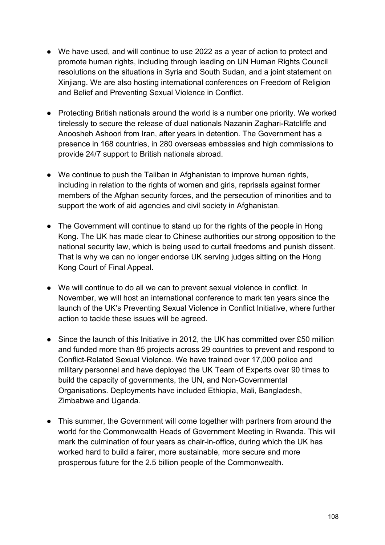- We have used, and will continue to use 2022 as a year of action to protect and promote human rights, including through leading on UN Human Rights Council resolutions on the situations in Syria and South Sudan, and a joint statement on Xinjiang. We are also hosting international conferences on Freedom of Religion and Belief and Preventing Sexual Violence in Conflict.
- Protecting British nationals around the world is a number one priority. We worked tirelessly to secure the release of dual nationals Nazanin Zaghari-Ratcliffe and Anoosheh Ashoori from Iran, after years in detention. The Government has a presence in 168 countries, in 280 overseas embassies and high commissions to provide 24/7 support to British nationals abroad.
- We continue to push the Taliban in Afghanistan to improve human rights, including in relation to the rights of women and girls, reprisals against former members of the Afghan security forces, and the persecution of minorities and to support the work of aid agencies and civil society in Afghanistan.
- The Government will continue to stand up for the rights of the people in Hong Kong. The UK has made clear to Chinese authorities our strong opposition to the national security law, which is being used to curtail freedoms and punish dissent. That is why we can no longer endorse UK serving judges sitting on the Hong Kong Court of Final Appeal.
- We will continue to do all we can to prevent sexual violence in conflict. In November, we will host an international conference to mark ten years since the launch of the UK's Preventing Sexual Violence in Conflict Initiative, where further action to tackle these issues will be agreed.
- Since the launch of this Initiative in 2012, the UK has committed over £50 million and funded more than 85 projects across 29 countries to prevent and respond to Conflict-Related Sexual Violence. We have trained over 17,000 police and military personnel and have deployed the UK Team of Experts over 90 times to build the capacity of governments, the UN, and Non-Governmental Organisations. Deployments have included Ethiopia, Mali, Bangladesh, Zimbabwe and Uganda.
- This summer, the Government will come together with partners from around the world for the Commonwealth Heads of Government Meeting in Rwanda. This will mark the culmination of four years as chair-in-office, during which the UK has worked hard to build a fairer, more sustainable, more secure and more prosperous future for the 2.5 billion people of the Commonwealth.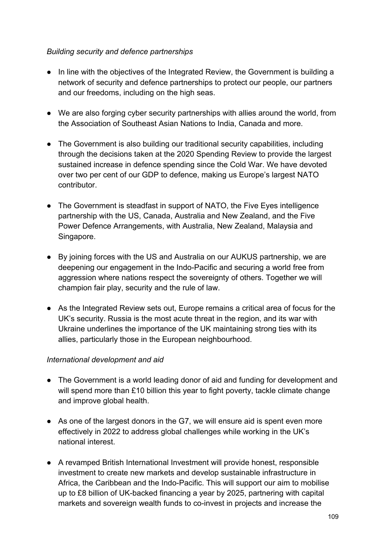### *Building security and defence partnerships*

- In line with the objectives of the Integrated Review, the Government is building a network of security and defence partnerships to protect our people, our partners and our freedoms, including on the high seas.
- We are also forging cyber security partnerships with allies around the world, from the Association of Southeast Asian Nations to India, Canada and more.
- The Government is also building our traditional security capabilities, including through the decisions taken at the 2020 Spending Review to provide the largest sustained increase in defence spending since the Cold War. We have devoted over two per cent of our GDP to defence, making us Europe's largest NATO contributor.
- The Government is steadfast in support of NATO, the Five Eyes intelligence partnership with the US, Canada, Australia and New Zealand, and the Five Power Defence Arrangements, with Australia, New Zealand, Malaysia and Singapore.
- By joining forces with the US and Australia on our AUKUS partnership, we are deepening our engagement in the Indo-Pacific and securing a world free from aggression where nations respect the sovereignty of others. Together we will champion fair play, security and the rule of law.
- As the Integrated Review sets out, Europe remains a critical area of focus for the UK's security. Russia is the most acute threat in the region, and its war with Ukraine underlines the importance of the UK maintaining strong ties with its allies, particularly those in the European neighbourhood.

### *International development and aid*

- The Government is a world leading donor of aid and funding for development and will spend more than £10 billion this year to fight poverty, tackle climate change and improve global health.
- As one of the largest donors in the G7, we will ensure aid is spent even more effectively in 2022 to address global challenges while working in the UK's national interest.
- A revamped British International Investment will provide honest, responsible investment to create new markets and develop sustainable infrastructure in Africa, the Caribbean and the Indo-Pacific. This will support our aim to mobilise up to £8 billion of UK-backed financing a year by 2025, partnering with capital markets and sovereign wealth funds to co-invest in projects and increase the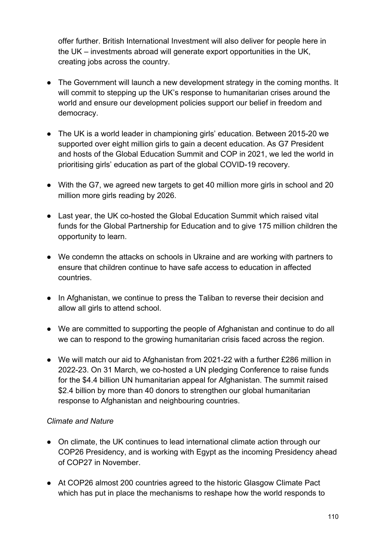offer further. British International Investment will also deliver for people here in the UK – investments abroad will generate export opportunities in the UK, creating jobs across the country.

- The Government will launch a new development strategy in the coming months. It will commit to stepping up the UK's response to humanitarian crises around the world and ensure our development policies support our belief in freedom and democracy.
- The UK is a world leader in championing girls' education. Between 2015-20 we supported over eight million girls to gain a decent education. As G7 President and hosts of the Global Education Summit and COP in 2021, we led the world in prioritising girls' education as part of the global COVID-19 recovery.
- With the G7, we agreed new targets to get 40 million more girls in school and 20 million more girls reading by 2026.
- Last year, the UK co-hosted the Global Education Summit which raised vital funds for the Global Partnership for Education and to give 175 million children the opportunity to learn.
- We condemn the attacks on schools in Ukraine and are working with partners to ensure that children continue to have safe access to education in affected countries.
- In Afghanistan, we continue to press the Taliban to reverse their decision and allow all girls to attend school.
- We are committed to supporting the people of Afghanistan and continue to do all we can to respond to the growing humanitarian crisis faced across the region.
- We will match our aid to Afghanistan from 2021-22 with a further £286 million in 2022-23. On 31 March, we co-hosted a UN pledging Conference to raise funds for the \$4.4 billion UN humanitarian appeal for Afghanistan. The summit raised \$2.4 billion by more than 40 donors to strengthen our global humanitarian response to Afghanistan and neighbouring countries.

### *Climate and Nature*

- On climate, the UK continues to lead international climate action through our COP26 Presidency, and is working with Egypt as the incoming Presidency ahead of COP27 in November.
- At COP26 almost 200 countries agreed to the historic Glasgow Climate Pact which has put in place the mechanisms to reshape how the world responds to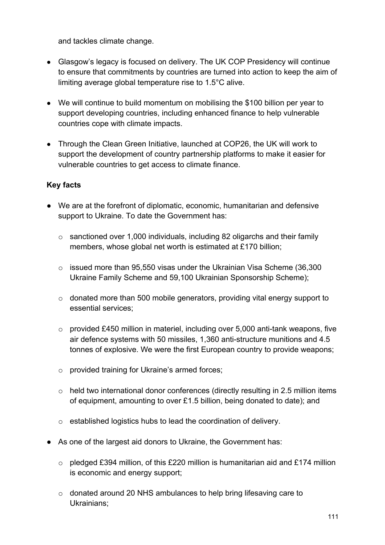and tackles climate change.

- Glasgow's legacy is focused on delivery. The UK COP Presidency will continue to ensure that commitments by countries are turned into action to keep the aim of limiting average global temperature rise to 1.5°C alive.
- We will continue to build momentum on mobilising the \$100 billion per year to support developing countries, including enhanced finance to help vulnerable countries cope with climate impacts.
- Through the Clean Green Initiative, launched at COP26, the UK will work to support the development of country partnership platforms to make it easier for vulnerable countries to get access to climate finance.

- We are at the forefront of diplomatic, economic, humanitarian and defensive support to Ukraine. To date the Government has:
	- o sanctioned over 1,000 individuals, including 82 oligarchs and their family members, whose global net worth is estimated at £170 billion;
	- $\circ$  issued more than 95,550 visas under the Ukrainian Visa Scheme (36,300 Ukraine Family Scheme and 59,100 Ukrainian Sponsorship Scheme);
	- o donated more than 500 mobile generators, providing vital energy support to essential services;
	- o provided £450 million in materiel, including over 5,000 anti-tank weapons, five air defence systems with 50 missiles, 1,360 anti-structure munitions and 4.5 tonnes of explosive. We were the first European country to provide weapons;
	- o provided training for Ukraine's armed forces;
	- o held two international donor conferences (directly resulting in 2.5 million items of equipment, amounting to over £1.5 billion, being donated to date); and
	- o established logistics hubs to lead the coordination of delivery.
- As one of the largest aid donors to Ukraine, the Government has:
	- $\circ$  pledged £394 million, of this £220 million is humanitarian aid and £174 million is economic and energy support;
	- o donated around 20 NHS ambulances to help bring lifesaving care to Ukrainians;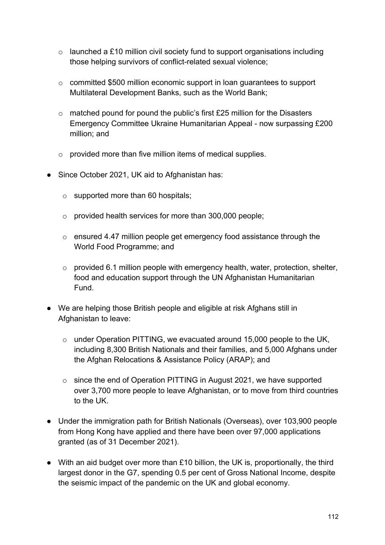- $\circ$  launched a £10 million civil society fund to support organisations including those helping survivors of conflict-related sexual violence;
- o committed \$500 million economic support in loan guarantees to support Multilateral Development Banks, such as the World Bank;
- $\circ$  matched pound for pound the public's first £25 million for the Disasters Emergency Committee Ukraine Humanitarian Appeal - now surpassing £200 million; and
- $\circ$  provided more than five million items of medical supplies.
- Since October 2021, UK aid to Afghanistan has:
	- $\circ$  supported more than 60 hospitals;
	- o provided health services for more than 300,000 people;
	- o ensured 4.47 million people get emergency food assistance through the World Food Programme; and
	- $\circ$  provided 6.1 million people with emergency health, water, protection, shelter, food and education support through the UN Afghanistan Humanitarian Fund.
- We are helping those British people and eligible at risk Afghans still in Afghanistan to leave:
	- o under Operation PITTING, we evacuated around 15,000 people to the UK, including 8,300 British Nationals and their families, and 5,000 Afghans under the Afghan Relocations & Assistance Policy (ARAP); and
	- o since the end of Operation PITTING in August 2021, we have supported over 3,700 more people to leave Afghanistan, or to move from third countries to the UK.
- Under the immigration path for British Nationals (Overseas), over 103,900 people from Hong Kong have applied and there have been over 97,000 applications granted (as of 31 December 2021).
- With an aid budget over more than £10 billion, the UK is, proportionally, the third largest donor in the G7, spending 0.5 per cent of Gross National Income, despite the seismic impact of the pandemic on the UK and global economy.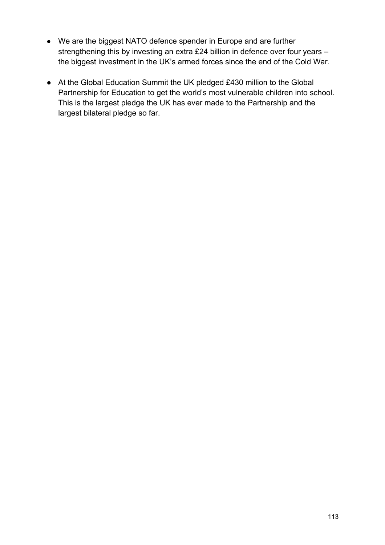- We are the biggest NATO defence spender in Europe and are further strengthening this by investing an extra £24 billion in defence over four years – the biggest investment in the UK's armed forces since the end of the Cold War.
- At the Global Education Summit the UK pledged £430 million to the Global Partnership for Education to get the world's most vulnerable children into school. This is the largest pledge the UK has ever made to the Partnership and the largest bilateral pledge so far.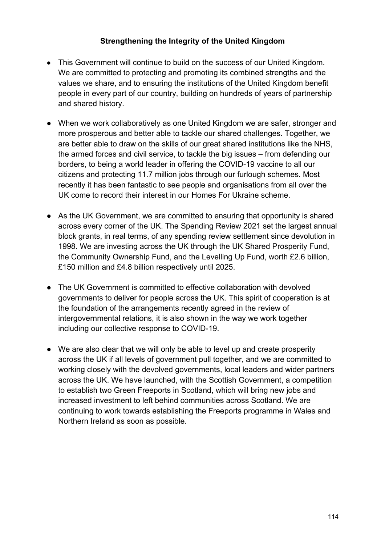### **Strengthening the Integrity of the United Kingdom**

- This Government will continue to build on the success of our United Kingdom. We are committed to protecting and promoting its combined strengths and the values we share, and to ensuring the institutions of the United Kingdom benefit people in every part of our country, building on hundreds of years of partnership and shared history.
- When we work collaboratively as one United Kingdom we are safer, stronger and more prosperous and better able to tackle our shared challenges. Together, we are better able to draw on the skills of our great shared institutions like the NHS, the armed forces and civil service, to tackle the big issues – from defending our borders, to being a world leader in offering the COVID-19 vaccine to all our citizens and protecting 11.7 million jobs through our furlough schemes. Most recently it has been fantastic to see people and organisations from all over the UK come to record their interest in our Homes For Ukraine scheme.
- As the UK Government, we are committed to ensuring that opportunity is shared across every corner of the UK. The Spending Review 2021 set the largest annual block grants, in real terms, of any spending review settlement since devolution in 1998. We are investing across the UK through the UK Shared Prosperity Fund, the Community Ownership Fund, and the Levelling Up Fund, worth £2.6 billion, £150 million and £4.8 billion respectively until 2025.
- The UK Government is committed to effective collaboration with devolved governments to deliver for people across the UK. This spirit of cooperation is at the foundation of the arrangements recently agreed in the review of intergovernmental relations, it is also shown in the way we work together including our collective response to COVID-19.
- We are also clear that we will only be able to level up and create prosperity across the UK if all levels of government pull together, and we are committed to working closely with the devolved governments, local leaders and wider partners across the UK. We have launched, with the Scottish Government, a competition to establish two Green Freeports in Scotland, which will bring new jobs and increased investment to left behind communities across Scotland. We are continuing to work towards establishing the Freeports programme in Wales and Northern Ireland as soon as possible.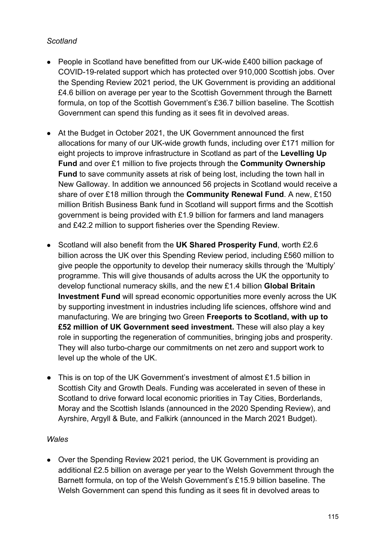### *Scotland*

- People in Scotland have benefitted from our UK-wide £400 billion package of COVID-19-related support which has protected over 910,000 Scottish jobs. Over the Spending Review 2021 period, the UK Government is providing an additional £4.6 billion on average per year to the Scottish Government through the Barnett formula, on top of the Scottish Government's £36.7 billion baseline. The Scottish Government can spend this funding as it sees fit in devolved areas.
- At the Budget in October 2021, the UK Government announced the first allocations for many of our UK-wide growth funds, including over £171 million for eight projects to improve infrastructure in Scotland as part of the **Levelling Up Fund** and over £1 million to five projects through the **Community Ownership Fund** to save community assets at risk of being lost, including the town hall in New Galloway. In addition we announced 56 projects in Scotland would receive a share of over £18 million through the **Community Renewal Fund**. A new, £150 million British Business Bank fund in Scotland will support firms and the Scottish government is being provided with £1.9 billion for farmers and land managers and £42.2 million to support fisheries over the Spending Review.
- Scotland will also benefit from the **UK Shared Prosperity Fund**, worth £2.6 billion across the UK over this Spending Review period, including £560 million to give people the opportunity to develop their numeracy skills through the 'Multiply' programme. This will give thousands of adults across the UK the opportunity to develop functional numeracy skills, and the new £1.4 billion **Global Britain Investment Fund** will spread economic opportunities more evenly across the UK by supporting investment in industries including life sciences, offshore wind and manufacturing. We are bringing two Green **Freeports to Scotland, with up to £52 million of UK Government seed investment.** These will also play a key role in supporting the regeneration of communities, bringing jobs and prosperity. They will also turbo-charge our commitments on net zero and support work to level up the whole of the UK.
- This is on top of the UK Government's investment of almost £1.5 billion in Scottish City and Growth Deals. Funding was accelerated in seven of these in Scotland to drive forward local economic priorities in Tay Cities, Borderlands, Moray and the Scottish Islands (announced in the 2020 Spending Review), and Ayrshire, Argyll & Bute, and Falkirk (announced in the March 2021 Budget).

#### *Wales*

• Over the Spending Review 2021 period, the UK Government is providing an additional £2.5 billion on average per year to the Welsh Government through the Barnett formula, on top of the Welsh Government's £15.9 billion baseline. The Welsh Government can spend this funding as it sees fit in devolved areas to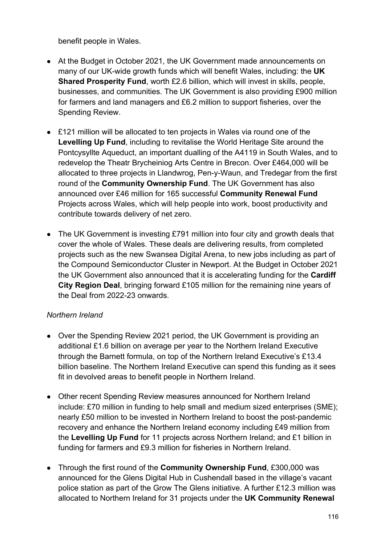benefit people in Wales.

- At the Budget in October 2021, the UK Government made announcements on many of our UK-wide growth funds which will benefit Wales, including: the **UK Shared Prosperity Fund**, worth £2.6 billion, which will invest in skills, people, businesses, and communities. The UK Government is also providing £900 million for farmers and land managers and £6.2 million to support fisheries, over the Spending Review.
- £121 million will be allocated to ten projects in Wales via round one of the **Levelling Up Fund**, including to revitalise the World Heritage Site around the Pontcysyllte Aqueduct, an important dualling of the A4119 in South Wales, and to redevelop the Theatr Brycheiniog Arts Centre in Brecon. Over £464,000 will be allocated to three projects in Llandwrog, Pen-y-Waun, and Tredegar from the first round of the **Community Ownership Fund**. The UK Government has also announced over £46 million for 165 successful **Community Renewal Fund** Projects across Wales, which will help people into work, boost productivity and contribute towards delivery of net zero.
- The UK Government is investing £791 million into four city and growth deals that cover the whole of Wales. These deals are delivering results, from completed projects such as the new Swansea Digital Arena, to new jobs including as part of the Compound Semiconductor Cluster in Newport. At the Budget in October 2021 the UK Government also announced that it is accelerating funding for the **Cardiff City Region Deal**, bringing forward £105 million for the remaining nine years of the Deal from 2022-23 onwards.

### *Northern Ireland*

- Over the Spending Review 2021 period, the UK Government is providing an additional £1.6 billion on average per year to the Northern Ireland Executive through the Barnett formula, on top of the Northern Ireland Executive's £13.4 billion baseline. The Northern Ireland Executive can spend this funding as it sees fit in devolved areas to benefit people in Northern Ireland.
- Other recent Spending Review measures announced for Northern Ireland include: £70 million in funding to help small and medium sized enterprises (SME); nearly £50 million to be invested in Northern Ireland to boost the post-pandemic recovery and enhance the Northern Ireland economy including £49 million from the **Levelling Up Fund** for 11 projects across Northern Ireland; and £1 billion in funding for farmers and £9.3 million for fisheries in Northern Ireland.
- Through the first round of the **Community Ownership Fund**, £300,000 was announced for the Glens Digital Hub in Cushendall based in the village's vacant police station as part of the Grow The Glens initiative. A further £12.3 million was allocated to Northern Ireland for 31 projects under the **UK Community Renewal**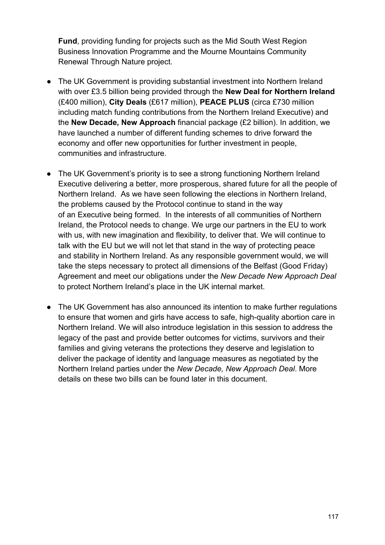**Fund**, providing funding for projects such as the Mid South West Region Business Innovation Programme and the Mourne Mountains Community Renewal Through Nature project.

- The UK Government is providing substantial investment into Northern Ireland with over £3.5 billion being provided through the **New Deal for Northern Ireland** (£400 million), **City Deals** (£617 million), **PEACE PLUS** (circa £730 million including match funding contributions from the Northern Ireland Executive) and the **New Decade, New Approach** financial package (£2 billion). In addition, we have launched a number of different funding schemes to drive forward the economy and offer new opportunities for further investment in people, communities and infrastructure.
- The UK Government's priority is to see a strong functioning Northern Ireland Executive delivering a better, more prosperous, shared future for all the people of Northern Ireland. As we have seen following the elections in Northern Ireland, the problems caused by the Protocol continue to stand in the way of an Executive being formed. In the interests of all communities of Northern Ireland, the Protocol needs to change. We urge our partners in the EU to work with us, with new imagination and flexibility, to deliver that. We will continue to talk with the EU but we will not let that stand in the way of protecting peace and stability in Northern Ireland. As any responsible government would, we will take the steps necessary to protect all dimensions of the Belfast (Good Friday) Agreement and meet our obligations under the *New Decade New Approach Deal* to protect Northern Ireland's place in the UK internal market.
- The UK Government has also announced its intention to make further regulations to ensure that women and girls have access to safe, high-quality abortion care in Northern Ireland. We will also introduce legislation in this session to address the legacy of the past and provide better outcomes for victims, survivors and their families and giving veterans the protections they deserve and legislation to deliver the package of identity and language measures as negotiated by the Northern Ireland parties under the *New Decade, New Approach Deal*. More details on these two bills can be found later in this document.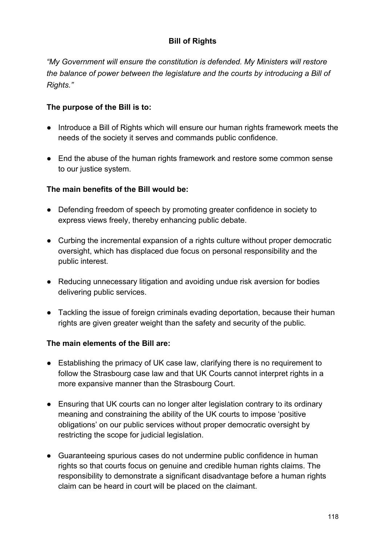# **Bill of Rights**

*"My Government will ensure the constitution is defended. My Ministers will restore the balance of power between the legislature and the courts by introducing a Bill of Rights."*

## **The purpose of the Bill is to:**

- Introduce a Bill of Rights which will ensure our human rights framework meets the needs of the society it serves and commands public confidence.
- End the abuse of the human rights framework and restore some common sense to our justice system.

## **The main benefits of the Bill would be:**

- Defending freedom of speech by promoting greater confidence in society to express views freely, thereby enhancing public debate.
- Curbing the incremental expansion of a rights culture without proper democratic oversight, which has displaced due focus on personal responsibility and the public interest.
- Reducing unnecessary litigation and avoiding undue risk aversion for bodies delivering public services.
- Tackling the issue of foreign criminals evading deportation, because their human rights are given greater weight than the safety and security of the public.

- Establishing the primacy of UK case law, clarifying there is no requirement to follow the Strasbourg case law and that UK Courts cannot interpret rights in a more expansive manner than the Strasbourg Court.
- Ensuring that UK courts can no longer alter legislation contrary to its ordinary meaning and constraining the ability of the UK courts to impose 'positive obligations' on our public services without proper democratic oversight by restricting the scope for judicial legislation.
- Guaranteeing spurious cases do not undermine public confidence in human rights so that courts focus on genuine and credible human rights claims. The responsibility to demonstrate a significant disadvantage before a human rights claim can be heard in court will be placed on the claimant.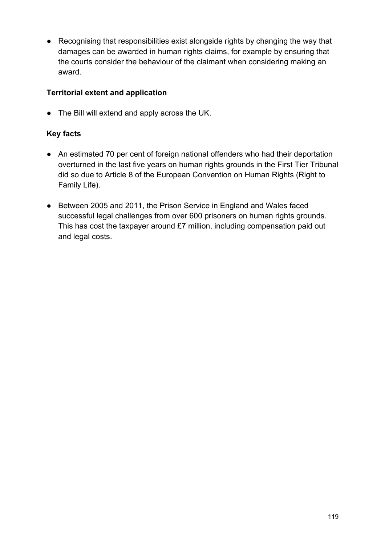● Recognising that responsibilities exist alongside rights by changing the way that damages can be awarded in human rights claims, for example by ensuring that the courts consider the behaviour of the claimant when considering making an award.

## **Territorial extent and application**

● The Bill will extend and apply across the UK.

- An estimated 70 per cent of foreign national offenders who had their deportation overturned in the last five years on human rights grounds in the First Tier Tribunal did so due to Article 8 of the European Convention on Human Rights (Right to Family Life).
- Between 2005 and 2011, the Prison Service in England and Wales faced successful legal challenges from over 600 prisoners on human rights grounds. This has cost the taxpayer around £7 million, including compensation paid out and legal costs.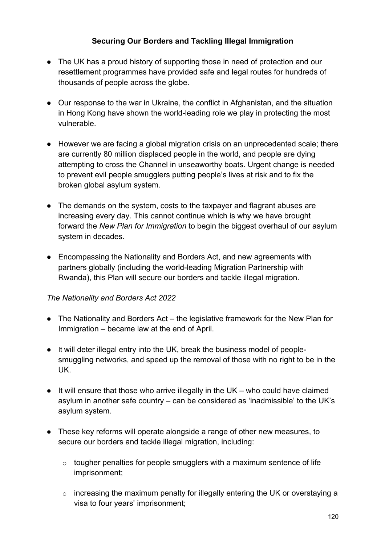## **Securing Our Borders and Tackling Illegal Immigration**

- The UK has a proud history of supporting those in need of protection and our resettlement programmes have provided safe and legal routes for hundreds of thousands of people across the globe.
- Our response to the war in Ukraine, the conflict in Afghanistan, and the situation in Hong Kong have shown the world-leading role we play in protecting the most vulnerable.
- However we are facing a global migration crisis on an unprecedented scale; there are currently 80 million displaced people in the world, and people are dying attempting to cross the Channel in unseaworthy boats. Urgent change is needed to prevent evil people smugglers putting people's lives at risk and to fix the broken global asylum system.
- The demands on the system, costs to the taxpayer and flagrant abuses are increasing every day. This cannot continue which is why we have brought forward the *New Plan for Immigration* to begin the biggest overhaul of our asylum system in decades.
- Encompassing the Nationality and Borders Act, and new agreements with partners globally (including the world-leading Migration Partnership with Rwanda), this Plan will secure our borders and tackle illegal migration.

### *The Nationality and Borders Act 2022*

- The Nationality and Borders Act the legislative framework for the New Plan for Immigration – became law at the end of April.
- It will deter illegal entry into the UK, break the business model of peoplesmuggling networks, and speed up the removal of those with no right to be in the UK.
- It will ensure that those who arrive illegally in the UK who could have claimed asylum in another safe country – can be considered as 'inadmissible' to the UK's asylum system.
- These key reforms will operate alongside a range of other new measures, to secure our borders and tackle illegal migration, including:
	- $\circ$  tougher penalties for people smugglers with a maximum sentence of life imprisonment;
	- o increasing the maximum penalty for illegally entering the UK or overstaying a visa to four years' imprisonment;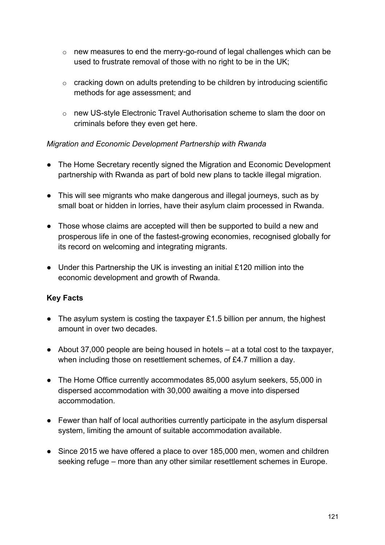- o new measures to end the merry-go-round of legal challenges which can be used to frustrate removal of those with no right to be in the UK;
- o cracking down on adults pretending to be children by introducing scientific methods for age assessment; and
- o new US-style Electronic Travel Authorisation scheme to slam the door on criminals before they even get here.

## *Migration and Economic Development Partnership with Rwanda*

- The Home Secretary recently signed the Migration and Economic Development partnership with Rwanda as part of bold new plans to tackle illegal migration.
- This will see migrants who make dangerous and illegal journeys, such as by small boat or hidden in lorries, have their asylum claim processed in Rwanda.
- Those whose claims are accepted will then be supported to build a new and prosperous life in one of the fastest-growing economies, recognised globally for its record on welcoming and integrating migrants.
- $\bullet$  Under this Partnership the UK is investing an initial £120 million into the economic development and growth of Rwanda.

# **Key Facts**

- The asylum system is costing the taxpayer £1.5 billion per annum, the highest amount in over two decades.
- About 37,000 people are being housed in hotels at a total cost to the taxpayer, when including those on resettlement schemes, of £4.7 million a day.
- The Home Office currently accommodates 85,000 asylum seekers, 55,000 in dispersed accommodation with 30,000 awaiting a move into dispersed accommodation.
- Fewer than half of local authorities currently participate in the asylum dispersal system, limiting the amount of suitable accommodation available.
- Since 2015 we have offered a place to over 185,000 men, women and children seeking refuge – more than any other similar resettlement schemes in Europe.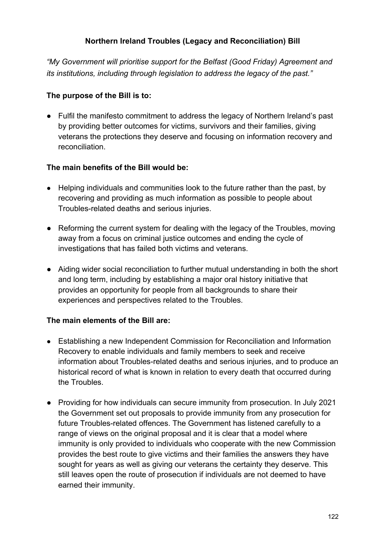## **Northern Ireland Troubles (Legacy and Reconciliation) Bill**

*"My Government will prioritise support for the Belfast (Good Friday) Agreement and its institutions, including through legislation to address the legacy of the past."*

### **The purpose of the Bill is to:**

● Fulfil the manifesto commitment to address the legacy of Northern Ireland's past by providing better outcomes for victims, survivors and their families, giving veterans the protections they deserve and focusing on information recovery and reconciliation.

### **The main benefits of the Bill would be:**

- Helping individuals and communities look to the future rather than the past, by recovering and providing as much information as possible to people about Troubles-related deaths and serious injuries.
- Reforming the current system for dealing with the legacy of the Troubles, moving away from a focus on criminal justice outcomes and ending the cycle of investigations that has failed both victims and veterans.
- Aiding wider social reconciliation to further mutual understanding in both the short and long term, including by establishing a major oral history initiative that provides an opportunity for people from all backgrounds to share their experiences and perspectives related to the Troubles.

- Establishing a new Independent Commission for Reconciliation and Information Recovery to enable individuals and family members to seek and receive information about Troubles-related deaths and serious injuries, and to produce an historical record of what is known in relation to every death that occurred during the Troubles.
- Providing for how individuals can secure immunity from prosecution. In July 2021 the Government set out proposals to provide immunity from any prosecution for future Troubles-related offences. The Government has listened carefully to a range of views on the original proposal and it is clear that a model where immunity is only provided to individuals who cooperate with the new Commission provides the best route to give victims and their families the answers they have sought for years as well as giving our veterans the certainty they deserve. This still leaves open the route of prosecution if individuals are not deemed to have earned their immunity.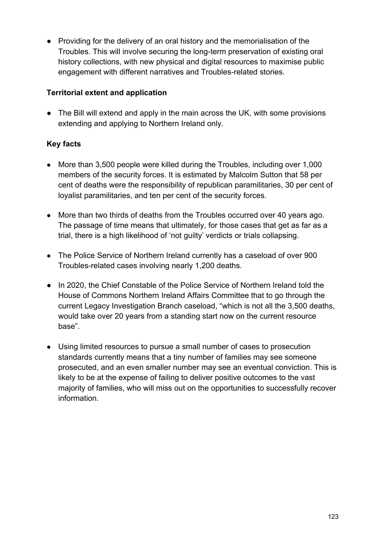● Providing for the delivery of an oral history and the memorialisation of the Troubles. This will involve securing the long-term preservation of existing oral history collections, with new physical and digital resources to maximise public engagement with different narratives and Troubles-related stories.

## **Territorial extent and application**

● The Bill will extend and apply in the main across the UK, with some provisions extending and applying to Northern Ireland only.

- More than 3,500 people were killed during the Troubles, including over 1,000 members of the security forces. It is estimated by Malcolm Sutton that 58 per cent of deaths were the responsibility of republican paramilitaries, 30 per cent of loyalist paramilitaries, and ten per cent of the security forces.
- More than two thirds of deaths from the Troubles occurred over 40 years ago. The passage of time means that ultimately, for those cases that get as far as a trial, there is a high likelihood of 'not guilty' verdicts or trials collapsing.
- The Police Service of Northern Ireland currently has a caseload of over 900 Troubles-related cases involving nearly 1,200 deaths.
- In 2020, the Chief Constable of the Police Service of Northern Ireland told the House of Commons Northern Ireland Affairs Committee that to go through the current Legacy Investigation Branch caseload, "which is not all the 3,500 deaths, would take over 20 years from a standing start now on the current resource base".
- Using limited resources to pursue a small number of cases to prosecution standards currently means that a tiny number of families may see someone prosecuted, and an even smaller number may see an eventual conviction. This is likely to be at the expense of failing to deliver positive outcomes to the vast majority of families, who will miss out on the opportunities to successfully recover information.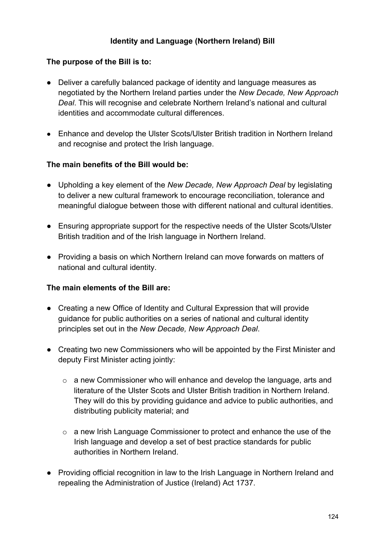## **Identity and Language (Northern Ireland) Bill**

#### **The purpose of the Bill is to:**

- Deliver a carefully balanced package of identity and language measures as negotiated by the Northern Ireland parties under the *New Decade, New Approach Deal*. This will recognise and celebrate Northern Ireland's national and cultural identities and accommodate cultural differences.
- Enhance and develop the Ulster Scots/Ulster British tradition in Northern Ireland and recognise and protect the Irish language.

#### **The main benefits of the Bill would be:**

- Upholding a key element of the *New Decade, New Approach Deal* by legislating to deliver a new cultural framework to encourage reconciliation, tolerance and meaningful dialogue between those with different national and cultural identities.
- Ensuring appropriate support for the respective needs of the Ulster Scots/Ulster British tradition and of the Irish language in Northern Ireland.
- Providing a basis on which Northern Ireland can move forwards on matters of national and cultural identity.

- Creating a new Office of Identity and Cultural Expression that will provide guidance for public authorities on a series of national and cultural identity principles set out in the *New Decade, New Approach Deal*.
- Creating two new Commissioners who will be appointed by the First Minister and deputy First Minister acting jointly:
	- o a new Commissioner who will enhance and develop the language, arts and literature of the Ulster Scots and Ulster British tradition in Northern Ireland. They will do this by providing guidance and advice to public authorities, and distributing publicity material; and
	- o a new Irish Language Commissioner to protect and enhance the use of the Irish language and develop a set of best practice standards for public authorities in Northern Ireland.
- Providing official recognition in law to the Irish Language in Northern Ireland and repealing the Administration of Justice (Ireland) Act 1737.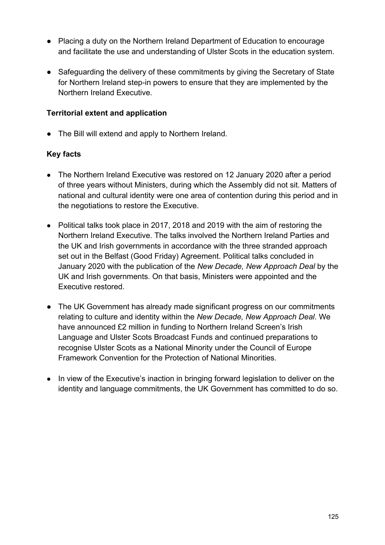- Placing a duty on the Northern Ireland Department of Education to encourage and facilitate the use and understanding of Ulster Scots in the education system.
- Safeguarding the delivery of these commitments by giving the Secretary of State for Northern Ireland step-in powers to ensure that they are implemented by the Northern Ireland Executive.

### **Territorial extent and application**

● The Bill will extend and apply to Northern Ireland.

- The Northern Ireland Executive was restored on 12 January 2020 after a period of three years without Ministers, during which the Assembly did not sit. Matters of national and cultural identity were one area of contention during this period and in the negotiations to restore the Executive.
- Political talks took place in 2017, 2018 and 2019 with the aim of restoring the Northern Ireland Executive. The talks involved the Northern Ireland Parties and the UK and Irish governments in accordance with the three stranded approach set out in the Belfast (Good Friday) Agreement. Political talks concluded in January 2020 with the publication of the *New Decade, New Approach Deal* by the UK and Irish governments. On that basis, Ministers were appointed and the Executive restored.
- The UK Government has already made significant progress on our commitments relating to culture and identity within the *New Decade, New Approach Deal*. We have announced £2 million in funding to Northern Ireland Screen's Irish Language and Ulster Scots Broadcast Funds and continued preparations to recognise Ulster Scots as a National Minority under the Council of Europe Framework Convention for the Protection of National Minorities.
- In view of the Executive's inaction in bringing forward legislation to deliver on the identity and language commitments, the UK Government has committed to do so.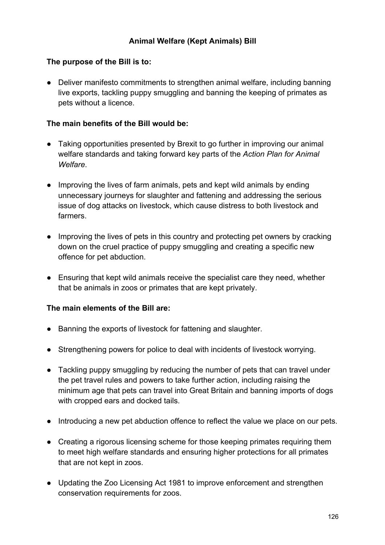## **The purpose of the Bill is to:**

● Deliver manifesto commitments to strengthen animal welfare, including banning live exports, tackling puppy smuggling and banning the keeping of primates as pets without a licence.

## **The main benefits of the Bill would be:**

- Taking opportunities presented by Brexit to go further in improving our animal welfare standards and taking forward key parts of the *Action Plan for Animal Welfare*.
- Improving the lives of farm animals, pets and kept wild animals by ending unnecessary journeys for slaughter and fattening and addressing the serious issue of dog attacks on livestock, which cause distress to both livestock and farmers.
- Improving the lives of pets in this country and protecting pet owners by cracking down on the cruel practice of puppy smuggling and creating a specific new offence for pet abduction.
- Ensuring that kept wild animals receive the specialist care they need, whether that be animals in zoos or primates that are kept privately.

- Banning the exports of livestock for fattening and slaughter.
- Strengthening powers for police to deal with incidents of livestock worrying.
- Tackling puppy smuggling by reducing the number of pets that can travel under the pet travel rules and powers to take further action, including raising the minimum age that pets can travel into Great Britain and banning imports of dogs with cropped ears and docked tails.
- Introducing a new pet abduction offence to reflect the value we place on our pets.
- Creating a rigorous licensing scheme for those keeping primates requiring them to meet high welfare standards and ensuring higher protections for all primates that are not kept in zoos.
- Updating the Zoo Licensing Act 1981 to improve enforcement and strengthen conservation requirements for zoos.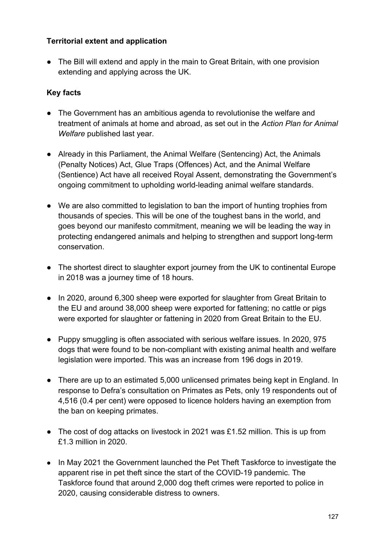### **Territorial extent and application**

● The Bill will extend and apply in the main to Great Britain, with one provision extending and applying across the UK.

- The Government has an ambitious agenda to revolutionise the welfare and treatment of animals at home and abroad, as set out in the *Action Plan for Animal Welfare* published last year.
- Already in this Parliament, the Animal Welfare (Sentencing) Act, the Animals (Penalty Notices) Act, Glue Traps (Offences) Act, and the Animal Welfare (Sentience) Act have all received Royal Assent, demonstrating the Government's ongoing commitment to upholding world-leading animal welfare standards.
- We are also committed to legislation to ban the import of hunting trophies from thousands of species. This will be one of the toughest bans in the world, and goes beyond our manifesto commitment, meaning we will be leading the way in protecting endangered animals and helping to strengthen and support long-term conservation.
- The shortest direct to slaughter export journey from the UK to continental Europe in 2018 was a journey time of 18 hours.
- In 2020, around 6,300 sheep were exported for slaughter from Great Britain to the EU and around 38,000 sheep were exported for fattening; no cattle or pigs were exported for slaughter or fattening in 2020 from Great Britain to the EU.
- Puppy smuggling is often associated with serious welfare issues. In 2020, 975 dogs that were found to be non-compliant with existing animal health and welfare legislation were imported. This was an increase from 196 dogs in 2019.
- There are up to an estimated 5,000 unlicensed primates being kept in England. In response to Defra's consultation on Primates as Pets, only 19 respondents out of 4,516 (0.4 per cent) were opposed to licence holders having an exemption from the ban on keeping primates.
- The cost of dog attacks on livestock in 2021 was £1.52 million. This is up from £1.3 million in 2020.
- In May 2021 the Government launched the Pet Theft Taskforce to investigate the apparent rise in pet theft since the start of the COVID-19 pandemic. The Taskforce found that around 2,000 dog theft crimes were reported to police in 2020, causing considerable distress to owners.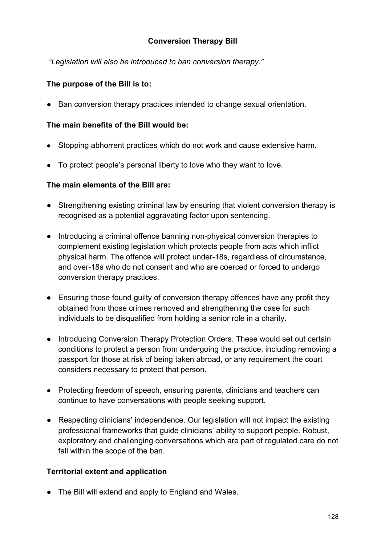### **Conversion Therapy Bill**

 *"Legislation will also be introduced to ban conversion therapy."*

### **The purpose of the Bill is to:**

● Ban conversion therapy practices intended to change sexual orientation.

### **The main benefits of the Bill would be:**

- Stopping abhorrent practices which do not work and cause extensive harm.
- To protect people's personal liberty to love who they want to love.

## **The main elements of the Bill are:**

- Strengthening existing criminal law by ensuring that violent conversion therapy is recognised as a potential aggravating factor upon sentencing.
- Introducing a criminal offence banning non-physical conversion therapies to complement existing legislation which protects people from acts which inflict physical harm. The offence will protect under-18s, regardless of circumstance, and over-18s who do not consent and who are coerced or forced to undergo conversion therapy practices.
- Ensuring those found guilty of conversion therapy offences have any profit they obtained from those crimes removed and strengthening the case for such individuals to be disqualified from holding a senior role in a charity.
- Introducing Conversion Therapy Protection Orders. These would set out certain conditions to protect a person from undergoing the practice, including removing a passport for those at risk of being taken abroad, or any requirement the court considers necessary to protect that person.
- Protecting freedom of speech, ensuring parents, clinicians and teachers can continue to have conversations with people seeking support.
- Respecting clinicians' independence. Our legislation will not impact the existing professional frameworks that guide clinicians' ability to support people. Robust, exploratory and challenging conversations which are part of regulated care do not fall within the scope of the ban.

# **Territorial extent and application**

• The Bill will extend and apply to England and Wales.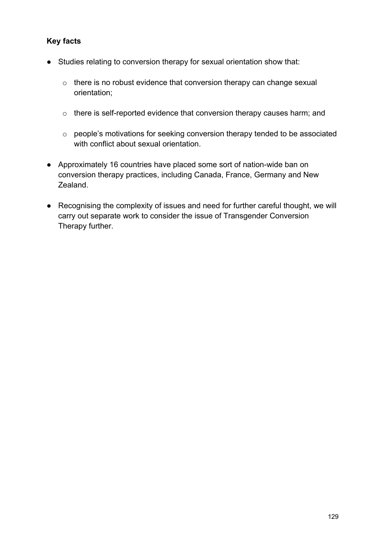- Studies relating to conversion therapy for sexual orientation show that:
	- o there is no robust evidence that conversion therapy can change sexual orientation;
	- o there is self-reported evidence that conversion therapy causes harm; and
	- o people's motivations for seeking conversion therapy tended to be associated with conflict about sexual orientation.
- Approximately 16 countries have placed some sort of nation-wide ban on conversion therapy practices, including Canada, France, Germany and New Zealand.
- Recognising the complexity of issues and need for further careful thought, we will carry out separate work to consider the issue of Transgender Conversion Therapy further.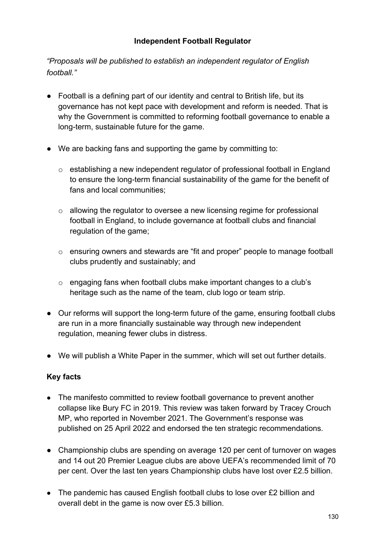## **Independent Football Regulator**

*"Proposals will be published to establish an independent regulator of English football."*

- Football is a defining part of our identity and central to British life, but its governance has not kept pace with development and reform is needed. That is why the Government is committed to reforming football governance to enable a long-term, sustainable future for the game.
- We are backing fans and supporting the game by committing to:
	- $\circ$  establishing a new independent regulator of professional football in England to ensure the long-term financial sustainability of the game for the benefit of fans and local communities;
	- o allowing the regulator to oversee a new licensing regime for professional football in England, to include governance at football clubs and financial regulation of the game;
	- o ensuring owners and stewards are "fit and proper" people to manage football clubs prudently and sustainably; and
	- o engaging fans when football clubs make important changes to a club's heritage such as the name of the team, club logo or team strip.
- Our reforms will support the long-term future of the game, ensuring football clubs are run in a more financially sustainable way through new independent regulation, meaning fewer clubs in distress.
- We will publish a White Paper in the summer, which will set out further details.

- The manifesto committed to review football governance to prevent another collapse like Bury FC in 2019. This review was taken forward by Tracey Crouch MP, who reported in November 2021. The Government's response was published on 25 April 2022 and endorsed the ten strategic recommendations.
- Championship clubs are spending on average 120 per cent of turnover on wages and 14 out 20 Premier League clubs are above UEFA's recommended limit of 70 per cent. Over the last ten years Championship clubs have lost over £2.5 billion.
- The pandemic has caused English football clubs to lose over £2 billion and overall debt in the game is now over £5.3 billion.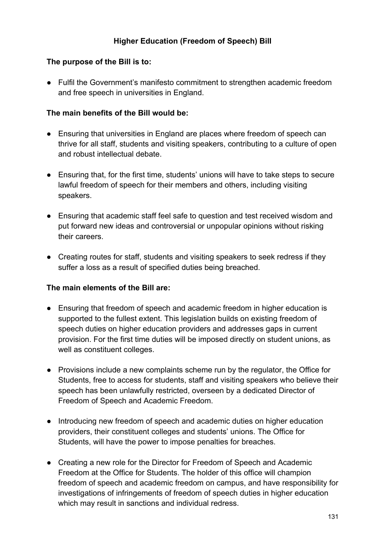## **Higher Education (Freedom of Speech) Bill**

#### **The purpose of the Bill is to:**

● Fulfil the Government's manifesto commitment to strengthen academic freedom and free speech in universities in England.

#### **The main benefits of the Bill would be:**

- Ensuring that universities in England are places where freedom of speech can thrive for all staff, students and visiting speakers, contributing to a culture of open and robust intellectual debate.
- Ensuring that, for the first time, students' unions will have to take steps to secure lawful freedom of speech for their members and others, including visiting speakers.
- Ensuring that academic staff feel safe to question and test received wisdom and put forward new ideas and controversial or unpopular opinions without risking their careers.
- Creating routes for staff, students and visiting speakers to seek redress if they suffer a loss as a result of specified duties being breached.

- Ensuring that freedom of speech and academic freedom in higher education is supported to the fullest extent. This legislation builds on existing freedom of speech duties on higher education providers and addresses gaps in current provision. For the first time duties will be imposed directly on student unions, as well as constituent colleges.
- Provisions include a new complaints scheme run by the regulator, the Office for Students, free to access for students, staff and visiting speakers who believe their speech has been unlawfully restricted, overseen by a dedicated Director of Freedom of Speech and Academic Freedom.
- Introducing new freedom of speech and academic duties on higher education providers, their constituent colleges and students' unions. The Office for Students, will have the power to impose penalties for breaches.
- Creating a new role for the Director for Freedom of Speech and Academic Freedom at the Office for Students. The holder of this office will champion freedom of speech and academic freedom on campus, and have responsibility for investigations of infringements of freedom of speech duties in higher education which may result in sanctions and individual redress.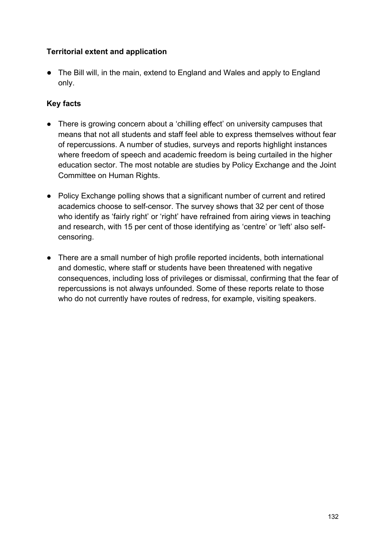## **Territorial extent and application**

● The Bill will, in the main, extend to England and Wales and apply to England only.

- There is growing concern about a 'chilling effect' on university campuses that means that not all students and staff feel able to express themselves without fear of repercussions. A number of studies, surveys and reports highlight instances where freedom of speech and academic freedom is being curtailed in the higher education sector. The most notable are studies by Policy Exchange and the Joint Committee on Human Rights.
- Policy Exchange polling shows that a significant number of current and retired academics choose to self-censor. The survey shows that 32 per cent of those who identify as 'fairly right' or 'right' have refrained from airing views in teaching and research, with 15 per cent of those identifying as 'centre' or 'left' also selfcensoring.
- There are a small number of high profile reported incidents, both international and domestic, where staff or students have been threatened with negative consequences, including loss of privileges or dismissal, confirming that the fear of repercussions is not always unfounded. Some of these reports relate to those who do not currently have routes of redress, for example, visiting speakers.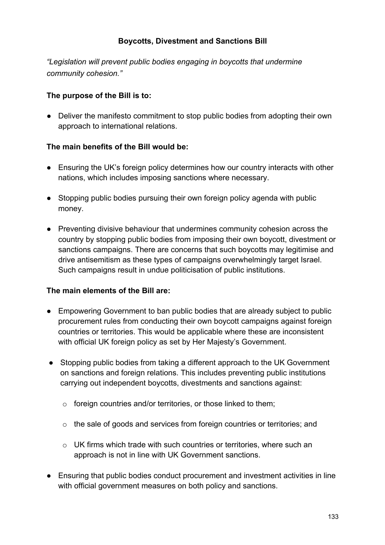### **Boycotts, Divestment and Sanctions Bill**

*"Legislation will prevent public bodies engaging in boycotts that undermine community cohesion."*

### **The purpose of the Bill is to:**

● Deliver the manifesto commitment to stop public bodies from adopting their own approach to international relations.

### **The main benefits of the Bill would be:**

- Ensuring the UK's foreign policy determines how our country interacts with other nations, which includes imposing sanctions where necessary.
- Stopping public bodies pursuing their own foreign policy agenda with public money.
- Preventing divisive behaviour that undermines community cohesion across the country by stopping public bodies from imposing their own boycott, divestment or sanctions campaigns. There are concerns that such boycotts may legitimise and drive antisemitism as these types of campaigns overwhelmingly target Israel. Such campaigns result in undue politicisation of public institutions.

- Empowering Government to ban public bodies that are already subject to public procurement rules from conducting their own boycott campaigns against foreign countries or territories. This would be applicable where these are inconsistent with official UK foreign policy as set by Her Majesty's Government.
- Stopping public bodies from taking a different approach to the UK Government on sanctions and foreign relations. This includes preventing public institutions carrying out independent boycotts, divestments and sanctions against:
	- o foreign countries and/or territories, or those linked to them;
	- $\circ$  the sale of goods and services from foreign countries or territories; and
	- $\circ$  UK firms which trade with such countries or territories, where such an approach is not in line with UK Government sanctions.
- Ensuring that public bodies conduct procurement and investment activities in line with official government measures on both policy and sanctions.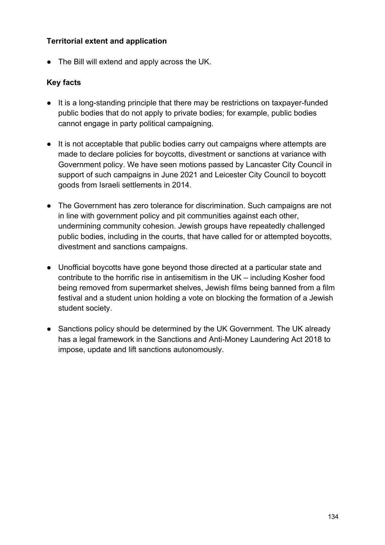### **Territorial extent and application**

● The Bill will extend and apply across the UK.

- It is a long-standing principle that there may be restrictions on taxpayer-funded public bodies that do not apply to private bodies; for example, public bodies cannot engage in party political campaigning.
- It is not acceptable that public bodies carry out campaigns where attempts are made to declare policies for boycotts, divestment or sanctions at variance with Government policy. We have seen motions passed by Lancaster City Council in support of such campaigns in June 2021 and Leicester City Council to boycott goods from Israeli settlements in 2014.
- The Government has zero tolerance for discrimination. Such campaigns are not in line with government policy and pit communities against each other, undermining community cohesion. Jewish groups have repeatedly challenged public bodies, including in the courts, that have called for or attempted boycotts, divestment and sanctions campaigns.
- Unofficial boycotts have gone beyond those directed at a particular state and contribute to the horrific rise in antisemitism in the UK – including Kosher food being removed from supermarket shelves, Jewish films being banned from a film festival and a student union holding a vote on blocking the formation of a Jewish student society.
- Sanctions policy should be determined by the UK Government. The UK already has a legal framework in the Sanctions and Anti-Money Laundering Act 2018 to impose, update and lift sanctions autonomously.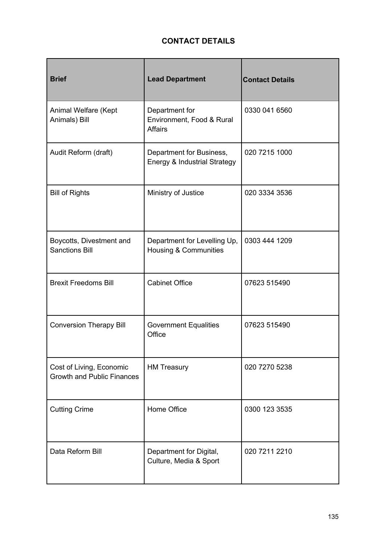# **CONTACT DETAILS**

| <b>Brief</b>                                                  | <b>Lead Department</b>                                           | <b>Contact Details</b> |
|---------------------------------------------------------------|------------------------------------------------------------------|------------------------|
| Animal Welfare (Kept<br>Animals) Bill                         | Department for<br>Environment, Food & Rural<br><b>Affairs</b>    | 0330 041 6560          |
| Audit Reform (draft)                                          | Department for Business,<br>Energy & Industrial Strategy         | 020 7215 1000          |
| <b>Bill of Rights</b>                                         | Ministry of Justice                                              | 020 3334 3536          |
| Boycotts, Divestment and<br><b>Sanctions Bill</b>             | Department for Levelling Up,<br><b>Housing &amp; Communities</b> | 0303 444 1209          |
| <b>Brexit Freedoms Bill</b>                                   | <b>Cabinet Office</b>                                            | 07623 515490           |
| <b>Conversion Therapy Bill</b>                                | <b>Government Equalities</b><br>Office                           | 07623 515490           |
| Cost of Living, Economic<br><b>Growth and Public Finances</b> | <b>HM Treasury</b>                                               | 020 7270 5238          |
| <b>Cutting Crime</b>                                          | Home Office                                                      | 0300 123 3535          |
| Data Reform Bill                                              | Department for Digital,<br>Culture, Media & Sport                | 020 7211 2210          |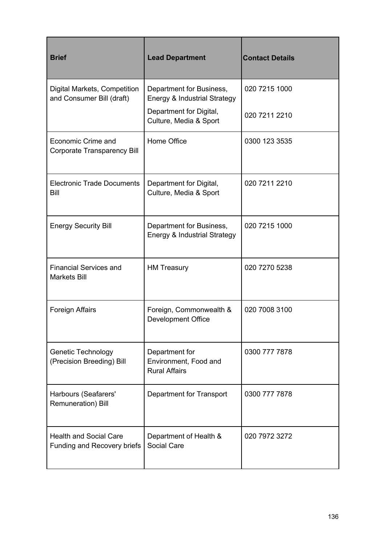| <b>Brief</b>                                                    | <b>Lead Department</b>                                          | <b>Contact Details</b> |
|-----------------------------------------------------------------|-----------------------------------------------------------------|------------------------|
| Digital Markets, Competition<br>and Consumer Bill (draft)       | Department for Business,<br>Energy & Industrial Strategy        | 020 7215 1000          |
|                                                                 | Department for Digital,<br>Culture, Media & Sport               | 020 7211 2210          |
| <b>Economic Crime and</b><br><b>Corporate Transparency Bill</b> | Home Office                                                     | 0300 123 3535          |
| <b>Electronic Trade Documents</b><br>Bill                       | Department for Digital,<br>Culture, Media & Sport               | 020 7211 2210          |
| <b>Energy Security Bill</b>                                     | Department for Business,<br>Energy & Industrial Strategy        | 020 7215 1000          |
| <b>Financial Services and</b><br><b>Markets Bill</b>            | <b>HM Treasury</b>                                              | 020 7270 5238          |
| <b>Foreign Affairs</b>                                          | Foreign, Commonwealth &<br><b>Development Office</b>            | 020 7008 3100          |
| <b>Genetic Technology</b><br>(Precision Breeding) Bill          | Department for<br>Environment, Food and<br><b>Rural Affairs</b> | 0300 777 7878          |
| Harbours (Seafarers'<br>Remuneration) Bill                      | Department for Transport                                        | 0300 777 7878          |
| <b>Health and Social Care</b><br>Funding and Recovery briefs    | Department of Health &<br><b>Social Care</b>                    | 020 7972 3272          |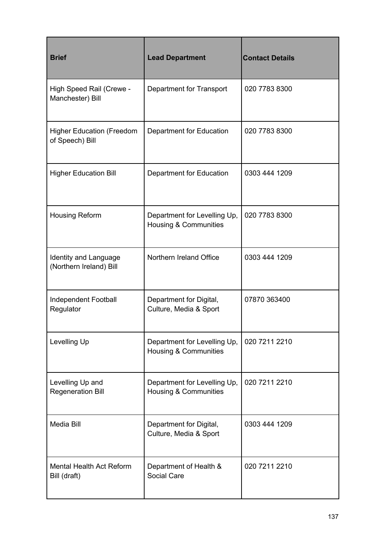| <b>Brief</b>                                            | <b>Lead Department</b>                                           | <b>Contact Details</b> |
|---------------------------------------------------------|------------------------------------------------------------------|------------------------|
| High Speed Rail (Crewe -<br>Manchester) Bill            | Department for Transport                                         | 020 7783 8300          |
| <b>Higher Education (Freedom</b><br>of Speech) Bill     | Department for Education                                         | 020 7783 8300          |
| <b>Higher Education Bill</b>                            | Department for Education                                         | 0303 444 1209          |
| <b>Housing Reform</b>                                   | Department for Levelling Up,<br>Housing & Communities            | 020 7783 8300          |
| <b>Identity and Language</b><br>(Northern Ireland) Bill | Northern Ireland Office                                          | 0303 444 1209          |
| <b>Independent Football</b><br>Regulator                | Department for Digital,<br>Culture, Media & Sport                | 07870 363400           |
| Levelling Up                                            | Department for Levelling Up,<br><b>Housing &amp; Communities</b> | 020 7211 2210          |
| Levelling Up and<br><b>Regeneration Bill</b>            | Department for Levelling Up,<br>Housing & Communities            | 020 7211 2210          |
| <b>Media Bill</b>                                       | Department for Digital,<br>Culture, Media & Sport                | 0303 444 1209          |
| Mental Health Act Reform<br>Bill (draft)                | Department of Health &<br>Social Care                            | 020 7211 2210          |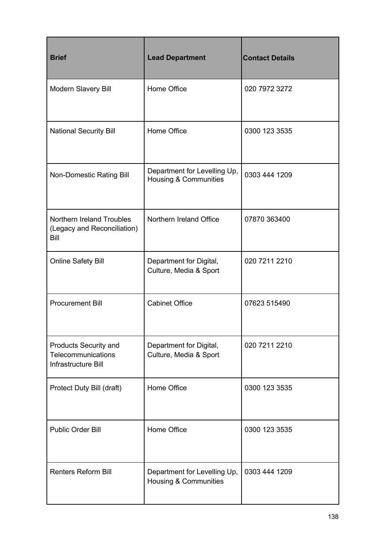| <b>Brief</b>                                                              | <b>Lead Department</b>                                           | <b>Contact Details</b> |
|---------------------------------------------------------------------------|------------------------------------------------------------------|------------------------|
| Modern Slavery Bill                                                       | Home Office                                                      | 020 7972 3272          |
| <b>National Security Bill</b>                                             | Home Office                                                      | 0300 123 3535          |
| <b>Non-Domestic Rating Bill</b>                                           | Department for Levelling Up,<br><b>Housing &amp; Communities</b> | 0303 444 1209          |
| Northern Ireland Troubles<br>(Legacy and Reconciliation)<br><b>Bill</b>   | Northern Ireland Office                                          | 07870 363400           |
| <b>Online Safety Bill</b>                                                 | Department for Digital,<br>Culture, Media & Sport                | 020 7211 2210          |
| <b>Procurement Bill</b>                                                   | <b>Cabinet Office</b>                                            | 07623 515490           |
| <b>Products Security and</b><br>Telecommunications<br>Infrastructure Bill | Department for Digital,<br>Culture, Media & Sport                | 020 7211 2210          |
| Protect Duty Bill (draft)                                                 | Home Office                                                      | 0300 123 3535          |
| <b>Public Order Bill</b>                                                  | Home Office                                                      | 0300 123 3535          |
| <b>Renters Reform Bill</b>                                                | Department for Levelling Up,<br><b>Housing &amp; Communities</b> | 0303 444 1209          |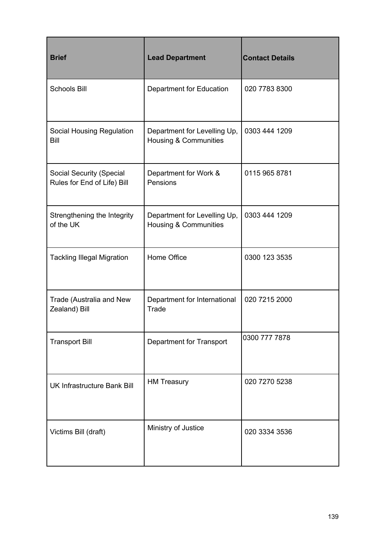| <b>Brief</b>                                                   | <b>Lead Department</b>                                           | <b>Contact Details</b> |
|----------------------------------------------------------------|------------------------------------------------------------------|------------------------|
| <b>Schools Bill</b>                                            | Department for Education                                         | 020 7783 8300          |
| Social Housing Regulation<br>Bill                              | Department for Levelling Up,<br><b>Housing &amp; Communities</b> | 0303 444 1209          |
| <b>Social Security (Special</b><br>Rules for End of Life) Bill | Department for Work &<br>Pensions                                | 0115 965 8781          |
| Strengthening the Integrity<br>of the UK                       | Department for Levelling Up,<br>Housing & Communities            | 0303 444 1209          |
| <b>Tackling Illegal Migration</b>                              | Home Office                                                      | 0300 123 3535          |
| Trade (Australia and New<br>Zealand) Bill                      | Department for International<br>Trade                            | 020 7215 2000          |
| <b>Transport Bill</b>                                          | Department for Transport                                         | 0300 777 7878          |
| <b>UK Infrastructure Bank Bill</b>                             | <b>HM Treasury</b>                                               | 020 7270 5238          |
| Victims Bill (draft)                                           | Ministry of Justice                                              | 020 3334 3536          |